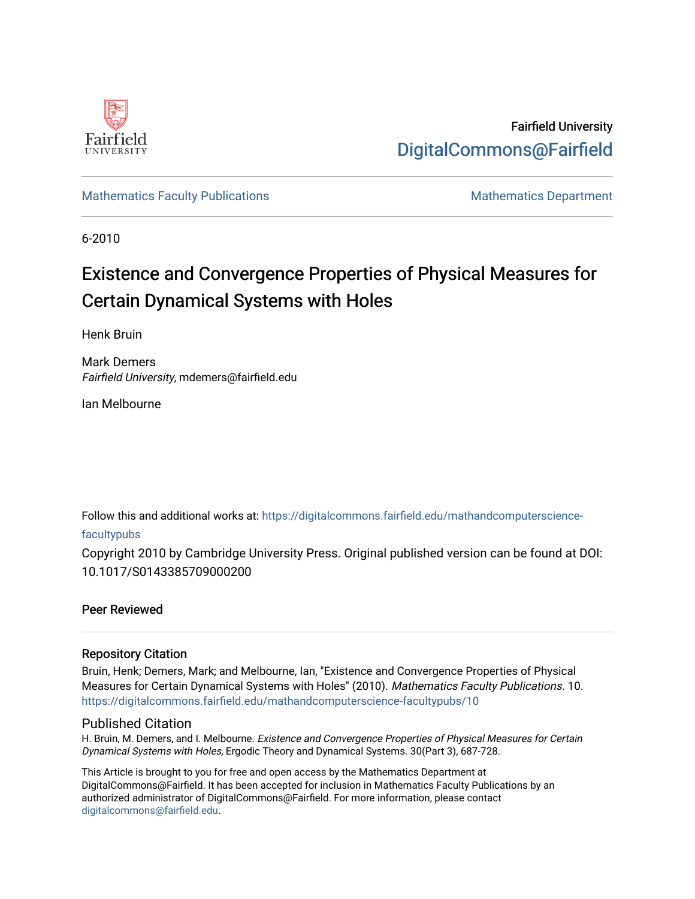

Fairfield University [DigitalCommons@Fairfield](https://digitalcommons.fairfield.edu/) 

## [Mathematics Faculty Publications](https://digitalcommons.fairfield.edu/mathandcomputerscience-facultypubs) Mathematics Department

6-2010

# Existence and Convergence Properties of Physical Measures for Certain Dynamical Systems with Holes

Henk Bruin

Mark Demers Fairfield University, mdemers@fairfield.edu

Ian Melbourne

Follow this and additional works at: [https://digitalcommons.fairfield.edu/mathandcomputerscience-](https://digitalcommons.fairfield.edu/mathandcomputerscience-facultypubs?utm_source=digitalcommons.fairfield.edu%2Fmathandcomputerscience-facultypubs%2F10&utm_medium=PDF&utm_campaign=PDFCoverPages)

## [facultypubs](https://digitalcommons.fairfield.edu/mathandcomputerscience-facultypubs?utm_source=digitalcommons.fairfield.edu%2Fmathandcomputerscience-facultypubs%2F10&utm_medium=PDF&utm_campaign=PDFCoverPages)

Copyright 2010 by Cambridge University Press. Original published version can be found at DOI: 10.1017/S0143385709000200

## Peer Reviewed

## Repository Citation

Bruin, Henk; Demers, Mark; and Melbourne, Ian, "Existence and Convergence Properties of Physical Measures for Certain Dynamical Systems with Holes" (2010). Mathematics Faculty Publications. 10. [https://digitalcommons.fairfield.edu/mathandcomputerscience-facultypubs/10](https://digitalcommons.fairfield.edu/mathandcomputerscience-facultypubs/10?utm_source=digitalcommons.fairfield.edu%2Fmathandcomputerscience-facultypubs%2F10&utm_medium=PDF&utm_campaign=PDFCoverPages) 

## Published Citation

H. Bruin, M. Demers, and I. Melbourne. Existence and Convergence Properties of Physical Measures for Certain Dynamical Systems with Holes, Ergodic Theory and Dynamical Systems. 30(Part 3), 687-728.

This Article is brought to you for free and open access by the Mathematics Department at DigitalCommons@Fairfield. It has been accepted for inclusion in Mathematics Faculty Publications by an authorized administrator of DigitalCommons@Fairfield. For more information, please contact [digitalcommons@fairfield.edu](mailto:digitalcommons@fairfield.edu).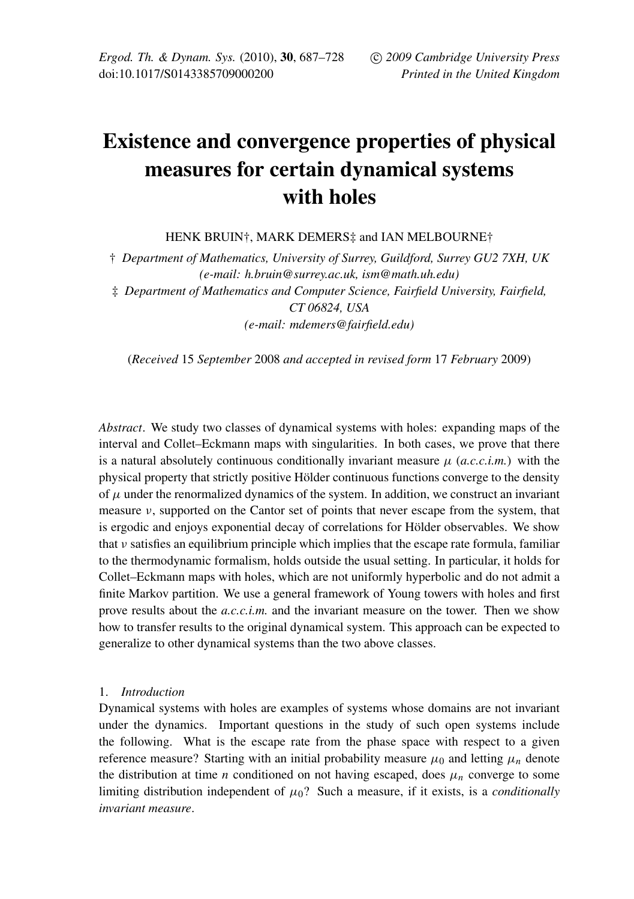## Existence and convergence properties of physical measures for certain dynamical systems with holes

HENK BRUIN†, MARK DEMERS‡ and IAN MELBOURNE†

† *Department of Mathematics, University of Surrey, Guildford, Surrey GU2 7XH, UK (e-mail: h.bruin@surrey.ac.uk, ism@math.uh.edu)* ‡ *Department of Mathematics and Computer Science, Fairfield University, Fairfield, CT 06824, USA (e-mail: mdemers@fairfield.edu)*

(*Received* 15 *September* 2008 *and accepted in revised form* 17 *February* 2009)

*Abstract*. We study two classes of dynamical systems with holes: expanding maps of the interval and Collet–Eckmann maps with singularities. In both cases, we prove that there is a natural absolutely continuous conditionally invariant measure  $\mu$  (*a.c.c.i.m.*) with the physical property that strictly positive Hölder continuous functions converge to the density of  $\mu$  under the renormalized dynamics of the system. In addition, we construct an invariant measure ν, supported on the Cantor set of points that never escape from the system, that is ergodic and enjoys exponential decay of correlations for Hölder observables. We show that  $\nu$  satisfies an equilibrium principle which implies that the escape rate formula, familiar to the thermodynamic formalism, holds outside the usual setting. In particular, it holds for Collet–Eckmann maps with holes, which are not uniformly hyperbolic and do not admit a finite Markov partition. We use a general framework of Young towers with holes and first prove results about the *a.c.c.i.m.* and the invariant measure on the tower. Then we show how to transfer results to the original dynamical system. This approach can be expected to generalize to other dynamical systems than the two above classes.

#### 1. *Introduction*

Dynamical systems with holes are examples of systems whose domains are not invariant under the dynamics. Important questions in the study of such open systems include the following. What is the escape rate from the phase space with respect to a given reference measure? Starting with an initial probability measure  $\mu_0$  and letting  $\mu_n$  denote the distribution at time *n* conditioned on not having escaped, does  $\mu_n$  converge to some limiting distribution independent of  $\mu_0$ ? Such a measure, if it exists, is a *conditionally invariant measure*.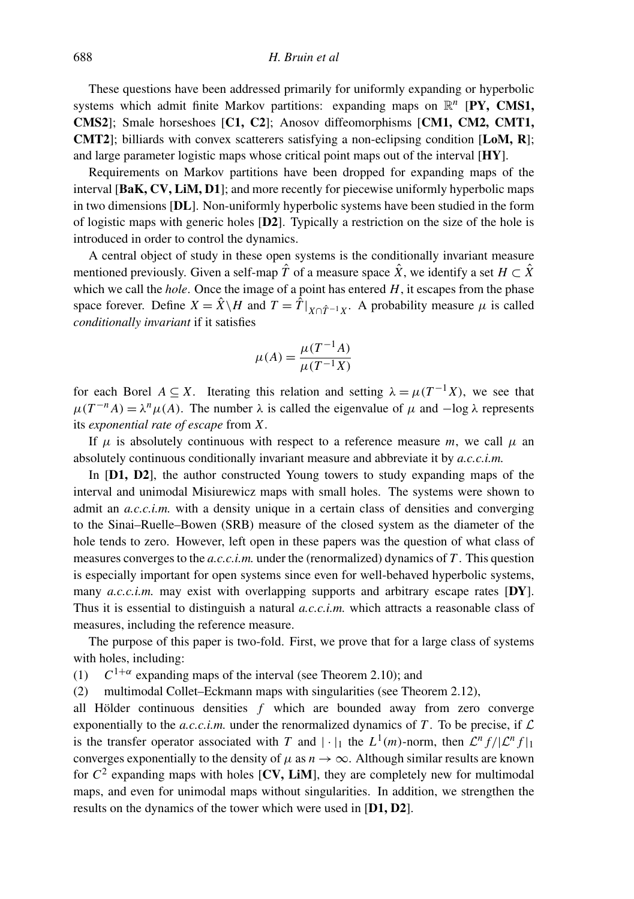These questions have been addressed primarily for uniformly expanding or hyperbolic systems which admit finite Markov partitions: expanding maps on  $\mathbb{R}^n$  [PY, CMS1, CMS2]; Smale horseshoes [C1, C2]; Anosov diffeomorphisms [CM1, CM2, CMT1, **CMT2**]; billiards with convex scatterers satisfying a non-eclipsing condition  $[LoM, R]$ ; and large parameter logistic maps whose critical point maps out of the interval [HY].

Requirements on Markov partitions have been dropped for expanding maps of the interval [BaK, CV, LiM, D1]; and more recently for piecewise uniformly hyperbolic maps in two dimensions [DL]. Non-uniformly hyperbolic systems have been studied in the form of logistic maps with generic holes [D2]. Typically a restriction on the size of the hole is introduced in order to control the dynamics.

A central object of study in these open systems is the conditionally invariant measure mentioned previously. Given a self-map  $\hat{T}$  of a measure space  $\hat{X}$ , we identify a set  $H \subset \hat{X}$ which we call the *hole*. Once the image of a point has entered *H*, it escapes from the phase space forever. Define  $X = \hat{X} \setminus H$  and  $T = \hat{T}|_{X \cap \hat{T}^{-1}X}$ . A probability measure  $\mu$  is called *conditionally invariant* if it satisfies

$$
\mu(A) = \frac{\mu(T^{-1}A)}{\mu(T^{-1}X)}
$$

for each Borel  $A \subseteq X$ . Iterating this relation and setting  $\lambda = \mu(T^{-1}X)$ , we see that  $\mu(T^{-n}A) = \lambda^n \mu(A)$ . The number  $\lambda$  is called the eigenvalue of  $\mu$  and  $-\log \lambda$  represents its *exponential rate of escape* from *X*.

If  $\mu$  is absolutely continuous with respect to a reference measure *m*, we call  $\mu$  an absolutely continuous conditionally invariant measure and abbreviate it by *a.c.c.i.m.*

In [D1, D2], the author constructed Young towers to study expanding maps of the interval and unimodal Misiurewicz maps with small holes. The systems were shown to admit an *a.c.c.i.m.* with a density unique in a certain class of densities and converging to the Sinai–Ruelle–Bowen (SRB) measure of the closed system as the diameter of the hole tends to zero. However, left open in these papers was the question of what class of measures converges to the *a.c.c.i.m.* under the (renormalized) dynamics of *T* . This question is especially important for open systems since even for well-behaved hyperbolic systems, many *a.c.c.i.m.* may exist with overlapping supports and arbitrary escape rates [DY]. Thus it is essential to distinguish a natural *a.c.c.i.m.* which attracts a reasonable class of measures, including the reference measure.

The purpose of this paper is two-fold. First, we prove that for a large class of systems with holes, including:

 $(1)$  $1+\alpha$  expanding maps of the interval (see Theorem 2.10); and

(2) multimodal Collet–Eckmann maps with singularities (see Theorem 2.12),

all Hölder continuous densities *f* which are bounded away from zero converge exponentially to the *a.c.c.i.m.* under the renormalized dynamics of T. To be precise, if  $\mathcal{L}$ is the transfer operator associated with *T* and  $|\cdot|_1$  the  $L^1(m)$ -norm, then  $\mathcal{L}^n f/|\mathcal{L}^n f|_1$ converges exponentially to the density of  $\mu$  as  $n \to \infty$ . Although similar results are known for  $C^2$  expanding maps with holes [CV, LiM], they are completely new for multimodal maps, and even for unimodal maps without singularities. In addition, we strengthen the results on the dynamics of the tower which were used in [D1, D2].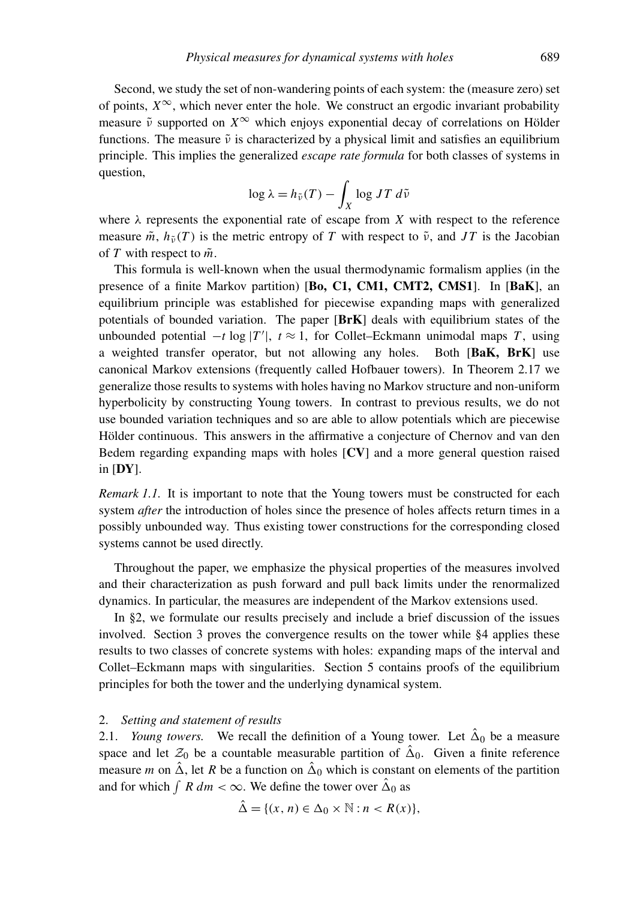Second, we study the set of non-wandering points of each system: the (measure zero) set of points,  $X^{\infty}$ , which never enter the hole. We construct an ergodic invariant probability measure  $\tilde{\nu}$  supported on  $X^{\infty}$  which enjoys exponential decay of correlations on Hölder functions. The measure  $\tilde{v}$  is characterized by a physical limit and satisfies an equilibrium principle. This implies the generalized *escape rate formula* for both classes of systems in question,

$$
\log \lambda = h_{\tilde{\nu}}(T) - \int_X \log JT \, d\tilde{\nu}
$$

where  $\lambda$  represents the exponential rate of escape from *X* with respect to the reference measure  $\tilde{m}$ ,  $h_{\tilde{\nu}}(T)$  is the metric entropy of T with respect to  $\tilde{\nu}$ , and JT is the Jacobian of *T* with respect to  $\tilde{m}$ .

This formula is well-known when the usual thermodynamic formalism applies (in the presence of a finite Markov partition) [Bo, C1, CM1, CMT2, CMS1]. In [BaK], an equilibrium principle was established for piecewise expanding maps with generalized potentials of bounded variation. The paper  $[BrK]$  deals with equilibrium states of the unbounded potential  $-t \log |T'|$ ,  $t \approx 1$ , for Collet–Eckmann unimodal maps *T*, using a weighted transfer operator, but not allowing any holes. Both [BaK, BrK] use canonical Markov extensions (frequently called Hofbauer towers). In Theorem 2.17 we generalize those results to systems with holes having no Markov structure and non-uniform hyperbolicity by constructing Young towers. In contrast to previous results, we do not use bounded variation techniques and so are able to allow potentials which are piecewise Hölder continuous. This answers in the affirmative a conjecture of Chernov and van den Bedem regarding expanding maps with holes [CV] and a more general question raised in  $[DY]$ .

*Remark 1.1.* It is important to note that the Young towers must be constructed for each system *after* the introduction of holes since the presence of holes affects return times in a possibly unbounded way. Thus existing tower constructions for the corresponding closed systems cannot be used directly.

Throughout the paper, we emphasize the physical properties of the measures involved and their characterization as push forward and pull back limits under the renormalized dynamics. In particular, the measures are independent of the Markov extensions used.

In §2, we formulate our results precisely and include a brief discussion of the issues involved. Section 3 proves the convergence results on the tower while §4 applies these results to two classes of concrete systems with holes: expanding maps of the interval and Collet–Eckmann maps with singularities. Section 5 contains proofs of the equilibrium principles for both the tower and the underlying dynamical system.

#### 2. *Setting and statement of results*

2.1. *Young towers*. We recall the definition of a Young tower. Let  $\hat{\Delta}_0$  be a measure space and let  $\mathcal{Z}_0$  be a countable measurable partition of  $\hat{\Delta}_0$ . Given a finite reference measure *m* on  $\hat{\Delta}$ , let *R* be a function on  $\hat{\Delta}_0$  which is constant on elements of the partition and for which  $\int R dm < \infty$ . We define the tower over  $\hat{\Delta}_0$  as

$$
\hat{\Delta} = \{ (x, n) \in \Delta_0 \times \mathbb{N} : n < R(x) \},
$$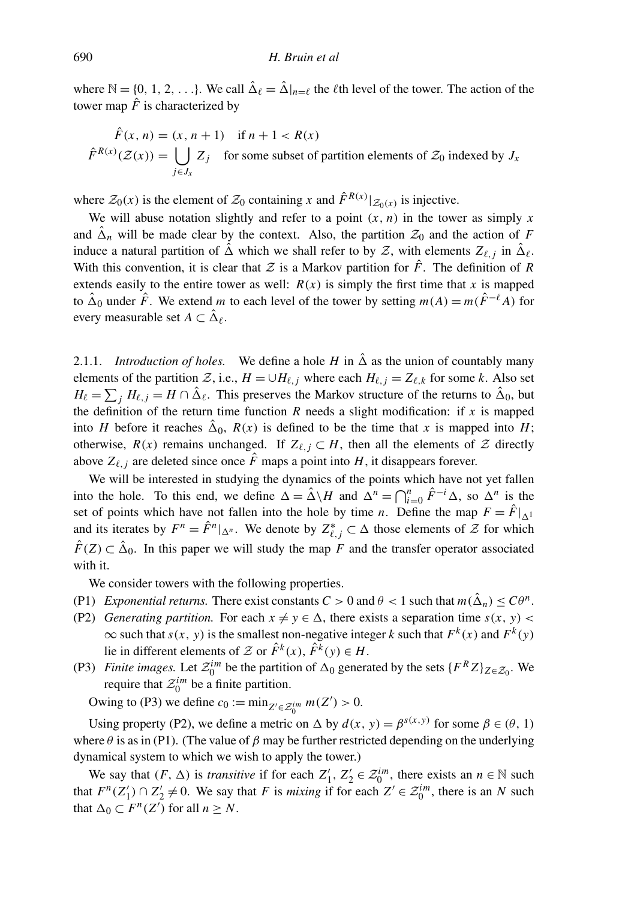where  $\mathbb{N} = \{0, 1, 2, \ldots\}$ . We call  $\hat{\Delta}_{\ell} = \hat{\Delta}|_{n=\ell}$  the  $\ell$ th level of the tower. The action of the tower map  $\hat{F}$  is characterized by

$$
\hat{F}(x, n) = (x, n + 1) \quad \text{if } n + 1 < R(x)
$$
\n
$$
\hat{F}^{R(x)}(\mathcal{Z}(x)) = \bigcup_{j \in J_x} Z_j \quad \text{for some subset of partition elements of } \mathcal{Z}_0 \text{ indexed by } J_x
$$

where  $\mathcal{Z}_0(x)$  is the element of  $\mathcal{Z}_0$  containing *x* and  $\hat{F}^{R(x)}|_{\mathcal{Z}_0(x)}$  is injective.

We will abuse notation slightly and refer to a point  $(x, n)$  in the tower as simply x and  $\hat{\Delta}_n$  will be made clear by the context. Also, the partition  $\mathcal{Z}_0$  and the action of *F* induce a natural partition of  $\hat{\Delta}$  which we shall refer to by Z, with elements  $Z_{\ell,j}$  in  $\hat{\Delta}_{\ell}$ . With this convention, it is clear that  $Z$  is a Markov partition for  $\hat{F}$ . The definition of R extends easily to the entire tower as well:  $R(x)$  is simply the first time that x is mapped to  $\hat{\Delta}_0$  under  $\hat{F}$ . We extend *m* to each level of the tower by setting  $m(A) = m(\hat{F}^{-\ell}A)$  for every measurable set  $A \subset \hat{\Delta}_\ell$ .

2.1.1. *Introduction of holes.* We define a hole *H* in  $\hat{\Delta}$  as the union of countably many elements of the partition  $Z$ , i.e.,  $H = \bigcup H_{\ell,j}$  where each  $H_{\ell,j} = Z_{\ell,k}$  for some *k*. Also set  $H_{\ell} = \sum_j H_{\ell,j} = H \cap \hat{\Delta}_{\ell}$ . This preserves the Markov structure of the returns to  $\hat{\Delta}_0$ , but the definition of the return time function  $R$  needs a slight modification: if  $x$  is mapped into *H* before it reaches  $\hat{\Delta}_0$ ,  $R(x)$  is defined to be the time that *x* is mapped into *H*; otherwise,  $R(x)$  remains unchanged. If  $Z_{\ell,j} \subset H$ , then all the elements of  $\mathcal Z$  directly above  $Z_{\ell, j}$  are deleted since once  $\hat{F}$  maps a point into *H*, it disappears forever.

We will be interested in studying the dynamics of the points which have not yet fallen into the hole. To this end, we define  $\Delta = \hat{\Delta} \setminus H$  and  $\Delta^n = \bigcap_{i=0}^n \hat{F}^{-i} \Delta$ , so  $\Delta^n$  is the set of points which have not fallen into the hole by time *n*. Define the map  $F = \hat{F}|_{\Delta^1}$ and its iterates by  $F^n = \hat{F}^n|_{\Delta^n}$ . We denote by  $Z_{\ell,j}^* \subset \Delta$  those elements of  $\mathcal Z$  for which  $\hat{F}(Z) \subset \hat{\Delta}_0$ . In this paper we will study the map *F* and the transfer operator associated with it.

We consider towers with the following properties.

- (P1) *Exponential returns.* There exist constants  $C > 0$  and  $\theta < 1$  such that  $m(\hat{\Delta}_n) \leq C\theta^n$ .
- (P2) *Generating partition.* For each  $x \neq y \in \Delta$ , there exists a separation time  $s(x, y)$  $\infty$  such that *s*(*x*, *y*) is the smallest non-negative integer *k* such that  $F^k(x)$  and  $F^k(y)$ lie in different elements of Z or  $\hat{F}^k(x)$ ,  $\hat{F}^k(y) \in H$ .
- (P3) *Finite images.* Let  $\mathcal{Z}_0^{im}$  be the partition of  $\Delta_0$  generated by the sets  $\{F^R Z\}_{Z \in \mathcal{Z}_0}$ . We require that  $\mathcal{Z}_0^{im}$  be a finite partition.

Owing to (P3) we define  $c_0 := \min_{Z' \in \mathcal{Z}_0^{im}} m(Z') > 0$ .

Using property (P2), we define a metric on  $\Delta$  by  $d(x, y) = \beta^{s(x, y)}$  for some  $\beta \in (\theta, 1)$ where  $\theta$  is as in (P1). (The value of  $\beta$  may be further restricted depending on the underlying dynamical system to which we wish to apply the tower.)

We say that  $(F, \Delta)$  is *transitive* if for each  $Z'_1, Z'_2 \in \mathcal{Z}_0^{im}$ , there exists an  $n \in \mathbb{N}$  such that  $F^n(Z'_1) \cap Z'_2 \neq 0$ . We say that *F* is *mixing* if for each  $Z' \in \mathcal{Z}_0^{im}$ , there is an *N* such that  $\Delta_0 \subset F^n(Z')$  for all  $n \geq N$ .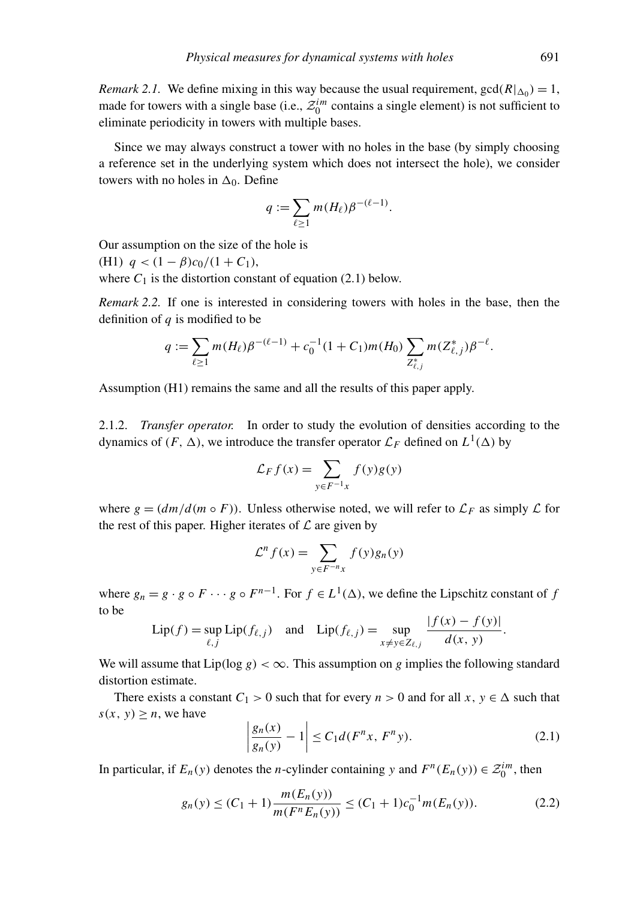*Remark 2.1.* We define mixing in this way because the usual requirement,  $gcd(R|_{\Delta_0}) = 1$ , made for towers with a single base (i.e.,  $\mathcal{Z}_0^{im}$  contains a single element) is not sufficient to eliminate periodicity in towers with multiple bases.

Since we may always construct a tower with no holes in the base (by simply choosing a reference set in the underlying system which does not intersect the hole), we consider towers with no holes in  $\Delta_0$ . Define

$$
q:=\sum_{\ell\geq 1}m(H_{\ell})\beta^{-(\ell-1)}.
$$

Our assumption on the size of the hole is (H1)  $q < (1 - \beta)c_0/(1 + C_1)$ , where  $C_1$  is the distortion constant of equation (2.1) below.

*Remark 2.2.* If one is interested in considering towers with holes in the base, then the definition of *q* is modified to be

$$
q:=\sum_{\ell\geq 1}m(H_{\ell})\beta^{-(\ell-1)}+c_0^{-1}(1+C_1)m(H_0)\sum_{Z_{\ell,j}^*}m(Z_{\ell,j}^*)\beta^{-\ell}.
$$

Assumption (H1) remains the same and all the results of this paper apply.

2.1.2. *Transfer operator.* In order to study the evolution of densities according to the dynamics of  $(F, \Delta)$ , we introduce the transfer operator  $\mathcal{L}_F$  defined on  $L^1(\Delta)$  by

$$
\mathcal{L}_F f(x) = \sum_{y \in F^{-1}x} f(y)g(y)
$$

where  $g = (dm/d(m \circ F))$ . Unless otherwise noted, we will refer to  $\mathcal{L}_F$  as simply  $\mathcal L$  for the rest of this paper. Higher iterates of  $\mathcal L$  are given by

$$
\mathcal{L}^n f(x) = \sum_{y \in F^{-n}x} f(y)g_n(y)
$$

where  $g_n = g \cdot g \circ F \cdots g \circ F^{n-1}$ . For  $f \in L^1(\Delta)$ , we define the Lipschitz constant of *f* to be | *f* (*x*) − *f* (*y*)|

$$
\text{Lip}(f) = \sup_{\ell, j} \text{Lip}(f_{\ell, j}) \quad \text{and} \quad \text{Lip}(f_{\ell, j}) = \sup_{x \neq y \in Z_{\ell, j}} \frac{|f(x) - f(y)|}{d(x, y)}.
$$

We will assume that  $Lip(\log g) < \infty$ . This assumption on *g* implies the following standard distortion estimate.

There exists a constant  $C_1 > 0$  such that for every  $n > 0$  and for all  $x, y \in \Delta$  such that  $s(x, y) > n$ , we have

$$
\left|\frac{g_n(x)}{g_n(y)} - 1\right| \le C_1 d(F^n x, F^n y). \tag{2.1}
$$

In particular, if  $E_n(y)$  denotes the *n*-cylinder containing *y* and  $F^n(E_n(y)) \in \mathcal{Z}_0^{im}$ , then

$$
g_n(y) \le (C_1 + 1) \frac{m(E_n(y))}{m(F^n E_n(y))} \le (C_1 + 1)c_0^{-1} m(E_n(y)).
$$
\n(2.2)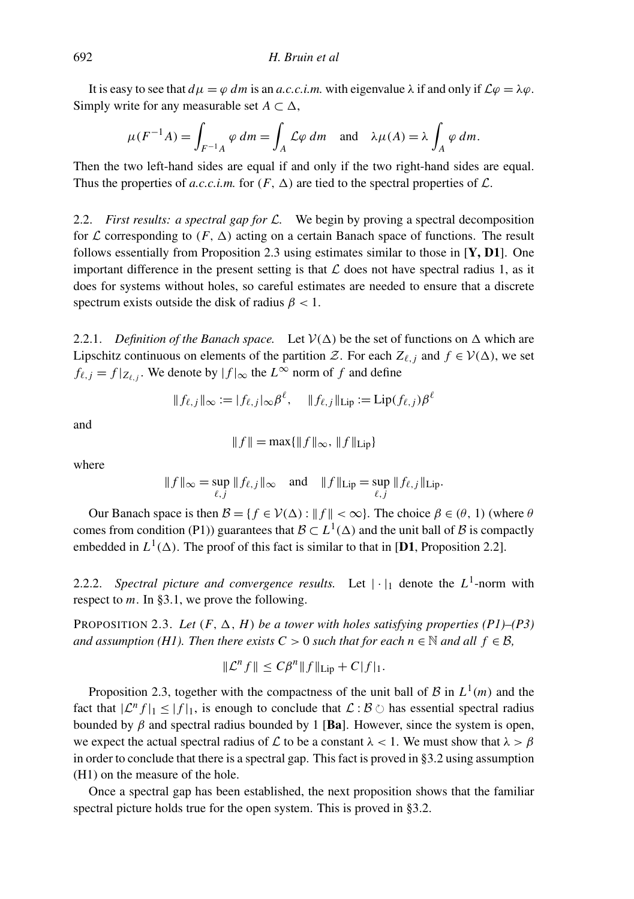It is easy to see that  $d\mu = \varphi dm$  is an *a.c.c.i.m.* with eigenvalue  $\lambda$  if and only if  $\mathcal{L}\varphi = \lambda \varphi$ . Simply write for any measurable set  $A \subset \Delta$ ,

$$
\mu(F^{-1}A) = \int_{F^{-1}A} \varphi \, dm = \int_A \mathcal{L}\varphi \, dm \quad \text{and} \quad \lambda \mu(A) = \lambda \int_A \varphi \, dm.
$$

Then the two left-hand sides are equal if and only if the two right-hand sides are equal. Thus the properties of *a.c.c.i.m.* for  $(F, \Delta)$  are tied to the spectral properties of  $\mathcal{L}$ .

2.2. *First results: a spectral gap for* L*.* We begin by proving a spectral decomposition for  $\mathcal L$  corresponding to  $(F, \Delta)$  acting on a certain Banach space of functions. The result follows essentially from Proposition 2.3 using estimates similar to those in  $[Y, D1]$ . One important difference in the present setting is that  $\mathcal L$  does not have spectral radius 1, as it does for systems without holes, so careful estimates are needed to ensure that a discrete spectrum exists outside the disk of radius  $\beta$  < 1.

2.2.1. *Definition of the Banach space.* Let  $V(\Delta)$  be the set of functions on  $\Delta$  which are Lipschitz continuous on elements of the partition  $\mathcal{Z}$ . For each  $Z_{\ell,i}$  and  $f \in \mathcal{V}(\Delta)$ , we set  $f_{\ell,j} = f|_{Z_{\ell,j}}$ . We denote by  $|f|_{\infty}$  the  $L^{\infty}$  norm of  $f$  and define

$$
|| f_{\ell,j} ||_{\infty} := | f_{\ell,j} |_{\infty} \beta^{\ell}, \quad || f_{\ell,j} ||_{\text{Lip}} := \text{Lip}(f_{\ell,j}) \beta^{\ell}
$$

and

$$
|| f || = \max{||f||_{\infty}, ||f||_{\text{Lip}}}
$$

where

$$
\|f\|_{\infty} = \sup_{\ell,j} \|f_{\ell,j}\|_{\infty} \quad \text{and} \quad \|f\|_{\mathrm{Lip}} = \sup_{\ell,j} \|f_{\ell,j}\|_{\mathrm{Lip}}.
$$

Our Banach space is then  $\mathcal{B} = \{f \in V(\Delta) : ||f|| < \infty\}$ . The choice  $\beta \in (\theta, 1)$  (where  $\theta$ comes from condition (P1)) guarantees that  $\mathcal{B} \subset L^1(\Delta)$  and the unit ball of  $\mathcal B$  is compactly embedded in  $L^1(\Delta)$ . The proof of this fact is similar to that in [D1, Proposition 2.2].

2.2.2. *Spectral picture and convergence results.* Let  $|\cdot|_1$  denote the  $L^1$ -norm with respect to *m*. In §3.1, we prove the following.

PROPOSITION 2.3. Let  $(F, \Delta, H)$  be a tower with holes satisfying properties  $(PI)$ – $(P3)$ *and assumption (H1). Then there exists C* > 0 *such that for each n*  $\in \mathbb{N}$  *and all*  $f \in \mathcal{B}$ ,

$$
\|\mathcal{L}^n f\| \le C\beta^n \|f\|_{\text{Lip}} + C|f|_1.
$$

Proposition 2.3, together with the compactness of the unit ball of  $\mathcal{B}$  in  $L^1(m)$  and the fact that  $|\mathcal{L}^n f|_1 \leq |f|_1$ , is enough to conclude that  $\mathcal{L} : \mathcal{B} \circlearrowright$  has essential spectral radius bounded by  $\beta$  and spectral radius bounded by 1 [Ba]. However, since the system is open, we expect the actual spectral radius of L to be a constant  $\lambda < 1$ . We must show that  $\lambda > \beta$ in order to conclude that there is a spectral gap. This fact is proved in §3.2 using assumption (H1) on the measure of the hole.

Once a spectral gap has been established, the next proposition shows that the familiar spectral picture holds true for the open system. This is proved in §3.2.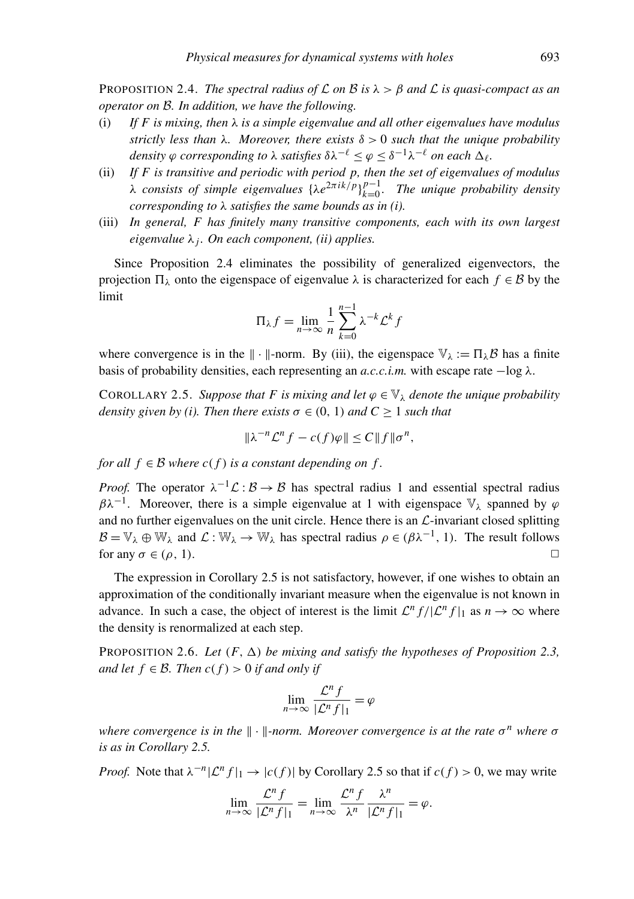**PROPOSITION 2.4.** *The spectral radius of*  $\mathcal L$  *on*  $\mathcal B$  *is*  $\lambda > \beta$  *and*  $\mathcal L$  *is quasi-compact as an operator on* B*. In addition, we have the following.*

- (i) *If F is mixing, then* λ *is a simple eigenvalue and all other eigenvalues have modulus strictly less than* λ*. Moreover, there exists* δ > 0 *such that the unique probability* density  $\varphi$  *corresponding to*  $\lambda$  *satisfies*  $\delta \lambda^{-\ell} \leq \varphi \leq \delta^{-1} \lambda^{-\ell}$  *on each*  $\Delta_{\ell}$ *.*
- (ii) *If F is transitive and periodic with period p, then the set of eigenvalues of modulus*  $\lambda$  *consists of simple eigenvalues*  $\{\lambda e^{2\pi i k/p}\}_{k=0}^{p-1}$ *k*=0 *. The unique probability density corresponding to* λ *satisfies the same bounds as in (i).*
- (iii) *In general, F has finitely many transitive components, each with its own largest eigenvalue* λ*<sup>j</sup> . On each component, (ii) applies.*

Since Proposition 2.4 eliminates the possibility of generalized eigenvectors, the projection  $\Pi_{\lambda}$  onto the eigenspace of eigenvalue  $\lambda$  is characterized for each  $f \in \mathcal{B}$  by the limit

$$
\Pi_{\lambda} f = \lim_{n \to \infty} \frac{1}{n} \sum_{k=0}^{n-1} \lambda^{-k} \mathcal{L}^k f
$$

where convergence is in the  $\| \cdot \|$ -norm. By (iii), the eigenspace  $\mathbb{V}_{\lambda} := \Pi_{\lambda} \mathcal{B}$  has a finite basis of probability densities, each representing an  $a.c.c.i.m.$  with escape rate  $-\log \lambda$ .

COROLLARY 2.5. Suppose that F is mixing and let  $\varphi \in V_\lambda$  denote the unique probability *density given by (i). Then there exists*  $\sigma \in (0, 1)$  *and*  $C \ge 1$  *such that* 

$$
\|\lambda^{-n}\mathcal{L}^n f - c(f)\varphi\| \le C \|f\|\sigma^n,
$$

*for all*  $f \in \mathcal{B}$  *where*  $c(f)$  *is a constant depending on f.* 

*Proof.* The operator  $\lambda^{-1} \mathcal{L} : \mathcal{B} \to \mathcal{B}$  has spectral radius 1 and essential spectral radius  $\beta \lambda^{-1}$ . Moreover, there is a simple eigenvalue at 1 with eigenspace  $\mathbb{V}_{\lambda}$  spanned by  $\varphi$ and no further eigenvalues on the unit circle. Hence there is an  $\mathcal{L}$ -invariant closed splitting  $\mathcal{B} = \mathbb{V}_{\lambda} \oplus \mathbb{W}_{\lambda}$  and  $\mathcal{L} : \mathbb{W}_{\lambda} \to \mathbb{W}_{\lambda}$  has spectral radius  $\rho \in (\beta \lambda^{-1}, 1)$ . The result follows for any  $\sigma \in (\rho, 1)$ .

The expression in Corollary 2.5 is not satisfactory, however, if one wishes to obtain an approximation of the conditionally invariant measure when the eigenvalue is not known in advance. In such a case, the object of interest is the limit  $\mathcal{L}^n f / |\mathcal{L}^n f|_1$  as  $n \to \infty$  where the density is renormalized at each step.

PROPOSITION 2.6. Let  $(F, \Delta)$  *be mixing and satisfy the hypotheses of Proposition* 2.3, *and let*  $f \in \mathcal{B}$ *. Then*  $c(f) > 0$  *if and only if* 

$$
\lim_{n \to \infty} \frac{\mathcal{L}^n f}{|\mathcal{L}^n f|_1} = \varphi
$$

*where convergence is in the*  $\Vert \cdot \Vert$ -norm. Moreover convergence is at the rate σ<sup>n</sup> where σ *is as in Corollary 2.5.*

*Proof.* Note that  $\lambda^{-n} |\mathcal{L}^n f|_1 \to |c(f)|$  by Corollary 2.5 so that if  $c(f) > 0$ , we may write

$$
\lim_{n \to \infty} \frac{\mathcal{L}^n f}{|\mathcal{L}^n f|_1} = \lim_{n \to \infty} \frac{\mathcal{L}^n f}{\lambda^n} \frac{\lambda^n}{|\mathcal{L}^n f|_1} = \varphi.
$$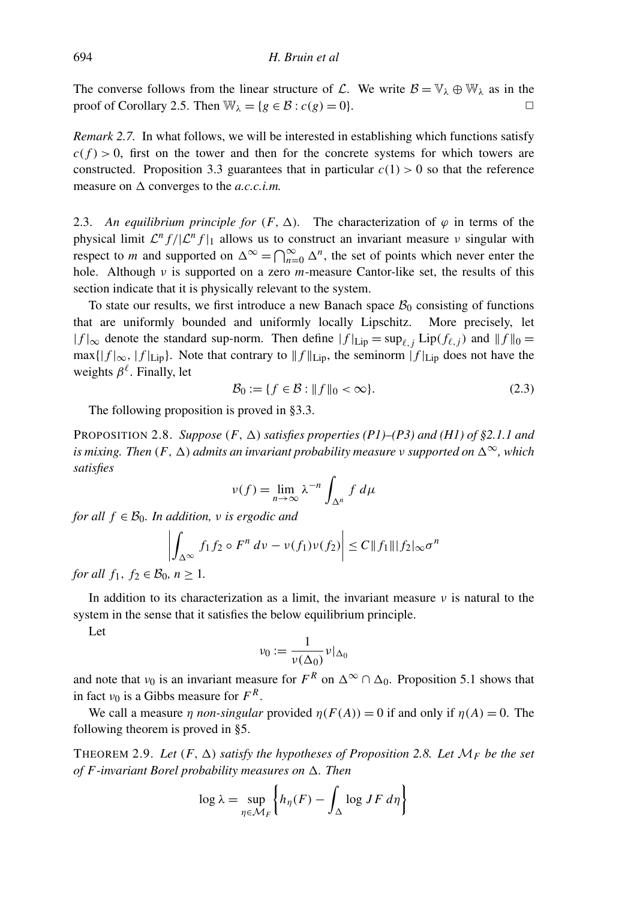The converse follows from the linear structure of L. We write  $\mathcal{B} = \mathbb{V}_{\lambda} \oplus \mathbb{W}_{\lambda}$  as in the proof of Corollary 2.5. Then  $\mathbb{W}_{\lambda} = \{g \in \mathcal{B} : c(g) = 0\}.$ 

*Remark 2.7.* In what follows, we will be interested in establishing which functions satisfy  $c(f) > 0$ , first on the tower and then for the concrete systems for which towers are constructed. Proposition 3.3 guarantees that in particular  $c(1) > 0$  so that the reference measure on  $\Delta$  converges to the *a.c.c.i.m.* 

2.3. An equilibrium principle for  $(F, \Delta)$ . The characterization of  $\varphi$  in terms of the physical limit  $\mathcal{L}^n f/|\mathcal{L}^n f|_1$  allows us to construct an invariant measure  $\nu$  singular with respect to *m* and supported on  $\Delta^{\infty} = \bigcap_{n=0}^{\infty} \Delta^n$ , the set of points which never enter the hole. Although ν is supported on a zero *m*-measure Cantor-like set, the results of this section indicate that it is physically relevant to the system.

To state our results, we first introduce a new Banach space  $B_0$  consisting of functions that are uniformly bounded and uniformly locally Lipschitz. More precisely, let  $|f|_{\infty}$  denote the standard sup-norm. Then define  $|f|_{\text{Lip}} = \sup_{\ell, j}$  Lip( $f_{\ell, j}$ ) and  $||f||_0 =$  $\max\{|f|_{\infty}, |f|_{\text{Lip}}\}$ . Note that contrary to  $||f||_{\text{Lip}}$ , the seminorm  $|f|_{\text{Lip}}$  does not have the weights  $\beta^{\ell}$ . Finally, let

$$
\mathcal{B}_0 := \{ f \in \mathcal{B} : \| f \|_0 < \infty \}. \tag{2.3}
$$

The following proposition is proved in §3.3.

PROPOSITION 2.8. *Suppose*  $(F, \Delta)$  *satisfies properties*  $(PI)$ – $(P3)$  *and*  $(H1)$  of §2.1.1 *and is mixing. Then*  $(F, \Delta)$  *admits an invariant probability measure v supported on*  $\Delta^{\infty}$ *, which satisfies*

$$
\nu(f) = \lim_{n \to \infty} \lambda^{-n} \int_{\Delta^n} f \, d\mu
$$

*for all*  $f \in \mathcal{B}_0$ *. In addition, v is ergodic and* 

$$
\left| \int_{\Delta^{\infty}} f_1 f_2 \circ F^n \, dv - \nu(f_1) \nu(f_2) \right| \leq C \|f_1\| \|f_2\|_{\infty} \sigma^n
$$

*for all*  $f_1, f_2 \in \mathcal{B}_0, n > 1$ .

In addition to its characterization as a limit, the invariant measure  $\nu$  is natural to the system in the sense that it satisfies the below equilibrium principle.

Let

$$
\nu_0 := \frac{1}{\nu(\Delta_0)} \nu|_{\Delta_0}
$$

and note that  $\nu_0$  is an invariant measure for  $F^R$  on  $\Delta^{\infty} \cap \Delta_0$ . Proposition 5.1 shows that in fact  $v_0$  is a Gibbs measure for  $F^R$ .

We call a measure  $\eta$  *non-singular* provided  $\eta(F(A)) = 0$  if and only if  $\eta(A) = 0$ . The following theorem is proved in §5.

THEOREM 2.9. Let  $(F, \Delta)$  *satisfy the hypotheses of Proposition* 2.8. Let  $\mathcal{M}_F$  be the set *of F*-invariant Borel probability measures on  $\Delta$ . Then

$$
\log \lambda = \sup_{\eta \in \mathcal{M}_F} \left\{ h_{\eta}(F) - \int_{\Delta} \log JF \, d\eta \right\}
$$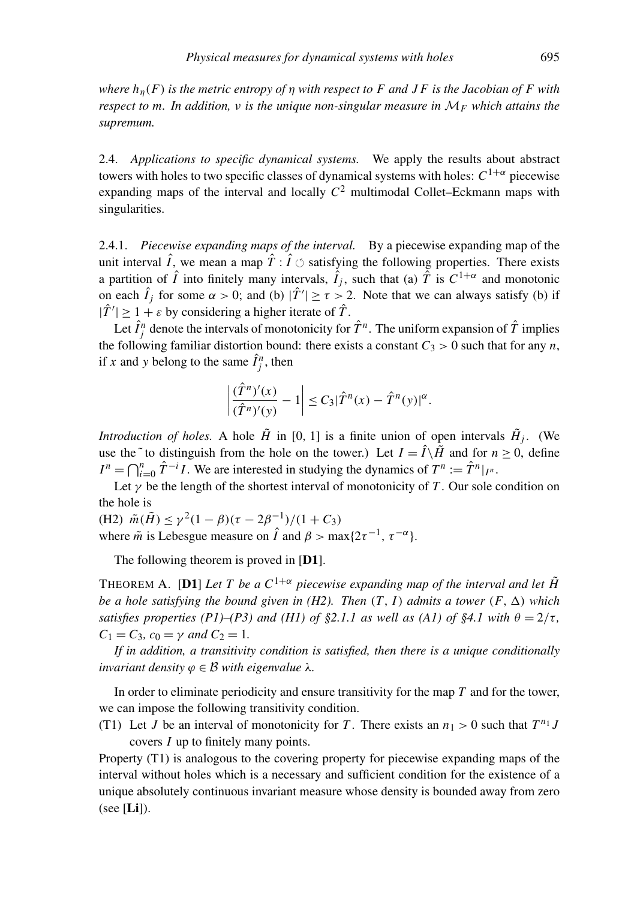*where h*η(*F*) *is the metric entropy of* η *with respect to F and J F is the Jacobian of F with respect to m. In addition,* ν *is the unique non-singular measure in* M*<sup>F</sup> which attains the supremum.*

2.4. *Applications to specific dynamical systems.* We apply the results about abstract towers with holes to two specific classes of dynamical systems with holes:  $C^{1+\alpha}$  piecewise expanding maps of the interval and locally  $C^2$  multimodal Collet–Eckmann maps with singularities.

2.4.1. *Piecewise expanding maps of the interval.* By a piecewise expanding map of the unit interval  $\hat{I}$ , we mean a map  $\hat{T}$  :  $\hat{I}$   $\circlearrowleft$  satisfying the following properties. There exists a partition of  $\hat{I}$  into finitely many intervals,  $\hat{I}_j$ , such that (a)  $\hat{T}$  is  $C^{1+\alpha}$  and monotonic on each  $\hat{I}_j$  for some  $\alpha > 0$ ; and (b)  $|\hat{T}'| \ge \tau > 2$ . Note that we can always satisfy (b) if  $|\hat{T}'| \geq 1 + \varepsilon$  by considering a higher iterate of  $\hat{T}$ .

Let  $\hat{I}_j^n$  denote the intervals of monotonicity for  $\hat{T}^n$ . The uniform expansion of  $\hat{T}$  implies the following familiar distortion bound: there exists a constant  $C_3 > 0$  such that for any *n*, if *x* and *y* belong to the same  $\hat{I}_j^n$ , then

$$
\left|\frac{(\hat{T}^n)'(x)}{(\hat{T}^n)'(y)}-1\right|\leq C_3|\hat{T}^n(x)-\hat{T}^n(y)|^{\alpha}.
$$

*Introduction of holes.* A hole  $\tilde{H}$  in [0, 1] is a finite union of open intervals  $\tilde{H}_j$ . (We use the  $\tilde{ }$  to distinguish from the hole on the tower.) Let  $I = \hat{I} \setminus \tilde{H}$  and for  $n \geq 0$ , define  $I^n = \bigcap_{i=0}^n \hat{T}^{-i}I$ . We are interested in studying the dynamics of  $T^n := \hat{T}^n|_{I^n}$ .

Let  $\gamma$  be the length of the shortest interval of monotonicity of *T*. Our sole condition on the hole is

(H2)  $\tilde{m}(\tilde{H}) \le \gamma^2 (1 - \beta)(\tau - 2\beta^{-1})/(1 + C_3)$ where  $\tilde{m}$  is Lebesgue measure on  $\hat{I}$  and  $\beta > \max\{2\tau^{-1}, \tau^{-\alpha}\}.$ 

The following theorem is proved in [D1].

THEOREM A. [D1] *Let* T be a  $C^{1+\alpha}$  piecewise expanding map of the interval and let  $\tilde{H}$ *be a hole satisfying the bound given in (H2). Then*  $(T, I)$  *admits a tower*  $(F, \Delta)$  *which satisfies properties (P1)–(P3) and (H1) of*  $\S2.1.1$  *as well as (A1) of*  $\S4.1$  *with*  $\theta = 2/\tau$ ,  $C_1 = C_3$ ,  $c_0 = \gamma$  *and*  $C_2 = 1$ .

*If in addition, a transitivity condition is satisfied, then there is a unique conditionally invariant density*  $\varphi \in \mathcal{B}$  *with eigenvalue*  $\lambda$ *.* 

In order to eliminate periodicity and ensure transitivity for the map *T* and for the tower, we can impose the following transitivity condition.

(T1) Let *J* be an interval of monotonicity for *T*. There exists an  $n_1 > 0$  such that  $T^{n_1}J$ covers *I* up to finitely many points.

Property (T1) is analogous to the covering property for piecewise expanding maps of the interval without holes which is a necessary and sufficient condition for the existence of a unique absolutely continuous invariant measure whose density is bounded away from zero (see  $[Li]$ ).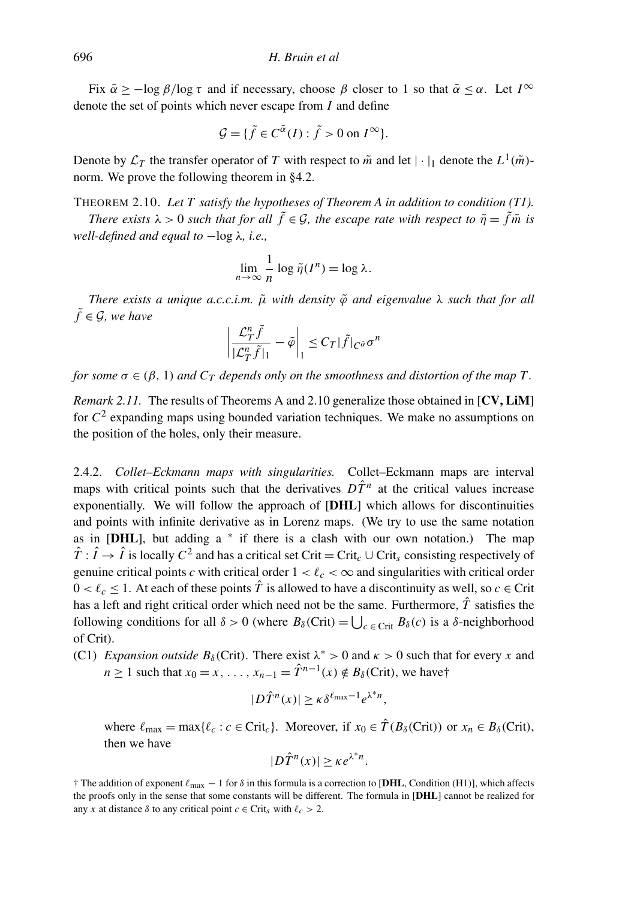Fix  $\bar{\alpha}$  > -log  $\beta$ /log τ and if necessary, choose  $\beta$  closer to 1 so that  $\bar{\alpha} < \alpha$ . Let  $I^{\infty}$ denote the set of points which never escape from *I* and define

$$
\mathcal{G} = \{ \tilde{f} \in C^{\bar{\alpha}}(I) : \tilde{f} > 0 \text{ on } I^{\infty} \}.
$$

Denote by  $\mathcal{L}_T$  the transfer operator of *T* with respect to  $\tilde{m}$  and let  $|\cdot|_1$  denote the  $L^1(\tilde{m})$ norm. We prove the following theorem in §4.2.

THEOREM 2.10. *Let T satisfy the hypotheses of Theorem A in addition to condition (T1).*

*There exists*  $\lambda > 0$  *such that for all*  $\tilde{f} \in \mathcal{G}$ *, the escape rate with respect to*  $\tilde{\eta} = \tilde{f} \tilde{m}$  *is well-defined and equal to* −log  $λ$ , *i.e.*,

$$
\lim_{n \to \infty} \frac{1}{n} \log \tilde{\eta}(I^n) = \log \lambda.
$$

*There exists a unique a.c.c.i.m.*  $\tilde{\mu}$  *with density*  $\tilde{\varphi}$  *and eigenvalue*  $\lambda$  *such that for all*  $\tilde{f} \in \mathcal{G}$ *, we have* 

$$
\left|\frac{\mathcal{L}_T^n \tilde{f}}{|\mathcal{L}_T^n \tilde{f}|_1} - \tilde{\varphi}\right|_1 \leq C_T |\tilde{f}|_{C^{\tilde{\alpha}}}\sigma^n
$$

*for some*  $\sigma \in (\beta, 1)$  *and*  $C_T$  *depends only on the smoothness and distortion of the map* T.

*Remark 2.11.* The results of Theorems A and 2.10 generalize those obtained in [CV, LiM] for *C* 2 expanding maps using bounded variation techniques. We make no assumptions on the position of the holes, only their measure.

2.4.2. *Collet–Eckmann maps with singularities.* Collet–Eckmann maps are interval maps with critical points such that the derivatives  $D\hat{T}^n$  at the critical values increase exponentially. We will follow the approach of **[DHL**] which allows for discontinuities and points with infinite derivative as in Lorenz maps. (We try to use the same notation as in  $[DHL]$ , but adding a  $*$  if there is a clash with our own notation.) The map  $\hat{T}: \hat{I} \to \hat{I}$  is locally  $C^2$  and has a critical set Crit = Crit<sub>c</sub> ∪ Crit<sub>s</sub> consisting respectively of genuine critical points *c* with critical order  $1 < l_c < \infty$  and singularities with critical order  $0 < \ell_c < 1$ . At each of these points  $\hat{T}$  is allowed to have a discontinuity as well, so  $c \in \text{Crit}$ has a left and right critical order which need not be the same. Furthermore,  $\hat{T}$  satisfies the following conditions for all  $\delta > 0$  (where  $B_{\delta}$ (Crit) =  $\bigcup_{c \in \text{Crit}} B_{\delta}(c)$  is a  $\delta$ -neighborhood of Crit).

(C1) *Expansion outside*  $B_\delta$ (Crit). There exist  $\lambda^* > 0$  and  $\kappa > 0$  such that for every *x* and *n* ≥ 1 such that  $x_0 = x, ..., x_{n-1} = \hat{T}^{n-1}(x) \notin B_\delta$  (Crit), we have†

$$
|D\hat{T}^n(x)| \ge \kappa \delta^{\ell_{\max}-1} e^{\lambda^* n},
$$

where  $\ell_{\text{max}} = \max{\{\ell_c : c \in \text{Crit}_c\}}$ . Moreover, if  $x_0 \in \hat{T}(B_\delta(\text{Crit}))$  or  $x_n \in B_\delta(\text{Crit}),$ then we have

$$
|D\hat{T}^n(x)| \ge \kappa e^{\lambda^* n}.
$$

<sup>†</sup> The addition of exponent  $\ell_{\text{max}}$  − 1 for  $\delta$  in this formula is a correction to [DHL, Condition (H1)], which affects the proofs only in the sense that some constants will be different. The formula in [DHL] cannot be realized for any *x* at distance  $\delta$  to any critical point  $c \in \text{Crit}_\delta$  with  $\ell_c > 2$ .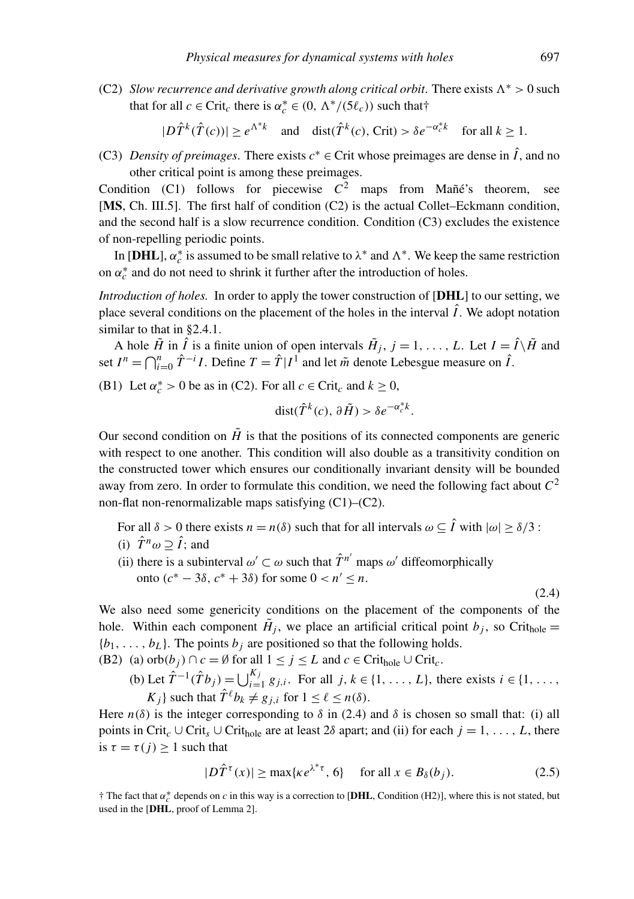(C2) *Slow recurrence and derivative growth along critical orbit*. There exists  $\Lambda^* > 0$  such that for all  $c \in \text{Crit}_c$  there is  $\alpha_c^* \in (0, \Lambda^*/(5\ell_c))$  such that†

$$
|D\hat{T}^k(\hat{T}(c))| \ge e^{\Lambda^*k} \quad \text{and} \quad \text{dist}(\hat{T}^k(c), \text{Crit}) > \delta e^{-\alpha_c^*k} \quad \text{for all } k \ge 1.
$$

(C3) *Density of preimages*. There exists  $c^* \in \text{Crit}$  whose preimages are dense in  $\hat{I}$ , and no other critical point is among these preimages.

Condition (C1) follows for piecewise  $C^2$  maps from Mañé's theorem, see [MS, Ch. III.5]. The first half of condition (C2) is the actual Collet–Eckmann condition, and the second half is a slow recurrence condition. Condition (C3) excludes the existence of non-repelling periodic points.

In [DHL],  $\alpha_c^*$  is assumed to be small relative to  $\lambda^*$  and  $\Lambda^*$ . We keep the same restriction on  $\alpha_c^*$  and do not need to shrink it further after the introduction of holes.

*Introduction of holes.* In order to apply the tower construction of [DHL] to our setting, we place several conditions on the placement of the holes in the interval  $\hat{I}$ . We adopt notation similar to that in §2.4.1.

A hole  $\tilde{H}$  in  $\hat{I}$  is a finite union of open intervals  $\tilde{H}_j$ ,  $j = 1, \ldots, L$ . Let  $I = \hat{I} \setminus \tilde{H}$  and set  $I^n = \bigcap_{i=0}^n \hat{T}^{-i}I$ . Define  $T = \hat{T}|I^1$  and let  $\tilde{m}$  denote Lebesgue measure on  $\hat{I}$ .

(B1) Let  $\alpha_c^* > 0$  be as in (C2). For all  $c \in \text{Crit}_c$  and  $k \ge 0$ ,

$$
dist(\hat{T}^k(c), \partial \tilde{H}) > \delta e^{-\alpha_c^* k}.
$$

Our second condition on  $\tilde{H}$  is that the positions of its connected components are generic with respect to one another. This condition will also double as a transitivity condition on the constructed tower which ensures our conditionally invariant density will be bounded away from zero. In order to formulate this condition, we need the following fact about *C* 2 non-flat non-renormalizable maps satisfying (C1)–(C2).

For all  $\delta > 0$  there exists  $n = n(\delta)$  such that for all intervals  $\omega \subseteq \hat{I}$  with  $|\omega| \ge \delta/3$ :

(i) 
$$
\hat{T}^n \omega \supseteq \hat{I}
$$
; and

(ii) there is a subinterval  $\omega' \subset \omega$  such that  $\hat{T}^{n'}$  maps  $\omega'$  diffeomorphically onto  $(c^* - 3δ, c^* + 3δ)$  for some  $0 < n' ≤ n$ .

(2.4)

We also need some genericity conditions on the placement of the components of the hole. Within each component  $H_j$ , we place an artificial critical point  $b_j$ , so Crit<sub>hole</sub>  ${b_1, \ldots, b_L}$ . The points  $b_j$  are positioned so that the following holds.

(B2) (a) orb $(b_j) \cap c = \emptyset$  for all  $1 \le j \le L$  and  $c \in \text{Crit}_{\text{hole}} \cup \text{Crit}_{c}$ .

(b) Let  $\hat{T}^{-1}(\hat{T}b_j) = \bigcup_{i=1}^{K_j} g_{j,i}$ . For all  $j, k \in \{1, ..., L\}$ , there exists  $i \in \{1, ..., k\}$  $K_i$ } such that  $\hat{T}^{\ell} b_k \neq g_{i,i}$  for  $1 \leq \ell \leq n(\delta)$ .

Here  $n(\delta)$  is the integer corresponding to  $\delta$  in (2.4) and  $\delta$  is chosen so small that: (i) all points in Crit<sub>c</sub> ∪ Crit<sub>bole</sub> are at least 2 $\delta$  apart; and (ii) for each  $j = 1, \ldots, L$ , there is  $\tau = \tau(j) \geq 1$  such that

$$
|D\hat{T}^{\tau}(x)| \ge \max\{\kappa e^{\lambda^*\tau}, 6\} \quad \text{ for all } x \in B_{\delta}(b_j). \tag{2.5}
$$

<sup>†</sup> The fact that  $\alpha_c^*$  depends on *c* in this way is a correction to [DHL, Condition (H2)], where this is not stated, but used in the [DHL, proof of Lemma 2].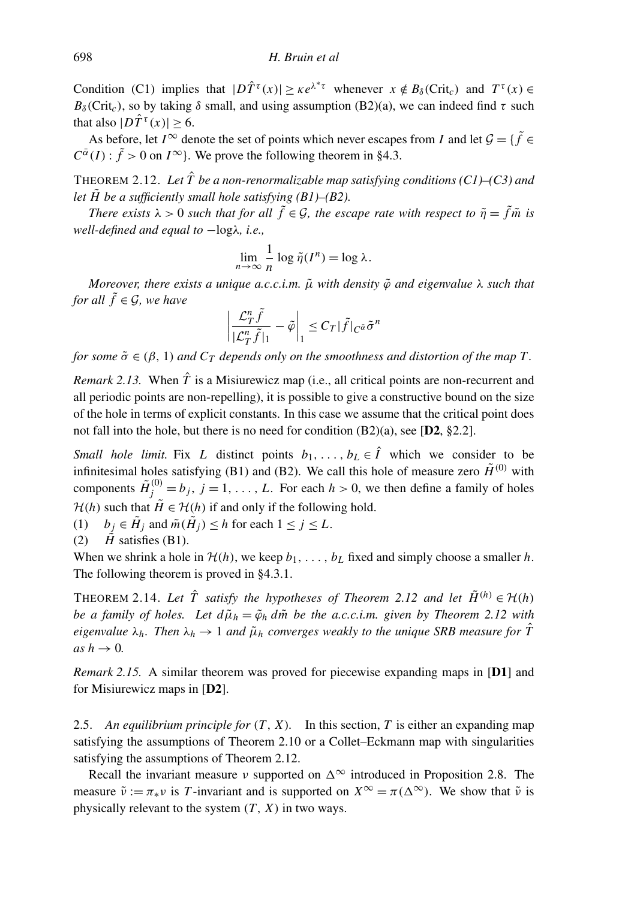Condition (C1) implies that  $|D\hat{T}^{\tau}(x)| \geq \kappa e^{\lambda^*\tau}$  whenever  $x \notin B_\delta(Crit_c)$  and  $T^{\tau}(x) \in$  $B_\delta$ (Crit<sub>c</sub>), so by taking  $\delta$  small, and using assumption (B2)(a), we can indeed find  $\tau$  such that also  $|D\hat{T}^{\tau}(x)| \geq 6$ .

As before, let  $I^{\infty}$  denote the set of points which never escapes from *I* and let  $\mathcal{G} = \{ \tilde{f} \in I \}$  $C^{\bar{\alpha}}(I)$ :  $\tilde{f} > 0$  on  $I^{\infty}$ }. We prove the following theorem in §4.3.

THEOREM 2.12. Let  $\hat{T}$  be a non-renormalizable map satisfying conditions (C1)–(C3) and *let*  $\tilde{H}$  *be a sufficiently small hole satisfying (B1)–(B2).* 

*There exists*  $\lambda > 0$  *such that for all*  $\tilde{f} \in \mathcal{G}$ *, the escape rate with respect to*  $\tilde{\eta} = \tilde{f} \tilde{m}$  *is well-defined and equal to* −logλ*, i.e.,*

$$
\lim_{n \to \infty} \frac{1}{n} \log \tilde{\eta}(I^n) = \log \lambda.
$$

*Moreover, there exists a unique a.c.c.i.m.* μ *with density*  $\tilde{\varphi}$  *and eigenvalue* λ *such that for all*  $\tilde{f} \in \mathcal{G}$ *, we have* 

$$
\left|\frac{\mathcal{L}_T^n \tilde{f}}{|\mathcal{L}_T^n \tilde{f}|_1} - \tilde{\varphi}\right|_1 \leq C_T |\tilde{f}|_{C^{\tilde{\alpha}}} \tilde{\sigma}^n
$$

*for some*  $\tilde{\sigma} \in (\beta, 1)$  *and*  $C_T$  *depends only on the smoothness and distortion of the map T.* 

*Remark 2.13.* When  $\hat{T}$  is a Misiurewicz map (i.e., all critical points are non-recurrent and all periodic points are non-repelling), it is possible to give a constructive bound on the size of the hole in terms of explicit constants. In this case we assume that the critical point does not fall into the hole, but there is no need for condition  $(B2)(a)$ , see [D2, §2.2].

*Small hole limit.* Fix *L* distinct points  $b_1, \ldots, b_L \in \hat{I}$  which we consider to be infinitesimal holes satisfying (B1) and (B2). We call this hole of measure zero  $\tilde{H}^{(0)}$  with components  $\tilde{H}^{(0)}_j = b_j$ ,  $j = 1, ..., L$ . For each  $h > 0$ , we then define a family of holes  $\mathcal{H}(h)$  such that  $\tilde{H} \in \mathcal{H}(h)$  if and only if the following hold.

- (1)  $b_j \in \tilde{H}_j$  and  $\tilde{m}(\tilde{H}_j) \leq h$  for each  $1 \leq j \leq L$ .
- (2)  $\vec{H}$  satisfies (B1).

When we shrink a hole in  $\mathcal{H}(h)$ , we keep  $b_1, \ldots, b_L$  fixed and simply choose a smaller *h*. The following theorem is proved in §4.3.1.

THEOREM 2.14. Let  $\hat{T}$  satisfy the hypotheses of Theorem 2.12 and let  $\tilde{H}^{(h)} \in \mathcal{H}(h)$ *be a family of holes. Let*  $d\tilde{\mu}_h = \tilde{\varphi}_h d\tilde{m}$  *be the a.c.c.i.m. given by Theorem 2.12 with eigenvalue*  $\lambda_h$ *. Then*  $\lambda_h \to 1$  *and*  $\tilde{\mu}_h$  *converges weakly to the unique SRB measure for*  $\hat{T}$  $as h \rightarrow 0$ .

*Remark 2.15.* A similar theorem was proved for piecewise expanding maps in [D1] and for Misiurewicz maps in [D2].

2.5. *An equilibrium principle for* (*T*, *X*)*.* In this section, *T* is either an expanding map satisfying the assumptions of Theorem 2.10 or a Collet–Eckmann map with singularities satisfying the assumptions of Theorem 2.12.

Recall the invariant measure  $\nu$  supported on  $\Delta^{\infty}$  introduced in Proposition 2.8. The measure  $\tilde{\nu} := \pi_* \nu$  is *T*-invariant and is supported on  $X^{\infty} = \pi(\Delta^{\infty})$ . We show that  $\tilde{\nu}$  is physically relevant to the system  $(T, X)$  in two ways.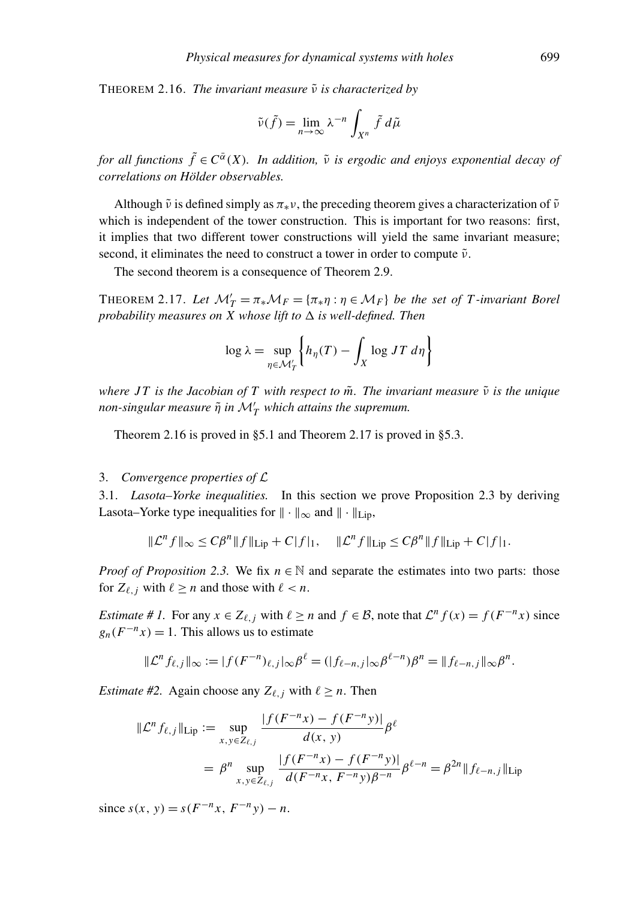THEOREM 2.16. *The invariant measure*  $\tilde{v}$  *is characterized by* 

$$
\tilde{\nu}(\tilde{f}) = \lim_{n \to \infty} \lambda^{-n} \int_{X^n} \tilde{f} \, d\tilde{\mu}
$$

*for all functions*  $\tilde{f} \in C^{\tilde{\alpha}}(X)$ *. In addition,*  $\tilde{\nu}$  *is ergodic and enjoys exponential decay of correlations on Holder observables. ¨*

Although  $\tilde{\nu}$  is defined simply as  $\pi_*\nu$ , the preceding theorem gives a characterization of  $\tilde{\nu}$ which is independent of the tower construction. This is important for two reasons: first, it implies that two different tower constructions will yield the same invariant measure; second, it eliminates the need to construct a tower in order to compute  $\tilde{\nu}$ .

The second theorem is a consequence of Theorem 2.9.

THEOREM 2.17. Let  $\mathcal{M}'_T = \pi_* \mathcal{M}_F = {\pi_* \eta : \eta \in \mathcal{M}_F}$  *be the set of T-invariant Borel probability measures on X whose lift to*  $\Delta$  *is well-defined. Then* 

$$
\log \lambda = \sup_{\eta \in \mathcal{M}'_T} \left\{ h_{\eta}(T) - \int_X \log JT \, d\eta \right\}
$$

*where JT is the Jacobian of T with respect to*  $\tilde{m}$ . The invariant measure  $\tilde{v}$  is the unique  $\emph{non-singular measure $\tilde{\eta}$ in $\mathcal{M}'_T$ which attains the supremum.}$ 

Theorem 2.16 is proved in §5.1 and Theorem 2.17 is proved in §5.3.

#### 3. *Convergence properties of* L

3.1. *Lasota–Yorke inequalities.* In this section we prove Proposition 2.3 by deriving Lasota–Yorke type inequalities for  $\|\cdot\|_{\infty}$  and  $\|\cdot\|_{\text{Lin}}$ ,

$$
\|\mathcal{L}^n f\|_{\infty} \le C\beta^n \|f\|_{\text{Lip}} + C|f|_1, \quad \|\mathcal{L}^n f\|_{\text{Lip}} \le C\beta^n \|f\|_{\text{Lip}} + C|f|_1.
$$

*Proof of Proposition* 2.3. We fix  $n \in \mathbb{N}$  and separate the estimates into two parts: those for  $Z_{\ell, i}$  with  $\ell \geq n$  and those with  $\ell < n$ .

*Estimate* # *I*. For any  $x \in Z_{\ell, j}$  with  $\ell \ge n$  and  $f \in \mathcal{B}$ , note that  $\mathcal{L}^n f(x) = f(F^{-n}x)$  since  $g_n(F^{-n}x) = 1$ . This allows us to estimate

$$
\|\mathcal{L}^n f_{\ell,j}\|_{\infty} := |f(F^{-n})_{\ell,j}| \infty \beta^{\ell} = (|f_{\ell-n,j}| \infty \beta^{\ell-n}) \beta^n = \|f_{\ell-n,j}\|_{\infty} \beta^n.
$$

*Estimate #2.* Again choose any  $Z_{\ell, j}$  with  $\ell \geq n$ . Then

$$
\|\mathcal{L}^n f_{\ell,j}\|_{\text{Lip}} := \sup_{x,y \in Z_{\ell,j}} \frac{|f(F^{-n}x) - f(F^{-n}y)|}{d(x,y)} \beta^{\ell}
$$
  
=  $\beta^n \sup_{x,y \in Z_{\ell,j}} \frac{|f(F^{-n}x) - f(F^{-n}y)|}{d(F^{-n}x, F^{-n}y)\beta^{-n}} \beta^{\ell-n} = \beta^{2n} \|f_{\ell-n,j}\|_{\text{Lip}}$ 

 $s(x, y) = s(F^{-n}x, F^{-n}y) - n.$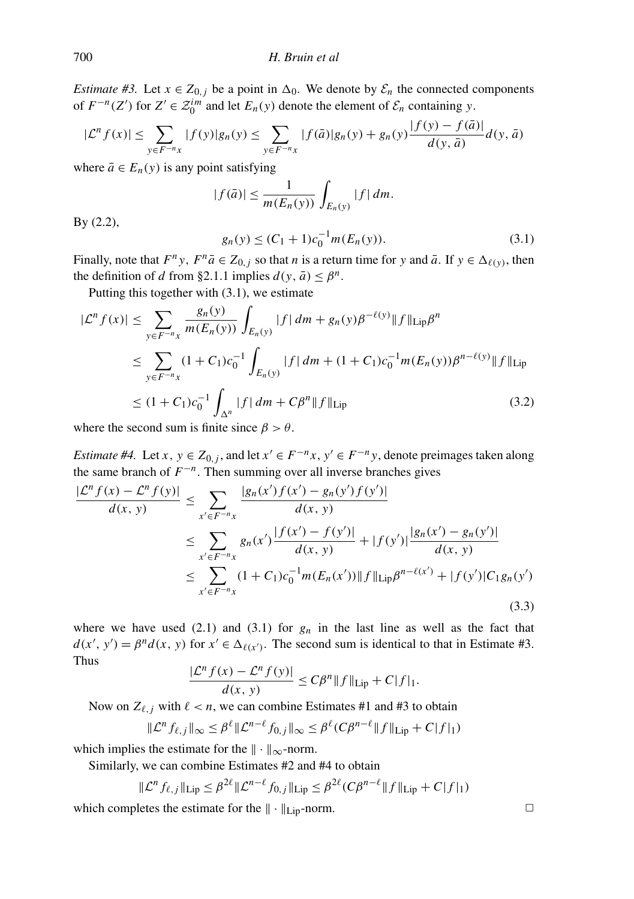*Estimate #3.* Let  $x \in Z_{0,j}$  be a point in  $\Delta_0$ . We denote by  $\mathcal{E}_n$  the connected components of  $F^{-n}(Z')$  for  $Z' \in \mathcal{Z}_0^{im}$  and let  $E_n(y)$  denote the element of  $\mathcal{E}_n$  containing *y*.

$$
|\mathcal{L}^n f(x)| \le \sum_{y \in F^{-n}x} |f(y)|g_n(y) \le \sum_{y \in F^{-n}x} |f(\bar{a})|g_n(y) + g_n(y)\frac{|f(y) - f(\bar{a})|}{d(y, \bar{a})}d(y, \bar{a})
$$

where  $\bar{a} \in E_n(y)$  is any point satisfying

$$
|f(\bar{a})| \leq \frac{1}{m(E_n(y))} \int_{E_n(y)} |f| \, dm.
$$

By (2.2),

$$
g_n(y) \le (C_1 + 1)c_0^{-1}m(E_n(y)).
$$
\n(3.1)

Finally, note that  $F^n y$ ,  $F^n \bar{a} \in Z_{0,j}$  so that *n* is a return time for *y* and  $\bar{a}$ . If  $y \in \Delta_{\ell(y)}$ , then the definition of *d* from §2.1.1 implies  $d(y, \bar{a}) \leq \beta^n$ .

Putting this together with (3.1), we estimate

$$
|\mathcal{L}^{n} f(x)| \leq \sum_{y \in F^{-n} x} \frac{g_{n}(y)}{m(E_{n}(y))} \int_{E_{n}(y)} |f| \, dm + g_{n}(y)\beta^{-\ell(y)} \|f\|_{\text{Lip}} \beta^{n}
$$
  
\n
$$
\leq \sum_{y \in F^{-n} x} (1 + C_{1})c_{0}^{-1} \int_{E_{n}(y)} |f| \, dm + (1 + C_{1})c_{0}^{-1} m(E_{n}(y))\beta^{n-\ell(y)} \|f\|_{\text{Lip}}
$$
  
\n
$$
\leq (1 + C_{1})c_{0}^{-1} \int_{\Delta^{n}} |f| \, dm + C\beta^{n} \|f\|_{\text{Lip}}
$$
\n(3.2)

where the second sum is finite since  $\beta > \theta$ .

*Estimate #4.* Let *x*,  $y \in Z_{0,j}$ , and let  $x' \in F^{-n}x$ ,  $y' \in F^{-n}y$ , denote preimages taken along the same branch of  $F^{-n}$ . Then summing over all inverse branches gives

$$
\frac{|\mathcal{L}^n f(x) - \mathcal{L}^n f(y)|}{d(x, y)} \le \sum_{x' \in F^{-n}x} \frac{|g_n(x')f(x') - g_n(y')f(y')|}{d(x, y)} \n\le \sum_{x' \in F^{-n}x} g_n(x') \frac{|f(x') - f(y')|}{d(x, y)} + |f(y')| \frac{|g_n(x') - g_n(y')|}{d(x, y)} \n\le \sum_{x' \in F^{-n}x} (1 + C_1)c_0^{-1}m(E_n(x')) ||f||_{\text{Lip}} \beta^{n - \ell(x')} + |f(y')|C_1g_n(y') \tag{3.3}
$$

where we have used  $(2.1)$  and  $(3.1)$  for  $g_n$  in the last line as well as the fact that  $d(x', y') = \beta^n d(x, y)$  for  $x' \in \Delta_{\ell(x')}$ . The second sum is identical to that in Estimate #3. Thus

$$
\frac{|\mathcal{L}^n f(x) - \mathcal{L}^n f(y)|}{d(x, y)} \le C\beta^n \|f\|_{\text{Lip}} + C|f|_1.
$$

Now on  $Z_{\ell, j}$  with  $\ell < n$ , we can combine Estimates #1 and #3 to obtain

$$
\|\mathcal{L}^n f_{\ell,j}\|_{\infty} \leq \beta^{\ell} \|\mathcal{L}^{n-\ell} f_{0,j}\|_{\infty} \leq \beta^{\ell} (C\beta^{n-\ell} \|f\|_{\text{Lip}} + C|f|_1)
$$

which implies the estimate for the  $\|\cdot\|_{\infty}$ -norm.

Similarly, we can combine Estimates #2 and #4 to obtain

$$
\|\mathcal{L}^n f_{\ell,j}\|_{\text{Lip}} \leq \beta^{2\ell} \|\mathcal{L}^{n-\ell} f_{0,j}\|_{\text{Lip}} \leq \beta^{2\ell} (C\beta^{n-\ell} \|f\|_{\text{Lip}} + C|f|_1)
$$

which completes the estimate for the  $\|\cdot\|_{\text{Lin}}$ -norm.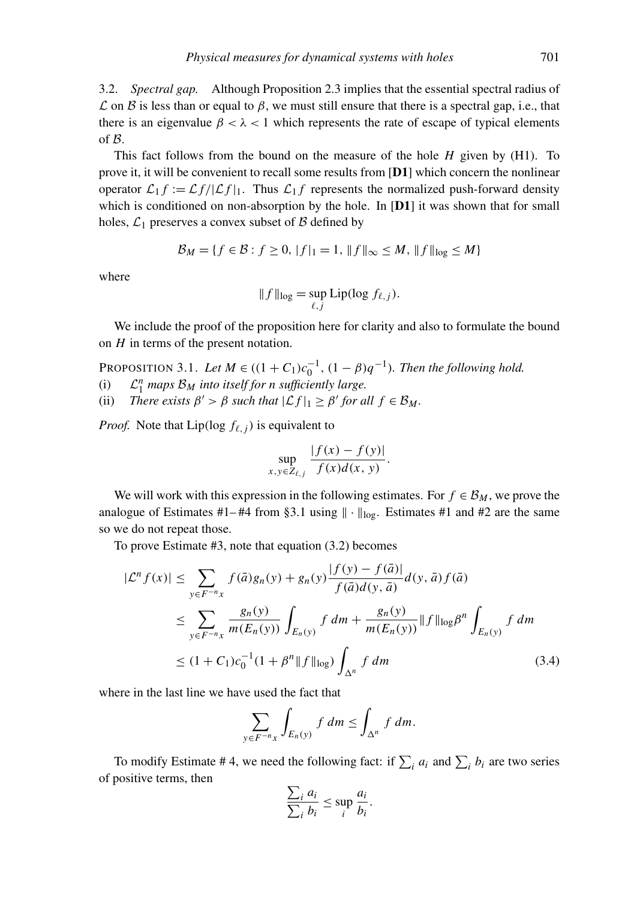3.2. *Spectral gap.* Although Proposition 2.3 implies that the essential spectral radius of  $\mathcal L$  on  $\mathcal B$  is less than or equal to  $\beta$ , we must still ensure that there is a spectral gap, i.e., that there is an eigenvalue  $\beta < \lambda < 1$  which represents the rate of escape of typical elements of B.

This fact follows from the bound on the measure of the hole *H* given by (H1). To prove it, it will be convenient to recall some results from [D1] which concern the nonlinear operator  $\mathcal{L}_1 f := \mathcal{L} f / |\mathcal{L} f|_1$ . Thus  $\mathcal{L}_1 f$  represents the normalized push-forward density which is conditioned on non-absorption by the hole. In [D1] it was shown that for small holes,  $\mathcal{L}_1$  preserves a convex subset of  $\beta$  defined by

$$
\mathcal{B}_M = \{ f \in \mathcal{B} : f \ge 0, \|f\|_1 = 1, \|f\|_{\infty} \le M, \|f\|_{\log} \le M \}
$$

where

$$
|| f ||_{\log} = \sup_{\ell, j} Lip(\log f_{\ell, j}).
$$

We include the proof of the proposition here for clarity and also to formulate the bound on *H* in terms of the present notation.

PROPOSITION 3.1. Let  $M \in ((1 + C_1)c_0^{-1}, (1 - \beta)q^{-1})$ . Then the following hold.

- $(i)$ *n* <sup>1</sup> *maps* B*<sup>M</sup> into itself for n sufficiently large.*
- (ii) *There exists*  $\beta' > \beta$  *such that*  $|\mathcal{L}f|_1 \geq \beta'$  *for all*  $f \in \mathcal{B}_M$ *.*

*Proof.* Note that Lip(log  $f_{\ell, i}$ ) is equivalent to

$$
\sup_{x,y\in Z_{\ell,j}}\frac{|f(x)-f(y)|}{f(x)d(x,y)}.
$$

We will work with this expression in the following estimates. For  $f \in \mathcal{B}_M$ , we prove the analogue of Estimates #1–#4 from §3.1 using  $\|\cdot\|_{\text{log}}$ . Estimates #1 and #2 are the same so we do not repeat those.

To prove Estimate #3, note that equation (3.2) becomes

$$
|\mathcal{L}^{n} f(x)| \leq \sum_{y \in F^{-n} x} f(\bar{a}) g_{n}(y) + g_{n}(y) \frac{|f(y) - f(\bar{a})|}{f(\bar{a}) d(y, \bar{a})} d(y, \bar{a}) f(\bar{a})
$$
  
\n
$$
\leq \sum_{y \in F^{-n} x} \frac{g_{n}(y)}{m(E_{n}(y))} \int_{E_{n}(y)} f dm + \frac{g_{n}(y)}{m(E_{n}(y))} ||f||_{\log} \beta^{n} \int_{E_{n}(y)} f dm
$$
  
\n
$$
\leq (1 + C_{1}) c_{0}^{-1} (1 + \beta^{n} ||f||_{\log}) \int_{\Delta^{n}} f dm
$$
\n(3.4)

where in the last line we have used the fact that

$$
\sum_{y \in F^{-n}x} \int_{E_n(y)} f \, dm \le \int_{\Delta^n} f \, dm.
$$

To modify Estimate #4, we need the following fact: if  $\sum_i a_i$  and  $\sum_i b_i$  are two series of positive terms, then

$$
\frac{\sum_i a_i}{\sum_i b_i} \le \sup_i \frac{a_i}{b_i}.
$$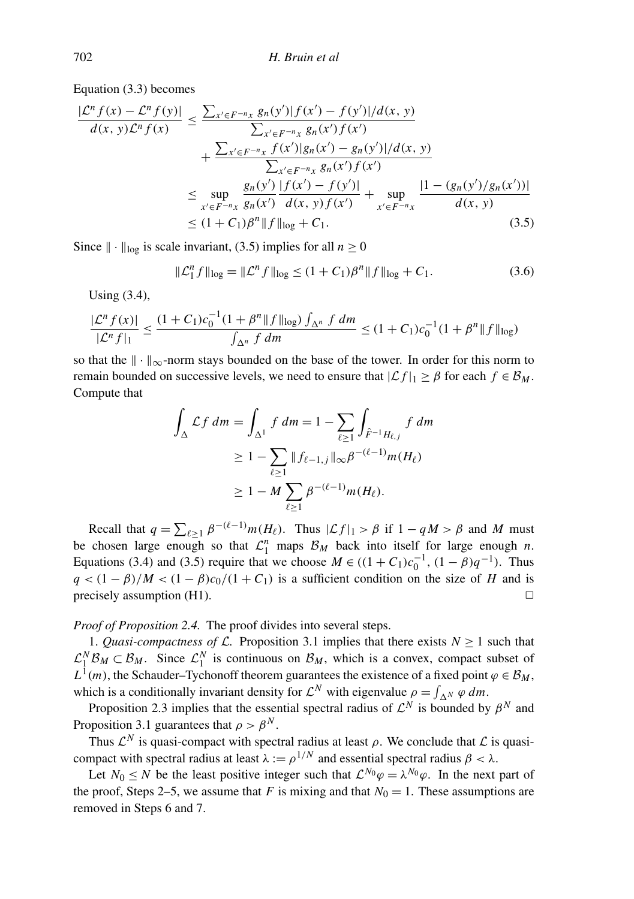Equation (3.3) becomes

$$
\frac{|\mathcal{L}^n f(x) - \mathcal{L}^n f(y)|}{d(x, y)\mathcal{L}^n f(x)} \le \frac{\sum_{x' \in F^{-n}x} g_n(y')|f(x') - f(y')|/d(x, y)}{\sum_{x' \in F^{-n}x} g_n(x')f(x')} + \frac{\sum_{x' \in F^{-n}x} f(x')|g_n(x') - g_n(y')|/d(x, y)}{\sum_{x' \in F^{-n}x} g_n(x')f(x')} \le \sup_{x' \in F^{-n}x} \frac{g_n(y')|f(x') - f(y')|}{d(x, y)f(x')} + \sup_{x' \in F^{-n}x} \frac{|1 - (g_n(y')/g_n(x'))|}{d(x, y)} \le (1 + C_1)\beta^n \|f\|_{\log} + C_1.
$$
\n(3.5)

Since  $\|\cdot\|_{\log}$  is scale invariant, (3.5) implies for all  $n \ge 0$ 

$$
\|\mathcal{L}_1^n f\|_{\text{log}} = \|\mathcal{L}^n f\|_{\text{log}} \le (1 + C_1)\beta^n \|f\|_{\text{log}} + C_1. \tag{3.6}
$$

Using (3.4),

$$
\frac{|\mathcal{L}^n f(x)|}{|\mathcal{L}^n f|_1} \le \frac{(1+C_1)c_0^{-1}(1+\beta^n \|f\|_{\log}) \int_{\Delta^n} f dm}{\int_{\Delta^n} f dm} \le (1+C_1)c_0^{-1}(1+\beta^n \|f\|_{\log})
$$

so that the  $\|\cdot\|_{\infty}$ -norm stays bounded on the base of the tower. In order for this norm to remain bounded on successive levels, we need to ensure that  $|\mathcal{L} f|_1 \geq \beta$  for each  $f \in \mathcal{B}_M$ . Compute that

$$
\int_{\Delta} \mathcal{L}f \, dm = \int_{\Delta^1} f \, dm = 1 - \sum_{\ell \ge 1} \int_{\hat{F}^{-1}H_{\ell,j}} f \, dm
$$
\n
$$
\ge 1 - \sum_{\ell \ge 1} \|f_{\ell-1,j}\|_{\infty} \beta^{-(\ell-1)} m(H_{\ell})
$$
\n
$$
\ge 1 - M \sum_{\ell \ge 1} \beta^{-(\ell-1)} m(H_{\ell}).
$$

Recall that  $q = \sum_{\ell \geq 1} \beta^{-(\ell-1)} m(H_{\ell})$ . Thus  $|\mathcal{L}f|_1 > \beta$  if  $1 - qM > \beta$  and M must be chosen large enough so that  $\mathcal{L}_1^n$  maps  $\mathcal{B}_M$  back into itself for large enough *n*. Equations (3.4) and (3.5) require that we choose  $M \in ((1 + C_1)c_0^{-1}, (1 - \beta)q^{-1})$ . Thus  $q < (1 - \beta)/M < (1 - \beta)c_0/(1 + C_1)$  is a sufficient condition on the size of *H* and is precisely assumption (H1).  $\Box$ 

*Proof of Proposition 2.4.* The proof divides into several steps.

1. *Quasi-compactness of*  $\mathcal{L}$ . Proposition 3.1 implies that there exists  $N \ge 1$  such that  $\mathcal{L}_1^N \mathcal{B}_M \subset \mathcal{B}_M$ . Since  $\mathcal{L}_1^N$  is continuous on  $\mathcal{B}_M$ , which is a convex, compact subset of  $L^1(m)$ , the Schauder–Tychonoff theorem guarantees the existence of a fixed point  $\varphi \in \mathcal{B}_M$ , which is a conditionally invariant density for  $\mathcal{L}^N$  with eigenvalue  $\rho = \int_{\Delta^N} \varphi \, dm$ .

Proposition 2.3 implies that the essential spectral radius of  $\mathcal{L}^N$  is bounded by  $\beta^N$  and Proposition 3.1 guarantees that  $\rho > \beta^N$ .

Thus  $\mathcal{L}^N$  is quasi-compact with spectral radius at least  $\rho$ . We conclude that  $\mathcal L$  is quasicompact with spectral radius at least  $\lambda := \rho^{1/N}$  and essential spectral radius  $\beta < \lambda$ .

Let  $N_0 \le N$  be the least positive integer such that  $\mathcal{L}^{N_0}\varphi = \lambda^{N_0}\varphi$ . In the next part of the proof, Steps 2–5, we assume that *F* is mixing and that  $N_0 = 1$ . These assumptions are removed in Steps 6 and 7.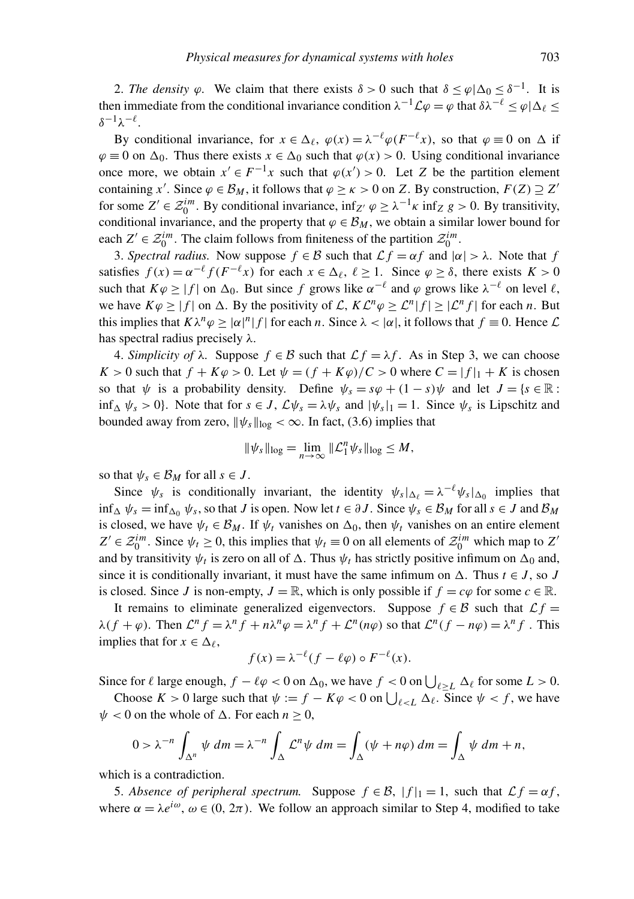2. *The density*  $\varphi$ . We claim that there exists  $\delta > 0$  such that  $\delta \leq \varphi | \Delta_0 \leq \delta^{-1}$ . It is then immediate from the conditional invariance condition  $\lambda^{-1}\mathcal{L}\varphi = \varphi$  that  $\delta\lambda^{-\ell} \leq \varphi|\Delta_{\ell} \leq$  $\delta^{-1}$ λ $^{-\ell}$ .

By conditional invariance, for  $x \in \Delta_{\ell}$ ,  $\varphi(x) = \lambda^{-\ell} \varphi(F^{-\ell}x)$ , so that  $\varphi \equiv 0$  on  $\Delta$  if  $\varphi \equiv 0$  on  $\Delta_0$ . Thus there exists  $x \in \Delta_0$  such that  $\varphi(x) > 0$ . Using conditional invariance once more, we obtain  $x' \in F^{-1}x$  such that  $\varphi(x') > 0$ . Let *Z* be the partition element containing *x'*. Since  $\varphi \in \mathcal{B}_M$ , it follows that  $\varphi \ge \kappa > 0$  on *Z*. By construction,  $F(Z) \supseteq Z'$ for some  $Z' \in \mathcal{Z}_0^{im}$ . By conditional invariance,  $\inf_{Z'} \varphi \geq \lambda^{-1} \kappa \inf_{Z} g > 0$ . By transitivity, conditional invariance, and the property that  $\varphi \in \mathcal{B}_M$ , we obtain a similar lower bound for each  $Z' \in \mathcal{Z}_0^{im}$ . The claim follows from finiteness of the partition  $\mathcal{Z}_0^{im}$ .

3. *Spectral radius.* Now suppose  $f \in \mathcal{B}$  such that  $\mathcal{L}f = \alpha f$  and  $|\alpha| > \lambda$ . Note that f satisfies  $f(x) = \alpha^{-\ell} f(F^{-\ell}x)$  for each  $x \in \Delta_{\ell}, \ell \ge 1$ . Since  $\varphi \ge \delta$ , there exists  $K > 0$ such that  $K\varphi \ge |f|$  on  $\Delta_0$ . But since f grows like  $\alpha^{-\ell}$  and  $\varphi$  grows like  $\lambda^{-\ell}$  on level  $\ell$ , we have  $K\varphi \ge |f|$  on  $\Delta$ . By the positivity of  $\mathcal{L}, K\mathcal{L}^n\varphi \ge \mathcal{L}^n |f| \ge |\mathcal{L}^n f|$  for each *n*. But this implies that  $K\lambda^n\varphi \geq |\alpha|^n|f|$  for each *n*. Since  $\lambda < |\alpha|$ , it follows that  $f \equiv 0$ . Hence  $\mathcal L$ has spectral radius precisely  $\lambda$ .

4. *Simplicity of*  $\lambda$ . Suppose  $f \in \mathcal{B}$  such that  $\mathcal{L} f = \lambda f$ . As in Step 3, we can choose  $K > 0$  such that  $f + K\varphi > 0$ . Let  $\psi = (f + K\varphi)/C > 0$  where  $C = |f|_1 + K$  is chosen so that  $\psi$  is a probability density. Define  $\psi_s = s\varphi + (1-s)\psi$  and let  $J = \{s \in \mathbb{R} : s \in \mathbb{R} \}$  $\inf_{\Delta} \psi_s > 0$ . Note that for  $s \in J$ ,  $\mathcal{L}\psi_s = \lambda \psi_s$  and  $|\psi_s|_1 = 1$ . Since  $\psi_s$  is Lipschitz and bounded away from zero,  $\|\psi_s\|_{\log} < \infty$ . In fact, (3.6) implies that

$$
\|\psi_s\|_{\log}=\lim_{n\to\infty}\|\mathcal{L}_1^n\psi_s\|_{\log}\leq M,
$$

so that  $\psi_s \in \mathcal{B}_M$  for all  $s \in J$ .

Since  $\psi_s$  is conditionally invariant, the identity  $\psi_s|_{\Delta_\ell} = \lambda^{-\ell} \psi_s|_{\Delta_0}$  implies that  $\inf_{\Delta} \psi_s = \inf_{\Delta} \psi_s$ , so that *J* is open. Now let  $t \in \partial J$ . Since  $\psi_s \in \mathcal{B}_M$  for all  $s \in J$  and  $\mathcal{B}_M$ is closed, we have  $\psi_t \in \mathcal{B}_M$ . If  $\psi_t$  vanishes on  $\Delta_0$ , then  $\psi_t$  vanishes on an entire element  $Z' \in \mathcal{Z}_0^{im}$ . Since  $\psi_t \ge 0$ , this implies that  $\psi_t \equiv 0$  on all elements of  $\mathcal{Z}_0^{im}$  which map to  $Z'$ and by transitivity  $\psi_t$  is zero on all of  $\Delta$ . Thus  $\psi_t$  has strictly positive infimum on  $\Delta_0$  and, since it is conditionally invariant, it must have the same infimum on  $\Delta$ . Thus  $t \in J$ , so *J* is closed. Since *J* is non-empty,  $J = \mathbb{R}$ , which is only possible if  $f = c\varphi$  for some  $c \in \mathbb{R}$ .

It remains to eliminate generalized eigenvectors. Suppose  $f \in \mathcal{B}$  such that  $\mathcal{L} f =$  $\lambda(f + \varphi)$ . Then  $\mathcal{L}^n f = \lambda^n f + n\lambda^n \varphi = \lambda^n f + \mathcal{L}^n(n\varphi)$  so that  $\mathcal{L}^n(f - n\varphi) = \lambda^n f$ . This implies that for  $x \in \Delta_{\ell}$ ,

$$
f(x) = \lambda^{-\ell} (f - \ell \varphi) \circ F^{-\ell}(x).
$$

Since for  $\ell$  large enough,  $f - \ell \varphi < 0$  on  $\Delta_0$ , we have  $f < 0$  on  $\bigcup_{\ell \geq L} \Delta_\ell$  for some  $L > 0$ .

Choose  $K > 0$  large such that  $\psi := f - K\varphi < 0$  on  $\bigcup_{\ell < L} \Delta_{\ell}$ . Since  $\psi < f$ , we have  $\psi$  < 0 on the whole of  $\Delta$ . For each *n* > 0,

$$
0 > \lambda^{-n} \int_{\Delta^n} \psi \, dm = \lambda^{-n} \int_{\Delta} \mathcal{L}^n \psi \, dm = \int_{\Delta} (\psi + n\varphi) \, dm = \int_{\Delta} \psi \, dm + n,
$$

which is a contradiction.

5. *Absence of peripheral spectrum.* Suppose  $f \in \mathcal{B}$ ,  $|f|_1 = 1$ , such that  $\mathcal{L}f = \alpha f$ , where  $\alpha = \lambda e^{i\omega}$ ,  $\omega \in (0, 2\pi)$ . We follow an approach similar to Step 4, modified to take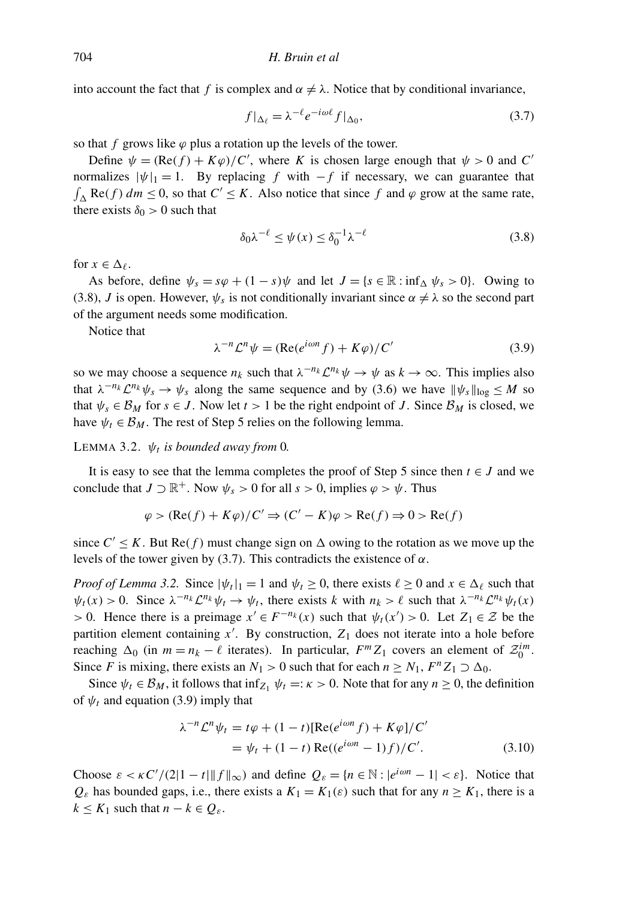into account the fact that *f* is complex and  $\alpha \neq \lambda$ . Notice that by conditional invariance,

$$
f|_{\Delta_{\ell}} = \lambda^{-\ell} e^{-i\omega \ell} f|_{\Delta_0},\tag{3.7}
$$

so that *f* grows like  $\varphi$  plus a rotation up the levels of the tower.

Define  $\psi = (\text{Re}(f) + K\varphi)/C'$ , where *K* is chosen large enough that  $\psi > 0$  and *C* normalizes  $|\psi|_1 = 1$ . By replacing *f* with  $-f$  if necessary, we can guarantee that  $\int_{\Delta}$  Re(*f*)  $dm \le 0$ , so that  $C' \le K$ . Also notice that since *f* and  $\varphi$  grow at the same rate, there exists  $\delta_0 > 0$  such that

$$
\delta_0 \lambda^{-\ell} \le \psi(x) \le \delta_0^{-1} \lambda^{-\ell} \tag{3.8}
$$

for  $x \in \Delta$ .

As before, define  $\psi_s = s\varphi + (1 - s)\psi$  and let  $J = \{s \in \mathbb{R} : \inf_{\Delta} \psi_s > 0\}$ . Owing to (3.8), *J* is open. However,  $\psi_s$  is not conditionally invariant since  $\alpha \neq \lambda$  so the second part of the argument needs some modification.

Notice that

$$
\lambda^{-n} \mathcal{L}^n \psi = (\text{Re}(e^{i\omega n} f) + K\varphi) / C'
$$
\n(3.9)

so we may choose a sequence  $n_k$  such that  $\lambda^{-n_k} \mathcal{L}^{n_k} \psi \to \psi$  as  $k \to \infty$ . This implies also that  $\lambda^{-n_k} \mathcal{L}^{n_k} \psi_s \to \psi_s$  along the same sequence and by (3.6) we have  $\|\psi_s\|_{\log} \leq M$  so that  $\psi_s \in \mathcal{B}_M$  for  $s \in J$ . Now let  $t > 1$  be the right endpoint of *J*. Since  $\mathcal{B}_M$  is closed, we have  $\psi_t \in \mathcal{B}_M$ . The rest of Step 5 relies on the following lemma.

LEMMA 3.2.  $\psi_t$  is bounded away from 0.

It is easy to see that the lemma completes the proof of Step 5 since then  $t \in J$  and we conclude that  $J \supset \mathbb{R}^+$ . Now  $\psi_s > 0$  for all  $s > 0$ , implies  $\varphi > \psi$ . Thus

$$
\varphi > (\text{Re}(f) + K\varphi)/C' \Rightarrow (C' - K)\varphi > \text{Re}(f) \Rightarrow 0 > \text{Re}(f)
$$

since  $C' \leq K$ . But  $\text{Re}(f)$  must change sign on  $\Delta$  owing to the rotation as we move up the levels of the tower given by (3.7). This contradicts the existence of  $\alpha$ .

*Proof of Lemma* 3.2. Since  $|\psi_t|_1 = 1$  and  $\psi_t \ge 0$ , there exists  $\ell \ge 0$  and  $x \in \Delta_{\ell}$  such that  $\psi_t(x) > 0$ . Since  $\lambda^{-n_k} \mathcal{L}^{n_k} \psi_t \to \psi_t$ , there exists *k* with  $n_k > \ell$  such that  $\lambda^{-n_k} \mathcal{L}^{n_k} \psi_t(x)$ > 0. Hence there is a preimage  $x' \text{ ∈ } F^{-n_k}(x)$  such that  $\psi_t(x') > 0$ . Let  $Z_1 \text{ ∈ } \mathcal{Z}$  be the partition element containing  $x'$ . By construction,  $Z_1$  does not iterate into a hole before reaching  $\Delta_0$  (in  $m = n_k - \ell$  iterates). In particular,  $F^m Z_1$  covers an element of  $\mathcal{Z}_0^{im}$ . Since *F* is mixing, there exists an  $N_1 > 0$  such that for each  $n \ge N_1$ ,  $F^n Z_1 \supset \Delta_0$ .

Since  $\psi_t \in \mathcal{B}_M$ , it follows that  $\inf_{Z_1} \psi_t =: \kappa > 0$ . Note that for any  $n \geq 0$ , the definition of  $\psi_t$  and equation (3.9) imply that

$$
\lambda^{-n} \mathcal{L}^n \psi_t = t\varphi + (1-t)[\text{Re}(e^{i\omega n} f) + K\varphi]/C'
$$
  
=  $\psi_t + (1-t)\text{Re}((e^{i\omega n} - 1)f)/C'.$  (3.10)

Choose  $\varepsilon < \kappa C'/(2|1-t| \|f\|_{\infty})$  and define  $Q_{\varepsilon} = \{n \in \mathbb{N} : |e^{i\omega n} - 1| < \varepsilon\}$ . Notice that  $Q_{\varepsilon}$  has bounded gaps, i.e., there exists a  $K_1 = K_1(\varepsilon)$  such that for any  $n \geq K_1$ , there is a  $k \leq K_1$  such that  $n - k \in Q_{\varepsilon}$ .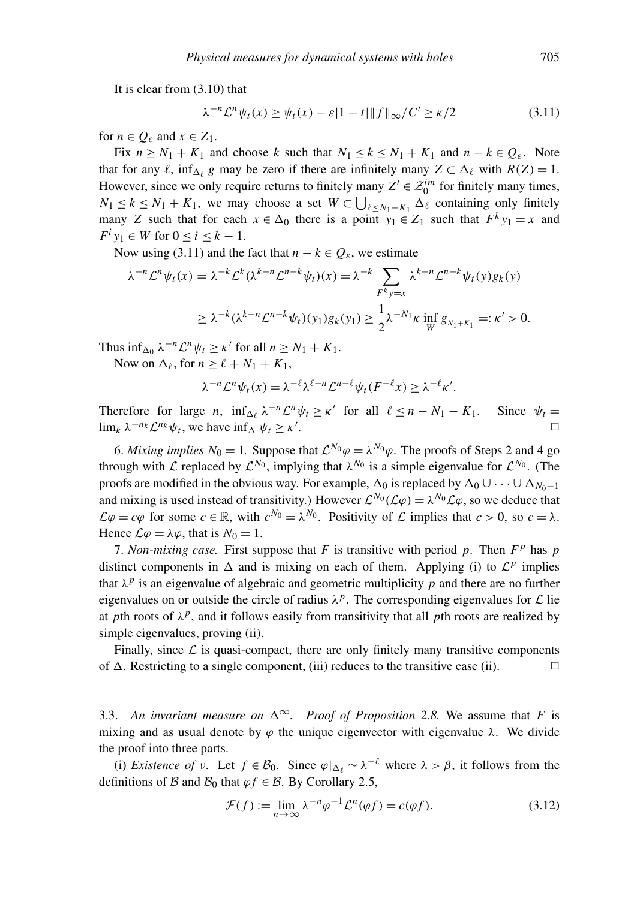It is clear from (3.10) that

$$
\lambda^{-n} \mathcal{L}^n \psi_t(x) \ge \psi_t(x) - \varepsilon |1 - t| \|f\|_{\infty} / C' \ge \kappa/2 \tag{3.11}
$$

for  $n \in Q$ <sub>ε</sub> and  $x \in Z_1$ .

Fix  $n \geq N_1 + K_1$  and choose *k* such that  $N_1 \leq k \leq N_1 + K_1$  and  $n - k \in Q_{\varepsilon}$ . Note that for any  $\ell$ ,  $\inf_{\Delta_\ell} g$  may be zero if there are infinitely many  $Z \subset \Delta_\ell$  with  $R(Z) = 1$ . However, since we only require returns to finitely many  $Z' \in \mathcal{Z}_0^{im}$  for finitely many times,  $N_1 \leq k \leq N_1 + K_1$ , we may choose a set  $W \subset \bigcup_{\ell \leq N_1 + K_1} \Delta_{\ell}$  containing only finitely many *Z* such that for each  $x \in \Delta_0$  there is a point  $y_1 \in Z_1$  such that  $F^k y_1 = x$  and  $F^i y_1 \in W$  for  $0 \le i \le k - 1$ .

Now using (3.11) and the fact that  $n - k \in Q_{\varepsilon}$ , we estimate

$$
\lambda^{-n} \mathcal{L}^n \psi_t(x) = \lambda^{-k} \mathcal{L}^k (\lambda^{k-n} \mathcal{L}^{n-k} \psi_t)(x) = \lambda^{-k} \sum_{F^k y = x} \lambda^{k-n} \mathcal{L}^{n-k} \psi_t(y) g_k(y)
$$
  

$$
\geq \lambda^{-k} (\lambda^{k-n} \mathcal{L}^{n-k} \psi_t)(y_1) g_k(y_1) \geq \frac{1}{2} \lambda^{-N_1} \kappa \inf_W g_{N_1 + K_1} =: \kappa' > 0.
$$

Thus  $\inf_{\Delta_0} \lambda^{-n} \mathcal{L}^n \psi_t \geq \kappa'$  for all  $n \geq N_1 + K_1$ .

Now on  $\Delta_{\ell}$ , for  $n \geq \ell + N_1 + K_1$ ,

$$
\lambda^{-n} \mathcal{L}^n \psi_t(x) = \lambda^{-\ell} \lambda^{\ell-n} \mathcal{L}^{n-\ell} \psi_t(F^{-\ell} x) \geq \lambda^{-\ell} \kappa'.
$$

Therefore for large *n*,  $\inf_{\Delta_\ell} \lambda^{-n} \mathcal{L}^n \psi_t \ge \kappa'$  for all  $\ell \le n - N_1 - K_1$ . Since  $\psi_t =$  $\lim_{k} \lambda^{-n_k} \mathcal{L}^{n_k} \psi_t$ , we have  $\inf_{\Delta} \psi_t \geq \kappa'$ .  $\Box$ 

6. *Mixing implies*  $N_0 = 1$ . Suppose that  $\mathcal{L}^{N_0}\varphi = \lambda^{N_0}\varphi$ . The proofs of Steps 2 and 4 go through with L replaced by  $\mathcal{L}^{N_0}$ , implying that  $\lambda^{N_0}$  is a simple eigenvalue for  $\mathcal{L}^{N_0}$ . (The proofs are modified in the obvious way. For example,  $\Delta_0$  is replaced by  $\Delta_0 \cup \cdots \cup \Delta_{N_0-1}$ and mixing is used instead of transitivity.) However  $\mathcal{L}^{N_0}(\mathcal{L}\varphi) = \lambda^{N_0}\mathcal{L}\varphi$ , so we deduce that  $\mathcal{L}\varphi = c\varphi$  for some  $c \in \mathbb{R}$ , with  $c^{N_0} = \lambda^{N_0}$ . Positivity of  $\mathcal{L}$  implies that  $c > 0$ , so  $c = \lambda$ . Hence  $\mathcal{L}\varphi = \lambda\varphi$ , that is  $N_0 = 1$ .

7. *Non-mixing case.* First suppose that  $F$  is transitive with period  $p$ . Then  $F<sup>p</sup>$  has  $p$ distinct components in  $\Delta$  and is mixing on each of them. Applying (i) to  $\mathcal{L}^p$  implies that  $\lambda^p$  is an eigenvalue of algebraic and geometric multiplicity p and there are no further eigenvalues on or outside the circle of radius  $\lambda^p$ . The corresponding eigenvalues for  $\mathcal L$  lie at *p*th roots of  $\lambda^p$ , and it follows easily from transitivity that all *p*th roots are realized by simple eigenvalues, proving (ii).

Finally, since  $\mathcal L$  is quasi-compact, there are only finitely many transitive components of  $\Delta$ . Restricting to a single component, (iii) reduces to the transitive case (ii).  $\square$ 

3.3. An invariant measure on  $\Delta^{\infty}$ . Proof of Proposition 2.8. We assume that *F* is mixing and as usual denote by  $\varphi$  the unique eigenvector with eigenvalue  $\lambda$ . We divide the proof into three parts.

(i) *Existence of*  $\nu$ . Let  $f \in \mathcal{B}_0$ . Since  $\varphi|_{\Delta_\ell} \sim \lambda^{-\ell}$  where  $\lambda > \beta$ , it follows from the definitions of B and  $\mathcal{B}_0$  that  $\varphi f \in \mathcal{B}$ . By Corollary 2.5,

$$
\mathcal{F}(f) := \lim_{n \to \infty} \lambda^{-n} \varphi^{-1} \mathcal{L}^n(\varphi f) = c(\varphi f). \tag{3.12}
$$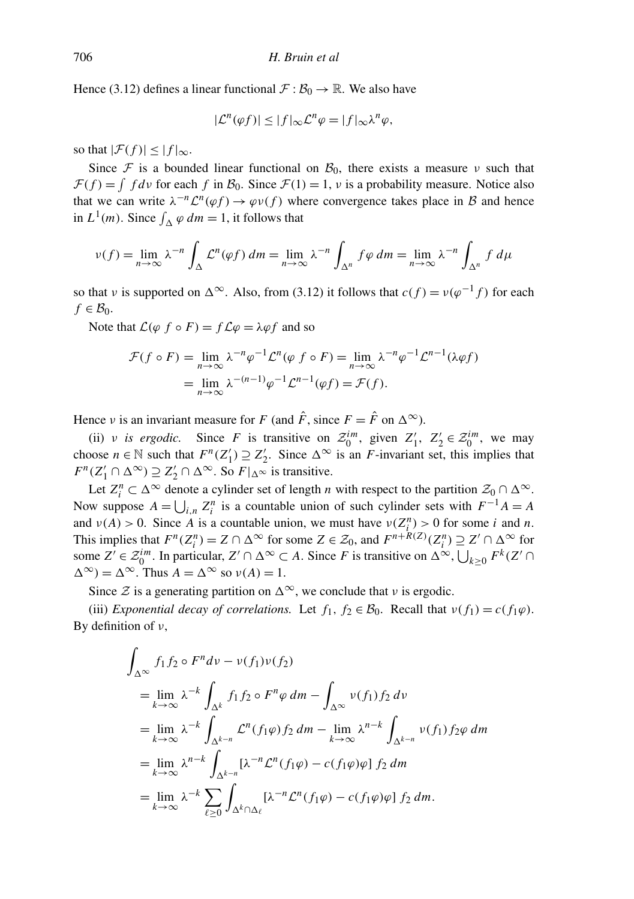Hence (3.12) defines a linear functional  $\mathcal{F} : \mathcal{B}_0 \to \mathbb{R}$ . We also have

$$
|\mathcal{L}^n(\varphi f)| \le |f|_{\infty} \mathcal{L}^n \varphi = |f|_{\infty} \lambda^n \varphi,
$$

so that  $|\mathcal{F}(f)| \leq |f|_{\infty}$ .

Since F is a bounded linear functional on  $\mathcal{B}_0$ , there exists a measure v such that  $\mathcal{F}(f) = \int f d\nu$  for each f in  $\mathcal{B}_0$ . Since  $\mathcal{F}(1) = 1$ ,  $\nu$  is a probability measure. Notice also that we can write  $\lambda^{-n} \mathcal{L}^n(\varphi f) \to \varphi \nu(f)$  where convergence takes place in B and hence in  $L^1(m)$ . Since  $\int_{\Delta} \varphi \, dm = 1$ , it follows that

$$
\nu(f) = \lim_{n \to \infty} \lambda^{-n} \int_{\Delta} \mathcal{L}^n(\varphi f) \, dm = \lim_{n \to \infty} \lambda^{-n} \int_{\Delta^n} f \varphi \, dm = \lim_{n \to \infty} \lambda^{-n} \int_{\Delta^n} f \, d\mu
$$

so that v is supported on  $\Delta^{\infty}$ . Also, from (3.12) it follows that  $c(f) = v(\varphi^{-1} f)$  for each  $f \in \mathcal{B}_0$ .

Note that  $\mathcal{L}(\varphi f \circ F) = f \mathcal{L} \varphi = \lambda \varphi f$  and so

$$
\mathcal{F}(f \circ F) = \lim_{n \to \infty} \lambda^{-n} \varphi^{-1} \mathcal{L}^n(\varphi f \circ F) = \lim_{n \to \infty} \lambda^{-n} \varphi^{-1} \mathcal{L}^{n-1}(\lambda \varphi f)
$$
  
= 
$$
\lim_{n \to \infty} \lambda^{-(n-1)} \varphi^{-1} \mathcal{L}^{n-1}(\varphi f) = \mathcal{F}(f).
$$

Hence *v* is an invariant measure for *F* (and  $\hat{F}$ , since  $F = \hat{F}$  on  $\Delta^{\infty}$ ).

(ii) v *is ergodic*. Since *F* is transitive on  $\mathcal{Z}_0^{im}$ , given  $Z'_1$ ,  $Z'_2 \in \mathcal{Z}_0^{im}$ , we may choose  $n \in \mathbb{N}$  such that  $F^n(Z_1') \supseteq Z_2'$ . Since  $\Delta^\infty$  is an *F*-invariant set, this implies that  $F^n(Z'_1 \cap \Delta^{\infty}) \supseteq Z'_2 \cap \Delta^{\infty}$ . So  $F|_{\Delta^{\infty}}$  is transitive.

Let  $Z_i^n \subset \Delta^\infty$  denote a cylinder set of length *n* with respect to the partition  $\mathcal{Z}_0 \cap \Delta^\infty$ . Now suppose  $A = \bigcup_{i,n} Z_i^n$  is a countable union of such cylinder sets with  $F^{-1}A = A$ and  $\nu(A) > 0$ . Since *A* is a countable union, we must have  $\nu(Z_i^n) > 0$  for some *i* and *n*. This implies that  $F^n(Z_i^n) = Z \cap \Delta^\infty$  for some  $Z \in \mathcal{Z}_0$ , and  $F^{n+R(Z)}(Z_i^n) \supseteq Z' \cap \Delta^\infty$  for some  $Z' \in \mathcal{Z}_0^{im}$ . In particular,  $Z' \cap \Delta^{\infty} \subset A$ . Since *F* is transitive on  $\Delta^{\infty}$ ,  $\bigcup_{k \geq 0} F^k(Z' \cap A)$  $\Delta^{\infty}$ ) =  $\Delta^{\infty}$ . Thus  $A = \Delta^{\infty}$  so  $v(A) = 1$ .

Since  $\mathcal Z$  is a generating partition on  $\Delta^\infty$ , we conclude that  $\nu$  is ergodic.

(iii) *Exponential decay of correlations.* Let  $f_1, f_2 \in \mathcal{B}_0$ . Recall that  $v(f_1) = c(f_1\varphi)$ . By definition of  $\nu$ ,

$$
\int_{\Delta^{\infty}} f_1 f_2 \circ F^n d\nu - \nu(f_1)\nu(f_2)
$$
\n
$$
= \lim_{k \to \infty} \lambda^{-k} \int_{\Delta^k} f_1 f_2 \circ F^n \varphi dm - \int_{\Delta^{\infty}} \nu(f_1) f_2 d\nu
$$
\n
$$
= \lim_{k \to \infty} \lambda^{-k} \int_{\Delta^{k-n}} \mathcal{L}^n(f_1 \varphi) f_2 dm - \lim_{k \to \infty} \lambda^{n-k} \int_{\Delta^{k-n}} \nu(f_1) f_2 \varphi dm
$$
\n
$$
= \lim_{k \to \infty} \lambda^{n-k} \int_{\Delta^{k-n}} [\lambda^{-n} \mathcal{L}^n(f_1 \varphi) - c(f_1 \varphi) \varphi] f_2 dm
$$
\n
$$
= \lim_{k \to \infty} \lambda^{-k} \sum_{\ell \ge 0} \int_{\Delta^k \cap \Delta_\ell} [\lambda^{-n} \mathcal{L}^n(f_1 \varphi) - c(f_1 \varphi) \varphi] f_2 dm.
$$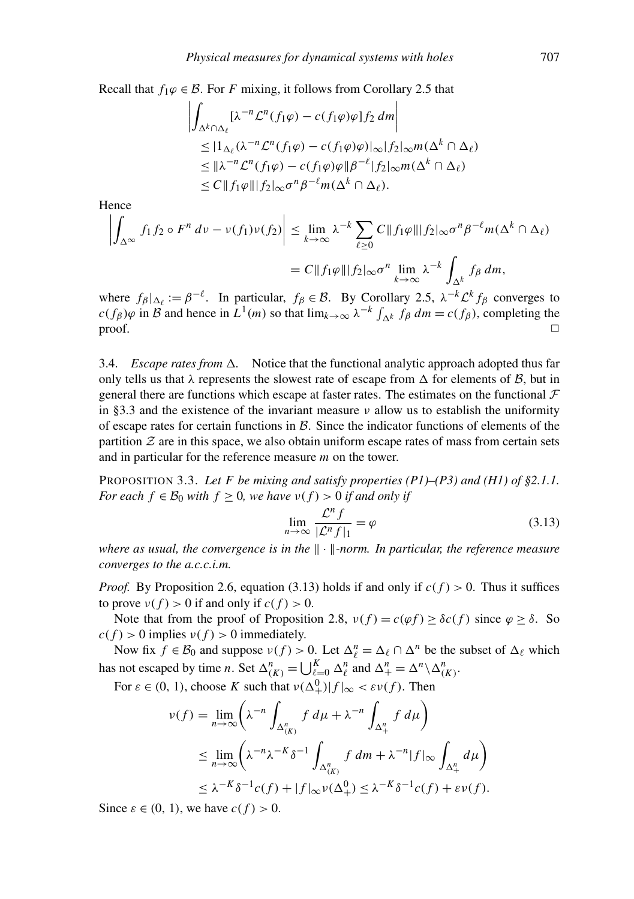Recall that  $f_1\varphi \in \mathcal{B}$ . For *F* mixing, it follows from Corollary 2.5 that

$$
\left| \int_{\Delta^k \cap \Delta_\ell} [\lambda^{-n} \mathcal{L}^n(f_1 \varphi) - c(f_1 \varphi)\varphi] f_2 \, dm \right|
$$
  
\n
$$
\leq |\mathbf{1}_{\Delta_\ell} (\lambda^{-n} \mathcal{L}^n(f_1 \varphi) - c(f_1 \varphi)\varphi)|_\infty |f_2|_\infty m(\Delta^k \cap \Delta_\ell)
$$
  
\n
$$
\leq |\lambda^{-n} \mathcal{L}^n(f_1 \varphi) - c(f_1 \varphi)\varphi| |\beta^{-\ell}| f_2|_\infty m(\Delta^k \cap \Delta_\ell)
$$
  
\n
$$
\leq C \|f_1 \varphi\| \|f_2|_\infty \sigma^n \beta^{-\ell} m(\Delta^k \cap \Delta_\ell).
$$

Hence

$$
\left| \int_{\Delta^{\infty}} f_1 f_2 \circ F^n \, dv - \nu(f_1) \nu(f_2) \right| \leq \lim_{k \to \infty} \lambda^{-k} \sum_{\ell \geq 0} C \| f_1 \varphi \| |f_2| \infty \sigma^n \beta^{-\ell} m(\Delta^k \cap \Delta_\ell)
$$

$$
= C \| f_1 \varphi \| |f_2| \infty \sigma^n \lim_{k \to \infty} \lambda^{-k} \int_{\Delta^k} f_\beta \, dm,
$$

where  $f_{\beta}|_{\Delta_{\ell}} := \beta^{-\ell}$ . In particular,  $f_{\beta} \in \mathcal{B}$ . By Corollary 2.5,  $\lambda^{-k} \mathcal{L}^k f_{\beta}$  converges to  $c(f_\beta)\varphi$  in *B* and hence in  $L^1(m)$  so that  $\lim_{k\to\infty} \lambda^{-k} \int_{\Delta^k} f_\beta dm = c(f_\beta)$ , completing the  $\Box$ 

3.4. *Escape rates from*  $\Delta$ . Notice that the functional analytic approach adopted thus far only tells us that  $\lambda$  represents the slowest rate of escape from  $\Delta$  for elements of  $\beta$ , but in general there are functions which escape at faster rates. The estimates on the functional  $\mathcal F$ in §3.3 and the existence of the invariant measure  $\nu$  allow us to establish the uniformity of escape rates for certain functions in  $B$ . Since the indicator functions of elements of the partition  $Z$  are in this space, we also obtain uniform escape rates of mass from certain sets and in particular for the reference measure *m* on the tower.

PROPOSITION 3.3. Let F be mixing and satisfy properties  $(PI)$ – $(P3)$  and  $(H1)$  of §2.1.1. *For each*  $f \in \mathcal{B}_0$  *with*  $f \geq 0$ *, we have*  $v(f) > 0$  *if and only if* 

$$
\lim_{n \to \infty} \frac{\mathcal{L}^n f}{|\mathcal{L}^n f|_1} = \varphi \tag{3.13}
$$

*where as usual, the convergence is in the*  $\|\cdot\|$ -norm. In particular, the reference measure *converges to the a.c.c.i.m.*

*Proof.* By Proposition 2.6, equation (3.13) holds if and only if  $c(f) > 0$ . Thus it suffices to prove  $v(f) > 0$  if and only if  $c(f) > 0$ .

Note that from the proof of Proposition 2.8,  $v(f) = c(\varphi f) \ge \delta c(f)$  since  $\varphi \ge \delta$ . So  $c(f) > 0$  implies  $v(f) > 0$  immediately.

Now fix  $f \in \mathcal{B}_0$  and suppose  $v(f) > 0$ . Let  $\Delta_{\ell}^n = \Delta_{\ell} \cap \Delta^n$  be the subset of  $\Delta_{\ell}$  which has not escaped by time *n*. Set  $\Delta_{(K)}^n = \bigcup_{\ell=0}^K \Delta_{\ell}^n$  and  $\Delta_{+}^n = \Delta^n \backslash \Delta_{(K)}^n$ .

For  $\varepsilon \in (0, 1)$ , choose K such that  $\nu(\Delta^0_+) |f|_{\infty} < \varepsilon \nu(f)$ . Then

$$
\nu(f) = \lim_{n \to \infty} \left( \lambda^{-n} \int_{\Delta_{(K)}^n} f \, d\mu + \lambda^{-n} \int_{\Delta_+^n} f \, d\mu \right)
$$
  
\n
$$
\leq \lim_{n \to \infty} \left( \lambda^{-n} \lambda^{-K} \delta^{-1} \int_{\Delta_{(K)}^n} f \, dm + \lambda^{-n} |f|_{\infty} \int_{\Delta_+^n} d\mu \right)
$$
  
\n
$$
\leq \lambda^{-K} \delta^{-1} c(f) + |f|_{\infty} \nu(\Delta_+^0) \leq \lambda^{-K} \delta^{-1} c(f) + \varepsilon \nu(f).
$$

Since  $\varepsilon \in (0, 1)$ , we have  $c(f) > 0$ .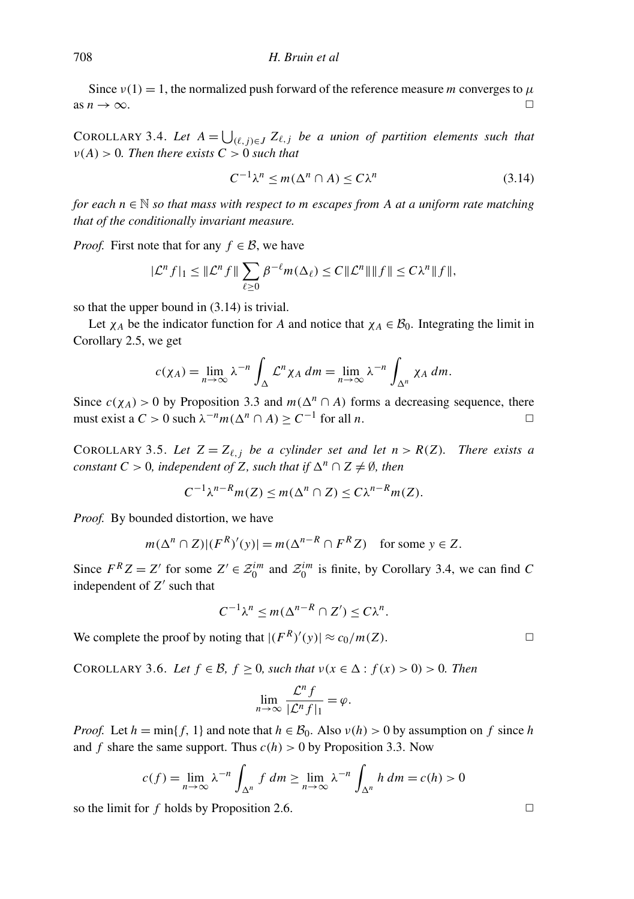Since  $v(1) = 1$ , the normalized push forward of the reference measure *m* converges to  $\mu$ as  $n \to \infty$ .

COROLLARY 3.4. Let  $A = \bigcup_{(\ell,j)\in J} Z_{\ell,j}$  *be a union of partition elements such that*  $\nu(A) > 0$ . Then there exists  $C > 0$  such that

$$
C^{-1}\lambda^n \le m(\Delta^n \cap A) \le C\lambda^n \tag{3.14}
$$

*for each n* ∈ N *so that mass with respect to m escapes from A at a uniform rate matching that of the conditionally invariant measure.*

*Proof.* First note that for any  $f \in \mathcal{B}$ , we have

$$
|\mathcal{L}^n f|_1 \leq ||\mathcal{L}^n f|| \sum_{\ell \geq 0} \beta^{-\ell} m(\Delta_{\ell}) \leq C ||\mathcal{L}^n || ||f|| \leq C \lambda^n ||f||,
$$

so that the upper bound in (3.14) is trivial.

Let  $\chi_A$  be the indicator function for *A* and notice that  $\chi_A \in \mathcal{B}_0$ . Integrating the limit in Corollary 2.5, we get

$$
c(\chi_A) = \lim_{n \to \infty} \lambda^{-n} \int_{\Delta} \mathcal{L}^n \chi_A \, dm = \lim_{n \to \infty} \lambda^{-n} \int_{\Delta^n} \chi_A \, dm.
$$

Since  $c(\chi_A) > 0$  by Proposition 3.3 and  $m(\Delta^n \cap A)$  forms a decreasing sequence, there must exist a  $C > 0$  such  $\lambda^{-n} m(\Delta^n \cap A) \ge C^{-1}$  for all *n*.

COROLLARY 3.5. Let  $Z = Z_{\ell, j}$  be a cylinder set and let  $n > R(Z)$ . There exists a *constant*  $C > 0$ *, independent of*  $Z$ *, such that if*  $\Delta^n \cap Z \neq \emptyset$ *, then* 

$$
C^{-1}\lambda^{n-R}m(Z) \le m(\Delta^n \cap Z) \le C\lambda^{n-R}m(Z).
$$

*Proof.* By bounded distortion, we have

$$
m(\Delta^n \cap Z)|(F^R)'(y)| = m(\Delta^{n-R} \cap F^R Z)
$$
 for some  $y \in Z$ .

Since  $F^R Z = Z'$  for some  $Z' \in \mathcal{Z}_0^{im}$  and  $\mathcal{Z}_0^{im}$  is finite, by Corollary 3.4, we can find *C* independent of Z' such that

$$
C^{-1}\lambda^n \le m(\Delta^{n-R} \cap Z') \le C\lambda^n.
$$

We complete the proof by noting that  $|(F^R)'(y)| \approx c_0/m(Z)$ .

COROLLARY 3.6. *Let*  $f \in \mathcal{B}$ ,  $f \ge 0$ , such that  $v(x \in \Delta : f(x) > 0) > 0$ . Then

$$
\lim_{n \to \infty} \frac{\mathcal{L}^n f}{|\mathcal{L}^n f|_1} = \varphi.
$$

*Proof.* Let  $h = \min\{f, 1\}$  and note that  $h \in B_0$ . Also  $v(h) > 0$  by assumption on f since h and *f* share the same support. Thus  $c(h) > 0$  by Proposition 3.3. Now

$$
c(f) = \lim_{n \to \infty} \lambda^{-n} \int_{\Delta^n} f \, dm \ge \lim_{n \to \infty} \lambda^{-n} \int_{\Delta^n} h \, dm = c(h) > 0
$$

so the limit for  $f$  holds by Proposition 2.6.  $\Box$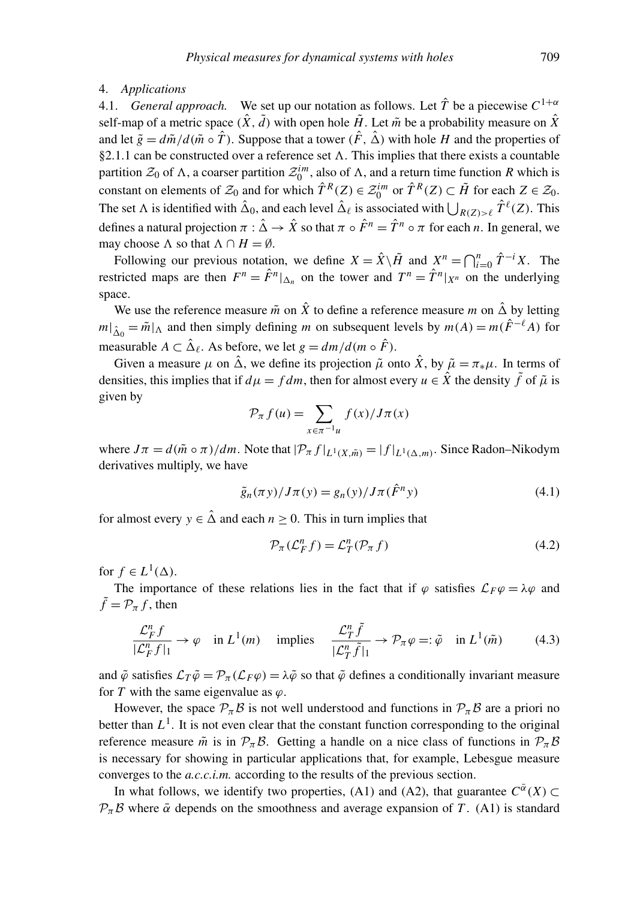#### 4. *Applications*

4.1. *General approach*. We set up our notation as follows. Let  $\hat{T}$  be a piecewise  $C^{1+\alpha}$ self-map of a metric space  $(\hat{X}, \tilde{d})$  with open hole  $\tilde{H}$ . Let  $\tilde{m}$  be a probability measure on  $\hat{X}$ and let  $\tilde{g} = d\tilde{m}/d(\tilde{m} \circ \hat{T})$ . Suppose that a tower  $(\hat{F}, \hat{\Delta})$  with hole *H* and the properties of §2.1.1 can be constructed over a reference set  $\Lambda$ . This implies that there exists a countable partition  $\mathcal{Z}_0$  of  $\Lambda$ , a coarser partition  $\mathcal{Z}_0^{im}$ , also of  $\Lambda$ , and a return time function *R* which is constant on elements of  $\mathcal{Z}_0$  and for which  $\hat{T}^R(Z) \in \mathcal{Z}_0^{im}$  or  $\hat{T}^R(Z) \subset \tilde{H}$  for each  $Z \in \mathcal{Z}_0$ . The set  $\Lambda$  is identified with  $\hat{\Delta}_0$ , and each level  $\hat{\Delta}_\ell$  is associated with  $\bigcup_{R(Z) > \ell} \hat{T}^\ell(Z)$ . This defines a natural projection  $\pi : \hat{\Delta} \to \hat{X}$  so that  $\pi \circ \hat{F}^n = \hat{T}^n \circ \pi$  for each *n*. In general, we may choose  $\Lambda$  so that  $\Lambda \cap H = \emptyset$ .

Following our previous notation, we define  $X = \hat{X} \setminus \tilde{H}$  and  $X^n = \bigcap_{i=0}^n \hat{T}^{-i} X$ . The restricted maps are then  $F^n = \hat{F}^n|_{\Delta_n}$  on the tower and  $T^n = \hat{T}^n|_{X^n}$  on the underlying space.

We use the reference measure  $\tilde{m}$  on  $\hat{X}$  to define a reference measure  $m$  on  $\hat{\Delta}$  by letting  $m|_{\hat{\Delta}_0} = \tilde{m}|_{\Lambda}$  and then simply defining *m* on subsequent levels by  $m(A) = m(\hat{F}^{-\ell}A)$  for measurable  $A \subset \hat{\Delta}_{\ell}$ . As before, we let  $g = dm/d(m \circ \hat{F})$ .

Given a measure  $\mu$  on  $\hat{\Delta}$ , we define its projection  $\tilde{\mu}$  onto  $\hat{X}$ , by  $\tilde{\mu} = \pi_*\mu$ . In terms of densities, this implies that if  $d\mu = fdm$ , then for almost every  $u \in \hat{X}$  the density  $\tilde{f}$  of  $\tilde{\mu}$  is given by

$$
\mathcal{P}_{\pi} f(u) = \sum_{x \in \pi^{-1}u} f(x) / J\pi(x)
$$

where  $J\pi = d(\tilde{m} \circ \pi)/dm$ . Note that  $|\mathcal{P}_{\pi} f|_{L^1(X, \tilde{m})} = |f|_{L^1(\Delta, m)}$ . Since Radon–Nikodym derivatives multiply, we have

$$
\tilde{g}_n(\pi y)/J\pi(y) = g_n(y)/J\pi(\hat{F}^n y)
$$
\n(4.1)

for almost every  $y \in \hat{\Delta}$  and each  $n \geq 0$ . This in turn implies that

$$
\mathcal{P}_{\pi}(\mathcal{L}_F^n f) = \mathcal{L}_T^n(\mathcal{P}_{\pi} f) \tag{4.2}
$$

for  $f \in L^1(\Delta)$ .

The importance of these relations lies in the fact that if  $\varphi$  satisfies  $\mathcal{L}_F \varphi = \lambda \varphi$  and  $\tilde{f} = \mathcal{P}_{\pi} f$ , then

$$
\frac{\mathcal{L}_F^n f}{|\mathcal{L}_F^n f|_1} \to \varphi \quad \text{in } L^1(m) \quad \text{ implies } \quad \frac{\mathcal{L}_T^n \tilde{f}}{|\mathcal{L}_T^n \tilde{f}|_1} \to \mathcal{P}_\pi \varphi =: \tilde{\varphi} \quad \text{in } L^1(\tilde{m}) \tag{4.3}
$$

and  $\tilde{\varphi}$  satisfies  $\mathcal{L}_T\tilde{\varphi} = \mathcal{P}_{\pi}(\mathcal{L}_F\varphi) = \lambda\tilde{\varphi}$  so that  $\tilde{\varphi}$  defines a conditionally invariant measure for *T* with the same eigenvalue as  $\varphi$ .

However, the space  $P_{\pi}B$  is not well understood and functions in  $P_{\pi}B$  are a priori no better than  $L^1$ . It is not even clear that the constant function corresponding to the original reference measure  $\tilde{m}$  is in  $\mathcal{P}_{\pi}B$ . Getting a handle on a nice class of functions in  $\mathcal{P}_{\pi}B$ is necessary for showing in particular applications that, for example, Lebesgue measure converges to the *a.c.c.i.m.* according to the results of the previous section.

In what follows, we identify two properties, (A1) and (A2), that guarantee  $C^{\bar{\alpha}}(X) \subset$  $\mathcal{P}_{\pi}$ B where  $\bar{\alpha}$  depends on the smoothness and average expansion of *T*. (A1) is standard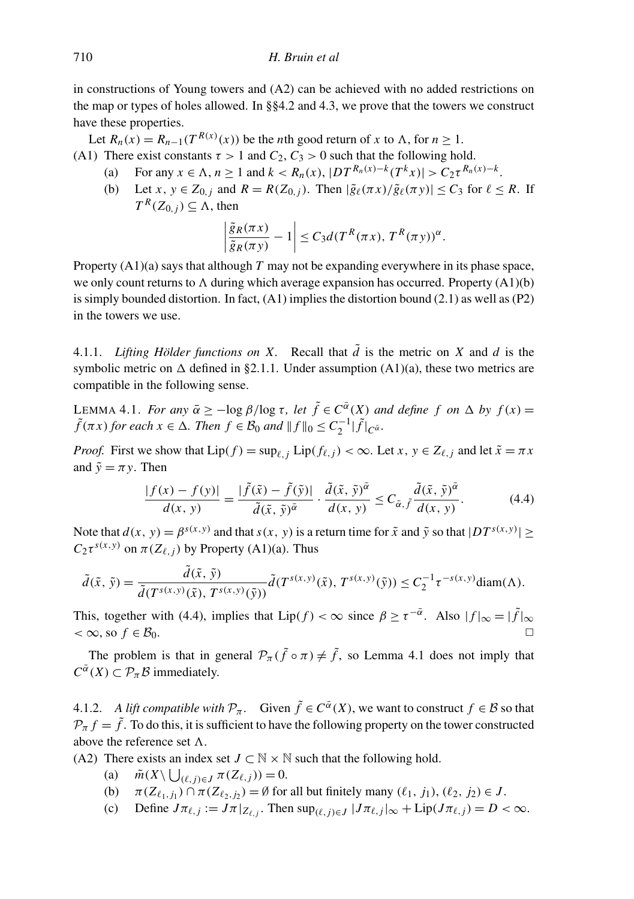in constructions of Young towers and (A2) can be achieved with no added restrictions on the map or types of holes allowed. In §§4.2 and 4.3, we prove that the towers we construct have these properties.

Let  $R_n(x) = R_{n-1}(T^{R(x)}(x))$  be the *n*th good return of *x* to  $\Lambda$ , for  $n \ge 1$ .

- (A1) There exist constants  $\tau > 1$  and  $C_2$ ,  $C_3 > 0$  such that the following hold.
	- (a) For any  $x \in \Lambda$ ,  $n \ge 1$  and  $k < R_n(x)$ ,  $|DT^{R_n(x)-k}(T^kx)| > C_2 \tau^{R_n(x)-k}$ .
	- (b) Let  $x, y \in Z_{0,j}$  and  $R = R(Z_{0,j})$ . Then  $|\tilde{g}_{\ell}(\pi x)/\tilde{g}_{\ell}(\pi y)| \le C_3$  for  $\ell \le R$ . If  $T^R(Z_{0,j}) \subseteq \Lambda$ , then

$$
\left|\frac{\tilde{g}_R(\pi x)}{\tilde{g}_R(\pi y)}-1\right|\leq C_3 d(T^R(\pi x), T^R(\pi y))^{\alpha}.
$$

Property (A1)(a) says that although *T* may not be expanding everywhere in its phase space, we only count returns to  $\Lambda$  during which average expansion has occurred. Property  $(A1)(b)$ is simply bounded distortion. In fact,  $(A1)$  implies the distortion bound  $(2.1)$  as well as  $(P2)$ in the towers we use.

4.1.1. *Lifting Hölder functions on X*. Recall that  $\tilde{d}$  is the metric on *X* and *d* is the symbolic metric on  $\Delta$  defined in §2.1.1. Under assumption (A1)(a), these two metrics are compatible in the following sense.

LEMMA 4.1. *For any*  $\bar{\alpha} \ge -\log \beta / \log \tau$ , *let*  $\tilde{f} \in C^{\bar{\alpha}}(X)$  *and define* f on  $\Delta$  by  $f(x) =$  $\tilde{f}(\pi x)$  *for each*  $x \in \Delta$ *. Then*  $f \in \mathcal{B}_0$  *and*  $|| f ||_0 \leq C_2^{-1} |\tilde{f}|_{C^{\tilde{\alpha}}}$ *.* 

*Proof.* First we show that  $Lip(f) = \sup_{\ell} i$ ,  $Lip(f_{\ell,i}) < \infty$ . Let  $x, y \in Z_{\ell,i}$  and let  $\tilde{x} = \pi x$ and  $\tilde{y} = \pi y$ . Then

$$
\frac{|f(x) - f(y)|}{d(x, y)} = \frac{|\tilde{f}(\tilde{x}) - \tilde{f}(\tilde{y})|}{\tilde{d}(\tilde{x}, \tilde{y})^{\tilde{\alpha}}} \cdot \frac{\tilde{d}(\tilde{x}, \tilde{y})^{\tilde{\alpha}}}{d(x, y)} \le C_{\tilde{\alpha}, \tilde{f}} \frac{\tilde{d}(\tilde{x}, \tilde{y})^{\tilde{\alpha}}}{d(x, y)}.
$$
(4.4)

Note that  $d(x, y) = \beta^{s(x, y)}$  and that  $s(x, y)$  is a return time for  $\tilde{x}$  and  $\tilde{y}$  so that  $|DT^{s(x, y)}| \ge$  $C_2 \tau^{s(x,y)}$  on  $\pi(Z_{\ell,j})$  by Property (A1)(a). Thus

$$
\tilde{d}(\tilde{x},\tilde{y})=\frac{\tilde{d}(\tilde{x},\tilde{y})}{\tilde{d}(T^{s(x,y)}(\tilde{x}),T^{s(x,y)}(\tilde{y}))}\tilde{d}(T^{s(x,y)}(\tilde{x}),T^{s(x,y)}(\tilde{y}))\leq C_2^{-1}\tau^{-s(x,y)}\text{diam}(\Lambda).
$$

This, together with (4.4), implies that  $Lip(f) < \infty$  since  $\beta \ge \tau^{-\bar{\alpha}}$ . Also  $|f|_{\infty} = |\tilde{f}|_{\infty}$  $< \infty$ , so  $f \in \mathcal{B}_0$ .

The problem is that in general  $\mathcal{P}_{\pi}(\tilde{f} \circ \pi) \neq \tilde{f}$ , so Lemma 4.1 does not imply that  $C^{\overline{\alpha}}(X) \subset \mathcal{P}_{\pi} \mathcal{B}$  immediately.

4.1.2. *A lift compatible with*  $\mathcal{P}_{\pi}$ . Given  $\tilde{f} \in C^{\tilde{\alpha}}(X)$ , we want to construct  $f \in \mathcal{B}$  so that  $P_{\pi} f = \tilde{f}$ . To do this, it is sufficient to have the following property on the tower constructed above the reference set  $\Lambda$ .

(A2) There exists an index set  $J \subset \mathbb{N} \times \mathbb{N}$  such that the following hold.

- (a)  $\tilde{m}(X \setminus \bigcup_{(\ell,j)\in J} \pi(Z_{\ell,j})) = 0.$
- (b)  $\pi(Z_{\ell_1,j_1}) \cap \pi(Z_{\ell_2,j_2}) = \emptyset$  for all but finitely many  $(\ell_1, j_1), (\ell_2, j_2) \in J$ .
- (c) Define  $J\pi_{\ell,j} := J\pi|_{Z_{\ell,j}}$ . Then  $\sup_{(\ell,j)\in J} |J\pi_{\ell,j}|_{\infty} + \text{Lip}(J\pi_{\ell,j}) = D < \infty$ .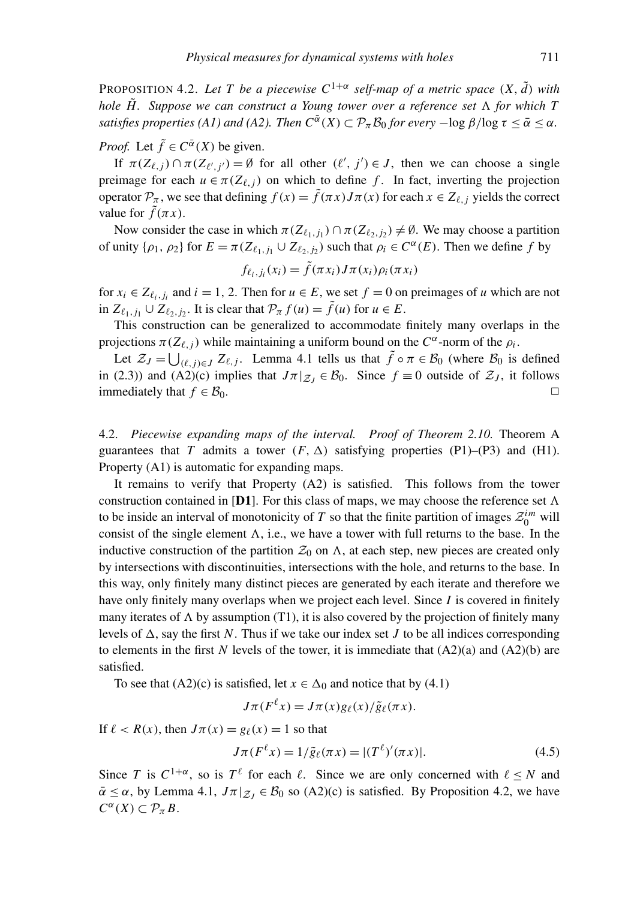**PROPOSITION 4.2.** Let T be a piecewise  $C^{1+\alpha}$  self-map of a metric space  $(X, \tilde{d})$  with *hole*  $\tilde{H}$ . Suppose we can construct a Young tower over a reference set  $\Lambda$  for which T *satisfies properties (A1) and (A2). Then*  $C^{\bar{\alpha}}(X) \subset \mathcal{P}_{\pi} \mathcal{B}_0$  *for every*  $-\log \beta / \log \tau \leq \bar{\alpha} \leq \alpha$ .

## *Proof.* Let  $\tilde{f} \in C^{\bar{\alpha}}(X)$  be given.

If  $\pi(Z_{\ell,j}) \cap \pi(Z_{\ell',j'}) = \emptyset$  for all other  $(\ell', j') \in J$ , then we can choose a single preimage for each  $u \in \pi(Z_{\ell,i})$  on which to define *f*. In fact, inverting the projection operator  $\mathcal{P}_{\pi}$ , we see that defining  $f(x) = \tilde{f}(\pi x)J\pi(x)$  for each  $x \in Z_{\ell, i}$  yields the correct value for  $f(\pi x)$ .

Now consider the case in which  $\pi(Z_{\ell_1,j_1}) \cap \pi(Z_{\ell_2,j_2}) \neq \emptyset$ . We may choose a partition of unity  $\{\rho_1, \rho_2\}$  for  $E = \pi(Z_{\ell_1,j_1} \cup Z_{\ell_2,j_2})$  such that  $\rho_i \in C^{\alpha}(E)$ . Then we define *f* by

$$
f_{\ell_i,j_i}(x_i) = \tilde{f}(\pi x_i) J \pi(x_i) \rho_i(\pi x_i)
$$

for  $x_i \in Z_{\ell_i,j_i}$  and  $i = 1, 2$ . Then for  $u \in E$ , we set  $f = 0$  on preimages of *u* which are not in  $Z_{\ell_1,j_1} \cup Z_{\ell_2,j_2}$ . It is clear that  $\mathcal{P}_{\pi} f(u) = \tilde{f}(u)$  for  $u \in E$ .

This construction can be generalized to accommodate finitely many overlaps in the projections  $\pi(Z_{\ell,j})$  while maintaining a uniform bound on the  $C^{\alpha}$ -norm of the  $\rho_i$ .

Let  $\mathcal{Z}_J = \bigcup_{(\ell,j)\in J} Z_{\ell,j}$ . Lemma 4.1 tells us that  $\tilde{f} \circ \pi \in \mathcal{B}_0$  (where  $\mathcal{B}_0$  is defined in (2.3)) and (A2)(c) implies that  $J\pi|_{\mathcal{Z}_I} \in \mathcal{B}_0$ . Since  $f \equiv 0$  outside of  $\mathcal{Z}_J$ , it follows immediately that  $f \in \mathcal{B}_0$ .

4.2. *Piecewise expanding maps of the interval. Proof of Theorem 2.10.* Theorem A guarantees that *T* admits a tower  $(F, \Delta)$  satisfying properties  $(P1)$ – $(P3)$  and  $(H1)$ . Property (A1) is automatic for expanding maps.

It remains to verify that Property (A2) is satisfied. This follows from the tower construction contained in [D1]. For this class of maps, we may choose the reference set  $\Lambda$ to be inside an interval of monotonicity of *T* so that the finite partition of images  $\mathcal{Z}_0^{im}$  will consist of the single element  $\Lambda$ , i.e., we have a tower with full returns to the base. In the inductive construction of the partition  $\mathcal{Z}_0$  on  $\Lambda$ , at each step, new pieces are created only by intersections with discontinuities, intersections with the hole, and returns to the base. In this way, only finitely many distinct pieces are generated by each iterate and therefore we have only finitely many overlaps when we project each level. Since *I* is covered in finitely many iterates of  $\Lambda$  by assumption (T1), it is also covered by the projection of finitely many levels of  $\Delta$ , say the first *N*. Thus if we take our index set *J* to be all indices corresponding to elements in the first N levels of the tower, it is immediate that  $(A2)(a)$  and  $(A2)(b)$  are satisfied.

To see that (A2)(c) is satisfied, let  $x \in \Delta_0$  and notice that by (4.1)

$$
J\pi(F^{\ell}x) = J\pi(x)g_{\ell}(x)/\tilde{g}_{\ell}(\pi x).
$$

If  $\ell$  < *R*(*x*), then  $J\pi(x) = g_{\ell}(x) = 1$  so that

$$
J\pi(F^{\ell}x) = 1/\tilde{g}_{\ell}(\pi x) = |(T^{\ell})'(\pi x)|.
$$
 (4.5)

Since *T* is  $C^{1+\alpha}$ , so is  $T^{\ell}$  for each  $\ell$ . Since we are only concerned with  $\ell \leq N$  and  $\bar{\alpha} \leq \alpha$ , by Lemma 4.1,  $J\pi|_{\mathcal{Z}_I} \in \mathcal{B}_0$  so (A2)(c) is satisfied. By Proposition 4.2, we have  $C^{\alpha}(X) \subset \mathcal{P}_{\pi} B$ .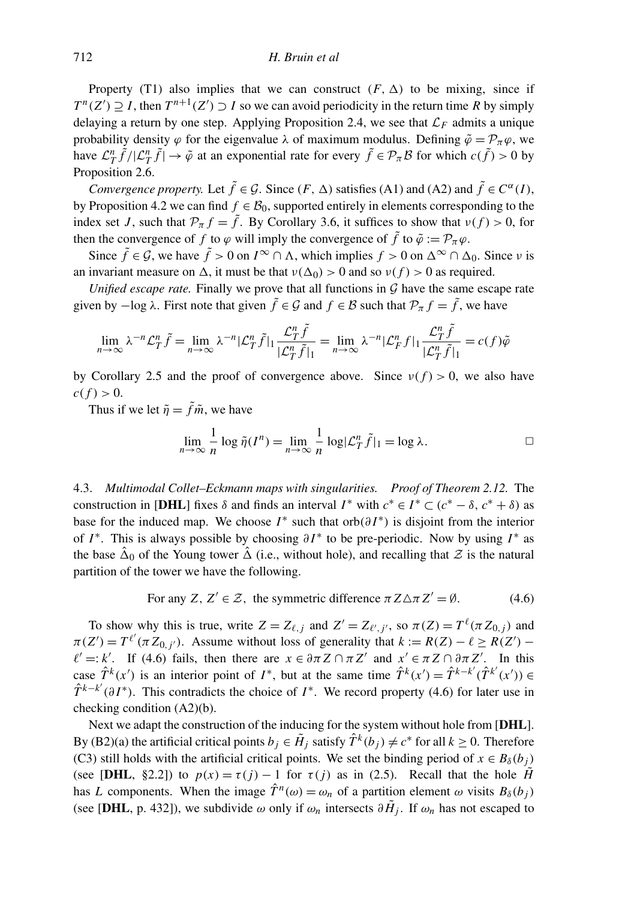Property (T1) also implies that we can construct  $(F, \Delta)$  to be mixing, since if  $T^{n}(Z') \supseteq I$ , then  $T^{n+1}(Z') \supseteq I$  so we can avoid periodicity in the return time *R* by simply delaying a return by one step. Applying Proposition 2.4, we see that  $\mathcal{L}_F$  admits a unique probability density  $\varphi$  for the eigenvalue  $\lambda$  of maximum modulus. Defining  $\tilde{\varphi} = \mathcal{P}_{\pi} \varphi$ , we have  $\mathcal{L}_T^n \tilde{f}/|\mathcal{L}_T^n \tilde{f}| \to \tilde{\varphi}$  at an exponential rate for every  $\tilde{f} \in \mathcal{P}_T \mathcal{B}$  for which  $c(\tilde{f}) > 0$  by Proposition 2.6.

*Convergence property.* Let  $\tilde{f} \in \mathcal{G}$ . Since  $(F, \Delta)$  satisfies (A1) and (A2) and  $\tilde{f} \in C^{\alpha}(I)$ , by Proposition 4.2 we can find  $f \in \mathcal{B}_0$ , supported entirely in elements corresponding to the index set *J*, such that  $\mathcal{P}_{\pi} f = \tilde{f}$ . By Corollary 3.6, it suffices to show that  $v(f) > 0$ , for then the convergence of *f* to  $\varphi$  will imply the convergence of  $\tilde{f}$  to  $\tilde{\varphi} := \mathcal{P}_{\pi} \varphi$ .

Since  $\tilde{f} \in \mathcal{G}$ , we have  $\tilde{f} > 0$  on  $I^{\infty} \cap \Lambda$ , which implies  $f > 0$  on  $\Delta^{\infty} \cap \Delta_0$ . Since *v* is an invariant measure on  $\Delta$ , it must be that  $v(\Delta_0) > 0$  and so  $v(f) > 0$  as required.

*Unified escape rate.* Finally we prove that all functions in  $G$  have the same escape rate given by  $-\log \lambda$ . First note that given  $\tilde{f} \in \mathcal{G}$  and  $f \in \mathcal{B}$  such that  $\mathcal{P}_{\pi} f = \tilde{f}$ , we have

$$
\lim_{n \to \infty} \lambda^{-n} \mathcal{L}_T^n \tilde{f} = \lim_{n \to \infty} \lambda^{-n} |\mathcal{L}_T^n \tilde{f}|_1 \frac{\mathcal{L}_T^n \tilde{f}}{|\mathcal{L}_T^n \tilde{f}|_1} = \lim_{n \to \infty} \lambda^{-n} |\mathcal{L}_F^n f|_1 \frac{\mathcal{L}_T^n \tilde{f}}{|\mathcal{L}_T^n \tilde{f}|_1} = c(f)\tilde{\varphi}
$$

by Corollary 2.5 and the proof of convergence above. Since  $v(f) > 0$ , we also have  $c(f) > 0.$ 

Thus if we let  $\tilde{\eta} = \tilde{f}\tilde{m}$ , we have

$$
\lim_{n \to \infty} \frac{1}{n} \log \tilde{\eta}(I^n) = \lim_{n \to \infty} \frac{1}{n} \log |\mathcal{L}_T^n \tilde{f}|_1 = \log \lambda.
$$

4.3. *Multimodal Collet–Eckmann maps with singularities. Proof of Theorem 2.12.* The construction in [DHL] fixes  $\delta$  and finds an interval  $I^*$  with  $c^* \in I^* \subset (c^* - \delta, c^* + \delta)$  as base for the induced map. We choose  $I^*$  such that orb $(\partial I^*)$  is disjoint from the interior of *I*<sup>\*</sup>. This is always possible by choosing  $\partial I^*$  to be pre-periodic. Now by using *I*<sup>\*</sup> as the base  $\hat{\Delta}_0$  of the Young tower  $\hat{\Delta}$  (i.e., without hole), and recalling that  $\mathcal Z$  is the natural partition of the tower we have the following.

For any Z, 
$$
Z' \in \mathcal{Z}
$$
, the symmetric difference  $\pi Z \Delta \pi Z' = \emptyset$ . (4.6)

To show why this is true, write  $Z = Z_{\ell,j}$  and  $Z' = Z_{\ell',j'}$ , so  $\pi(Z) = T^{\ell}(\pi Z_{0,j})$  and  $\pi(Z') = T^{\ell'}(\pi Z_{0,j'})$ . Assume without loss of generality that  $k := R(Z) - \ell \ge R(Z') - \ell$  $\ell' =: k'$ . If (4.6) fails, then there are  $x \in \partial \pi Z \cap \pi Z'$  and  $x' \in \pi Z \cap \partial \pi Z'$ . In this case  $\hat{T}^k(x')$  is an interior point of *I*<sup>\*</sup>, but at the same time  $\hat{T}^k(x') = \hat{T}^{k-k'}(\hat{T}^{k'}(x')) \in$  $\hat{T}^{k-k'}(\partial I^*)$ . This contradicts the choice of  $I^*$ . We record property (4.6) for later use in checking condition (A2)(b).

Next we adapt the construction of the inducing for the system without hole from [DHL]. By (B2)(a) the artificial critical points  $b_j \in \tilde{H}_j$  satisfy  $\hat{T}^k(b_j) \neq c^*$  for all  $k \geq 0$ . Therefore (C3) still holds with the artificial critical points. We set the binding period of  $x \in B_\delta(b_i)$ (see [DHL, §2.2]) to  $p(x) = \tau(j) - 1$  for  $\tau(j)$  as in (2.5). Recall that the hole  $\hat{H}$ has *L* components. When the image  $\hat{T}^n(\omega) = \omega_n$  of a partition element  $\omega$  visits  $B_\delta(b_j)$ (see [DHL, p. 432]), we subdivide  $\omega$  only if  $\omega_n$  intersects  $\partial \tilde{H}_j$ . If  $\omega_n$  has not escaped to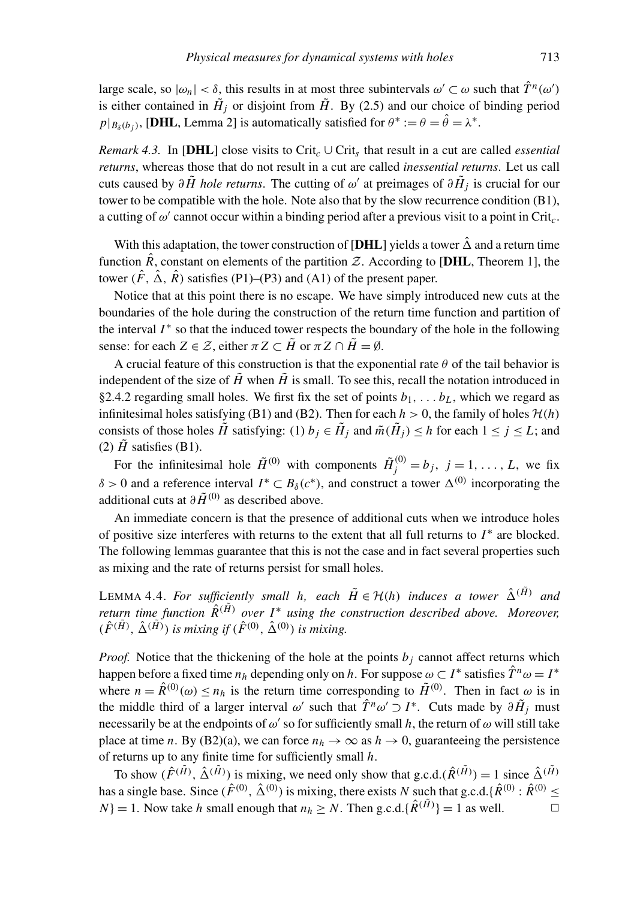large scale, so  $|\omega_n| < \delta$ , this results in at most three subintervals  $\omega' \subset \omega$  such that  $\hat{T}^n(\omega')$ is either contained in  $H_j$  or disjoint from  $H$ . By (2.5) and our choice of binding period  $p|_{B_\delta(b_j)}$ , [DHL, Lemma 2] is automatically satisfied for  $\theta^* := \theta = \hat{\theta} = \lambda^*$ .

*Remark 4.3.* In [DHL] close visits to Crit<sub>c</sub>  $\cup$  Crit<sub>s</sub> that result in a cut are called *essential returns*, whereas those that do not result in a cut are called *inessential returns*. Let us call cuts caused by  $\partial \tilde{H}$  *hole returns*. The cutting of  $\omega'$  at preimages of  $\partial \tilde{H}_j$  is crucial for our tower to be compatible with the hole. Note also that by the slow recurrence condition (B1), a cutting of  $\omega'$  cannot occur within a binding period after a previous visit to a point in Crit<sub>c</sub>.

With this adaptation, the tower construction of [DHL] yields a tower  $\hat{\Delta}$  and a return time function  $\hat{R}$ , constant on elements of the partition  $\mathcal{Z}$ . According to [DHL, Theorem 1], the tower  $(\hat{F}, \hat{\Delta}, \hat{R})$  satisfies (P1)–(P3) and (A1) of the present paper.

Notice that at this point there is no escape. We have simply introduced new cuts at the boundaries of the hole during the construction of the return time function and partition of the interval  $I^*$  so that the induced tower respects the boundary of the hole in the following sense: for each  $Z \in \mathcal{Z}$ , either  $\pi Z \subset \tilde{H}$  or  $\pi Z \cap \tilde{H} = \emptyset$ .

A crucial feature of this construction is that the exponential rate  $\theta$  of the tail behavior is independent of the size of  $\tilde{H}$  when  $\tilde{H}$  is small. To see this, recall the notation introduced in §2.4.2 regarding small holes. We first fix the set of points  $b_1, \ldots, b_l$ , which we regard as infinitesimal holes satisfying (B1) and (B2). Then for each  $h > 0$ , the family of holes  $\mathcal{H}(h)$ consists of those holes  $\tilde{H}$  satisfying: (1)  $b_j \in \tilde{H}_j$  and  $\tilde{m}(\tilde{H}_j) \leq h$  for each  $1 \leq j \leq L$ ; and (2)  $\hat{H}$  satisfies (B1).

For the infinitesimal hole  $\tilde{H}^{(0)}$  with components  $\tilde{H}^{(0)}_j = b_j$ ,  $j = 1, \ldots, L$ , we fix δ > 0 and a reference interval *I*<sup>\*</sup> ⊂ *B*<sub>δ</sub>(*c*<sup>\*</sup>), and construct a tower  $\Delta$ <sup>(0)</sup> incorporating the additional cuts at  $\partial \tilde{H}^{(0)}$  as described above.

An immediate concern is that the presence of additional cuts when we introduce holes of positive size interferes with returns to the extent that all full returns to  $I^*$  are blocked. The following lemmas guarantee that this is not the case and in fact several properties such as mixing and the rate of returns persist for small holes.

LEMMA 4.4. For sufficiently small h, each  $\tilde{H} \in \mathcal{H}(h)$  induces a tower  $\hat{\Delta}^{(\tilde{H})}$  and *return time function*  $\hat{R}(\tilde{H})$  *over*  $I^*$  *using the construction described above. Moreover,*  $(\hat{F}^{(\tilde{H})}, \hat{\Delta}^{(\tilde{H})})$  *is mixing if*  $(\hat{F}^{(0)}, \hat{\Delta}^{(0)})$  *is mixing.* 

*Proof.* Notice that the thickening of the hole at the points  $b_j$  cannot affect returns which happen before a fixed time  $n_h$  depending only on *h*. For suppose  $\omega \subset I^*$  satisfies  $\hat{T}^n \omega = I^*$ where  $n = \hat{R}^{(0)}(\omega) \le n_h$  is the return time corresponding to  $\tilde{H}^{(0)}$ . Then in fact  $\omega$  is in the middle third of a larger interval  $\omega'$  such that  $\hat{T}^n \omega' \supset I^*$ . Cuts made by  $\partial \tilde{H}_j$  must necessarily be at the endpoints of  $\omega'$  so for sufficiently small h, the return of  $\omega$  will still take place at time *n*. By (B2)(a), we can force  $n_h \to \infty$  as  $h \to 0$ , guaranteeing the persistence of returns up to any finite time for sufficiently small *h*.

To show  $(\hat{F}^{(\tilde{H})}, \hat{\Delta}^{(\tilde{H})})$  is mixing, we need only show that g.c.d. $(\hat{R}^{(\tilde{H})}) = 1$  since  $\hat{\Delta}^{(\tilde{H})}$ has a single base. Since  $(\hat{F}^{(0)}, \hat{\Delta}^{(0)})$  is mixing, there exists *N* such that g.c.d.{ $\hat{R}^{(0)}$  :  $\hat{R}^{(0)} \leq$ *N*} = 1. Now take *h* small enough that  $n_h \ge N$ . Then g.c.d.{ $\hat{R}^{(\tilde{H})}$ } = 1 as well.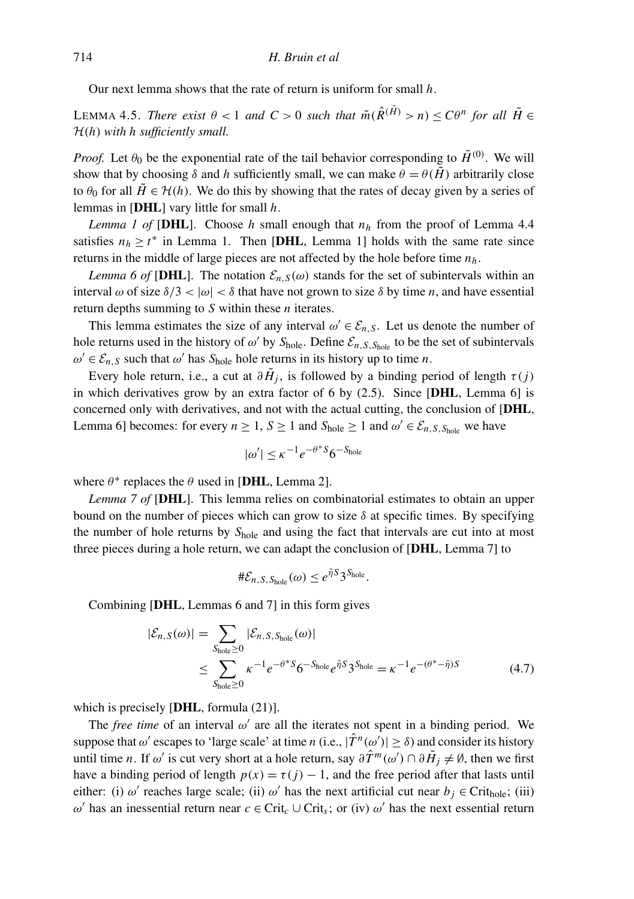Our next lemma shows that the rate of return is uniform for small *h*.

LEMMA 4.5. *There exist*  $\theta < 1$  *and*  $C > 0$  *such that*  $\tilde{m}(\hat{R}^{(\tilde{H})} > n) \leq C\theta^n$  for all  $\tilde{H} \in$ H(*h*) *with h sufficiently small.*

*Proof.* Let  $\theta_0$  be the exponential rate of the tail behavior corresponding to  $\tilde{H}^{(0)}$ . We will show that by choosing  $\delta$  and *h* sufficiently small, we can make  $\theta = \theta(\tilde{H})$  arbitrarily close to  $\theta_0$  for all  $\tilde{H} \in \mathcal{H}(h)$ . We do this by showing that the rates of decay given by a series of lemmas in [DHL] vary little for small *h*.

*Lemma 1 of* [DHL]. Choose *h* small enough that  $n_h$  from the proof of Lemma 4.4 satisfies  $n_h \ge t^*$  in Lemma 1. Then [DHL, Lemma 1] holds with the same rate since returns in the middle of large pieces are not affected by the hole before time *nh*.

*Lemma 6 of* [DHL]. The notation  $\mathcal{E}_{n,S}(\omega)$  stands for the set of subintervals within an interval  $\omega$  of size  $\delta/3 < |\omega| < \delta$  that have not grown to size  $\delta$  by time *n*, and have essential return depths summing to *S* within these *n* iterates.

This lemma estimates the size of any interval  $\omega' \in \mathcal{E}_{n,S}$ . Let us denote the number of hole returns used in the history of  $\omega'$  by  $S_{hole}$ . Define  $\mathcal{E}_{n,S,S_{hole}}$  to be the set of subintervals  $\omega' \in \mathcal{E}_{n,S}$  such that  $\omega'$  has  $S_{hole}$  hole returns in its history up to time *n*.

Every hole return, i.e., a cut at  $\partial \tilde{H}_j$ , is followed by a binding period of length  $\tau(j)$ in which derivatives grow by an extra factor of 6 by  $(2.5)$ . Since [DHL, Lemma 6] is concerned only with derivatives, and not with the actual cutting, the conclusion of [DHL, Lemma 6] becomes: for every  $n \ge 1$ ,  $S \ge 1$  and  $S_{hole} \ge 1$  and  $\omega' \in \mathcal{E}_{n,S,S_{hole}}$  we have

$$
|\omega'| \le \kappa^{-1} e^{-\theta^* S} 6^{-S_{\text{hole}}}
$$

where  $\theta^*$  replaces the  $\theta$  used in [DHL, Lemma 2].

*Lemma 7 of* [DHL]. This lemma relies on combinatorial estimates to obtain an upper bound on the number of pieces which can grow to size  $\delta$  at specific times. By specifying the number of hole returns by *S*hole and using the fact that intervals are cut into at most three pieces during a hole return, we can adapt the conclusion of [DHL, Lemma 7] to

$$
\#\mathcal{E}_{n,S,S_{\text{hole}}}(\omega) \leq e^{\tilde{\eta}S}3^{S_{\text{hole}}}.
$$

Combining [DHL, Lemmas 6 and 7] in this form gives

$$
|\mathcal{E}_{n,S}(\omega)| = \sum_{S_{\text{hole}} \ge 0} |\mathcal{E}_{n,S,S_{\text{hole}}}(\omega)|
$$
  

$$
\le \sum_{S_{\text{hole}} \ge 0} \kappa^{-1} e^{-\theta^* S} 6^{-S_{\text{hole}}} e^{\tilde{\eta} S} 3^{S_{\text{hole}}} = \kappa^{-1} e^{-(\theta^* - \tilde{\eta})S}
$$
(4.7)

which is precisely [DHL, formula  $(21)$ ].

The *free time* of an interval  $\omega'$  are all the iterates not spent in a binding period. We suppose that  $\omega'$  escapes to 'large scale' at time *n* (i.e.,  $|\hat{T}^n(\omega')| \ge \delta$ ) and consider its history until time *n*. If  $\omega'$  is cut very short at a hole return, say  $\partial \hat{T}^m(\omega') \cap \partial \tilde{H}_j \neq \emptyset$ , then we first have a binding period of length  $p(x) = \tau(j) - 1$ , and the free period after that lasts until either: (i)  $\omega'$  reaches large scale; (ii)  $\omega'$  has the next artificial cut near  $b_j \in \text{Crit}_{\text{hole}}$ ; (iii)  $ω'$  has an inessential return near *c* ∈ Crit<sub>*c*</sub> ∪ Crit<sub>*s*</sub>; or (iv)  $ω'$  has the next essential return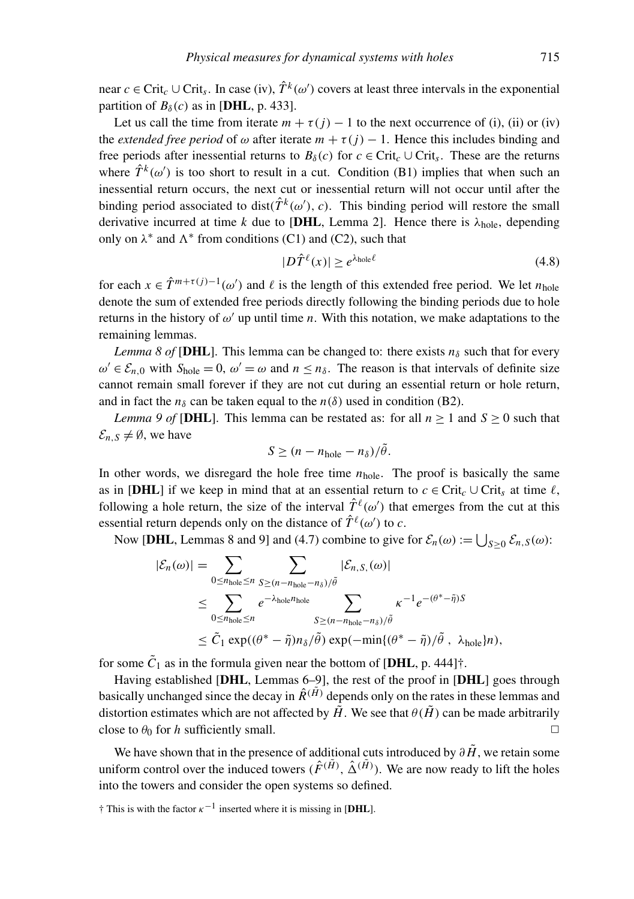near  $c \in \text{Crit}_c \cup \text{Crit}_s$ . In case (iv),  $\hat{T}^k(\omega')$  covers at least three intervals in the exponential partition of  $B_\delta(c)$  as in [DHL, p. 433].

Let us call the time from iterate  $m + \tau(j) - 1$  to the next occurrence of (i), (ii) or (iv) the *extended free period* of  $\omega$  after iterate  $m + \tau(i) - 1$ . Hence this includes binding and free periods after inessential returns to  $B_\delta(c)$  for  $c \in \text{Crit}_c \cup \text{Crit}_s$ . These are the returns where  $\hat{T}^k(\omega')$  is too short to result in a cut. Condition (B1) implies that when such an inessential return occurs, the next cut or inessential return will not occur until after the binding period associated to dist( $\hat{T}^k(\omega)$ , *c*). This binding period will restore the small derivative incurred at time *k* due to [DHL, Lemma 2]. Hence there is  $\lambda_{hole}$ , depending only on  $\lambda^*$  and  $\Lambda^*$  from conditions (C1) and (C2), such that

$$
|D\hat{T}^{\ell}(x)| \ge e^{\lambda_{\text{hole}}\ell} \tag{4.8}
$$

for each  $x \in \hat{T}^{m+\tau(j)-1}(\omega')$  and  $\ell$  is the length of this extended free period. We let  $n_{\text{hole}}$ denote the sum of extended free periods directly following the binding periods due to hole returns in the history of  $\omega'$  up until time *n*. With this notation, we make adaptations to the remaining lemmas.

*Lemma 8 of* [DHL]. This lemma can be changed to: there exists  $n<sub>δ</sub>$  such that for every  $\omega' \in \mathcal{E}_{n,0}$  with  $S_{hole} = 0$ ,  $\omega' = \omega$  and  $n \leq n_\delta$ . The reason is that intervals of definite size cannot remain small forever if they are not cut during an essential return or hole return, and in fact the  $n_{\delta}$  can be taken equal to the  $n(\delta)$  used in condition (B2).

*Lemma 9 of* [DHL]. This lemma can be restated as: for all  $n \ge 1$  and  $S \ge 0$  such that  $\mathcal{E}_{n,S} \neq \emptyset$ , we have

$$
S \ge (n - n_{\text{hole}} - n_{\delta})/\tilde{\theta}.
$$

In other words, we disregard the hole free time  $n_{hole}$ . The proof is basically the same as in [DHL] if we keep in mind that at an essential return to  $c \in \text{Crit}_c \cup \text{Crit}_s$  at time  $\ell$ , following a hole return, the size of the interval  $\hat{T}^{\ell}(\omega')$  that emerges from the cut at this essential return depends only on the distance of  $\hat{T}^{\ell}(\omega')$  to *c*.

Now [DHL, Lemmas 8 and 9] and (4.7) combine to give for  $\mathcal{E}_n(\omega) := \bigcup_{S \geq 0} \mathcal{E}_{n,S}(\omega)$ :

$$
|\mathcal{E}_n(\omega)| = \sum_{0 \le n_{\text{hole}}} \sum_{S \ge (n - n_{\text{hole}} - n_{\delta})/\tilde{\theta}} |\mathcal{E}_{n,S,}(\omega)|
$$
  
\n
$$
\le \sum_{0 \le n_{\text{hole}}} e^{-\lambda_{\text{hole}} n_{\text{hole}}}
$$
  
\n
$$
\le \tilde{C}_1 \exp((\theta^* - \tilde{\eta})n_{\delta}/\tilde{\theta}) \exp(-\min\{(\theta^* - \tilde{\eta})/\tilde{\theta}, \lambda_{\text{hole}}\}n),
$$

for some  $\tilde{C}_1$  as in the formula given near the bottom of [**DHL**, p. 444]<sup> $\dagger$ </sup>.

Having established [DHL, Lemmas 6–9], the rest of the proof in [DHL] goes through basically unchanged since the decay in  $\hat{R}^{(\tilde{H})}$  depends only on the rates in these lemmas and distortion estimates which are not affected by  $\tilde{H}$ . We see that  $\theta(\tilde{H})$  can be made arbitrarily close to  $\theta_0$  for *h* sufficiently small.  $\square$ 

We have shown that in the presence of additional cuts introduced by  $\partial \tilde{H}$ , we retain some uniform control over the induced towers  $(\hat{F}^{(\tilde{H})}, \hat{\Delta}^{(\tilde{H})})$ . We are now ready to lift the holes into the towers and consider the open systems so defined.

 $\dagger$  This is with the factor  $\kappa^{-1}$  inserted where it is missing in [DHL].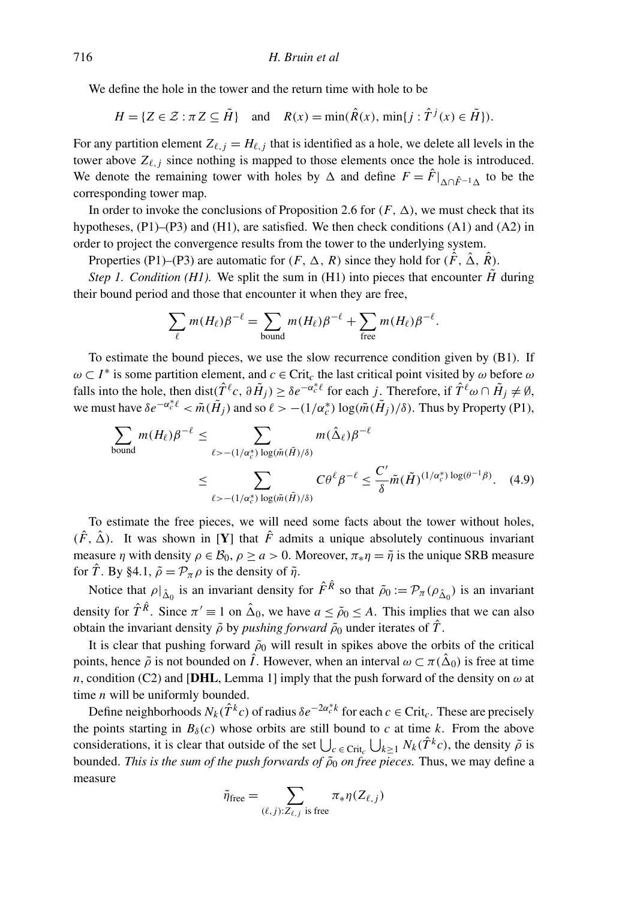We define the hole in the tower and the return time with hole to be

$$
H = \{ Z \in \mathcal{Z} : \pi Z \subseteq \tilde{H} \} \quad \text{and} \quad R(x) = \min(\hat{R}(x), \min\{j : \hat{T}^j(x) \in \tilde{H}\}).
$$

For any partition element  $Z_{\ell,j} = H_{\ell,j}$  that is identified as a hole, we delete all levels in the tower above  $Z_{\ell, j}$  since nothing is mapped to those elements once the hole is introduced. We denote the remaining tower with holes by  $\Delta$  and define  $F = \hat{F}|_{\Delta \cap \hat{F}^{-1} \Delta}$  to be the corresponding tower map.

In order to invoke the conclusions of Proposition 2.6 for  $(F, \Delta)$ , we must check that its hypotheses,  $(P1)$ – $(P3)$  and  $(H1)$ , are satisfied. We then check conditions  $(A1)$  and  $(A2)$  in order to project the convergence results from the tower to the underlying system.

Properties (P1)–(P3) are automatic for  $(F, \Delta, R)$  since they hold for  $(\hat{F}, \hat{\Delta}, \hat{R})$ .

*Step 1. Condition (H1).* We split the sum in (H1) into pieces that encounter  $\tilde{H}$  during their bound period and those that encounter it when they are free,

$$
\sum_{\ell} m(H_{\ell}) \beta^{-\ell} = \sum_{\text{bound}} m(H_{\ell}) \beta^{-\ell} + \sum_{\text{free}} m(H_{\ell}) \beta^{-\ell}.
$$

To estimate the bound pieces, we use the slow recurrence condition given by  $(B1)$ . If  $\omega \subset I^*$  is some partition element, and  $c \in \text{Crit}_c$  the last critical point visited by  $\omega$  before  $\omega$ falls into the hole, then dist $(\hat{T}^{\ell}c, \partial \tilde{H}_j) \ge \delta e^{-\alpha_c^* \ell}$  for each *j*. Therefore, if  $\hat{T}^{\ell} \omega \cap \tilde{H}_j \ne \emptyset$ , we must have  $\delta e^{-\alpha_c^* \ell} < \tilde{m}(\tilde{H}_j)$  and so  $\ell > -(1/\alpha_c^*) \log(\tilde{m}(\tilde{H}_j)/\delta)$ . Thus by Property (P1),

$$
\sum_{\text{bound}} m(H_{\ell})\beta^{-\ell} \leq \sum_{\ell > -(1/\alpha_c^*) \log(\tilde{m}(\tilde{H})/\delta)} m(\hat{\Delta}_{\ell})\beta^{-\ell}
$$
  

$$
\leq \sum_{\ell > -(1/\alpha_c^*) \log(\tilde{m}(\tilde{H})/\delta)} C\theta^{\ell}\beta^{-\ell} \leq \frac{C'}{\delta} \tilde{m}(\tilde{H})^{(1/\alpha_c^*) \log(\theta^{-1}\beta)}.
$$
 (4.9)

To estimate the free pieces, we will need some facts about the tower without holes,  $(\hat{F}, \hat{\Delta})$ . It was shown in [Y] that  $\hat{F}$  admits a unique absolutely continuous invariant measure  $\eta$  with density  $\rho \in \mathcal{B}_0$ ,  $\rho \ge a > 0$ . Moreover,  $\pi_* \eta = \tilde{\eta}$  is the unique SRB measure for  $\hat{T}$ . By §4.1,  $\tilde{\rho} = \mathcal{P}_{\pi} \rho$  is the density of  $\tilde{\eta}$ .

Notice that  $\rho|_{\hat{\Delta}_0}$  is an invariant density for  $\hat{F}^{\hat{R}}$  so that  $\tilde{\rho}_0 := \mathcal{P}_{\pi}(\rho_{\hat{\Delta}_0})$  is an invariant density for  $\hat{T}^{\hat{R}}$ . Since  $\pi' \equiv 1$  on  $\hat{\Delta}_0$ , we have  $a \le \tilde{\rho}_0 \le A$ . This implies that we can also obtain the invariant density  $\tilde{\rho}$  by *pushing forward*  $\tilde{\rho}_0$  under iterates of  $\hat{T}$ .

It is clear that pushing forward  $\tilde{\rho}_0$  will result in spikes above the orbits of the critical points, hence  $\tilde{\rho}$  is not bounded on  $\hat{I}$ . However, when an interval  $\omega \subset \pi(\hat{\Delta}_0)$  is free at time *n*, condition (C2) and [DHL, Lemma 1] imply that the push forward of the density on  $\omega$  at time *n* will be uniformly bounded.

Define neighborhoods  $N_k(\hat{T}^k c)$  of radius  $\delta e^{-2\alpha_c^* k}$  for each  $c \in \text{Crit}_c$ . These are precisely the points starting in  $B_\delta(c)$  whose orbits are still bound to *c* at time *k*. From the above considerations, it is clear that outside of the set  $\bigcup_{c \in \text{Crit}_c} \bigcup_{k \geq 1} N_k(\hat{T}^k c)$ , the density  $\tilde{\rho}$  is bounded. *This is the sum of the push forwards of*  $\tilde{\rho}_0$  *on free pieces*. Thus, we may define a measure

$$
\tilde{\eta}_{\text{free}} = \sum_{(\ell,j):Z_{\ell,j} \text{ is free}} \pi_* \eta(Z_{\ell,j})
$$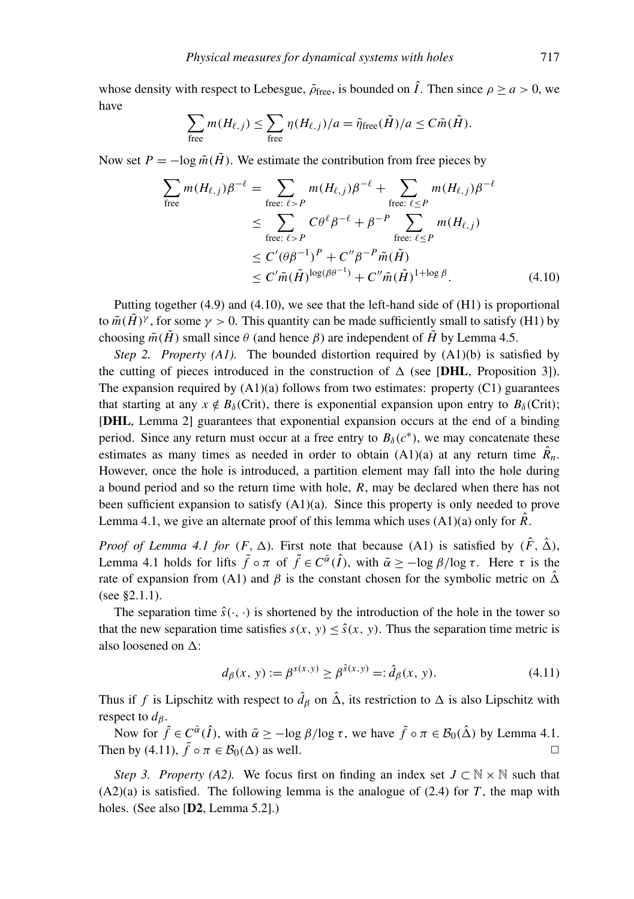whose density with respect to Lebesgue,  $\tilde{\rho}_{\text{free}}$ , is bounded on  $\hat{I}$ . Then since  $\rho > a > 0$ , we have

$$
\sum_{\text{free}} m(H_{\ell,j}) \leq \sum_{\text{free}} \eta(H_{\ell,j})/a = \tilde{\eta}_{\text{free}}(\tilde{H})/a \leq C\tilde{m}(\tilde{H}).
$$

Now set  $P = -\log \tilde{m}(\tilde{H})$ . We estimate the contribution from free pieces by

$$
\sum_{\text{free}} m(H_{\ell,j}) \beta^{-\ell} = \sum_{\text{free: } \ell > P} m(H_{\ell,j}) \beta^{-\ell} + \sum_{\text{free: } \ell \le P} m(H_{\ell,j}) \beta^{-\ell}
$$
\n
$$
\le \sum_{\text{free: } \ell > P} C \theta^{\ell} \beta^{-\ell} + \beta^{-P} \sum_{\text{free: } \ell \le P} m(H_{\ell,j})
$$
\n
$$
\le C' (\theta \beta^{-1})^P + C'' \beta^{-P} \tilde{m}(\tilde{H})
$$
\n
$$
\le C' \tilde{m}(\tilde{H})^{\log(\beta \theta^{-1})} + C'' \tilde{m}(\tilde{H})^{1 + \log \beta}.
$$
\n(4.10)

Putting together (4.9) and (4.10), we see that the left-hand side of (H1) is proportional to  $\tilde{m}(\tilde{H})^{\gamma}$ , for some  $\gamma > 0$ . This quantity can be made sufficiently small to satisfy (H1) by choosing  $\tilde{m}(\tilde{H})$  small since  $\theta$  (and hence  $\beta$ ) are independent of  $\tilde{H}$  by Lemma 4.5.

*Step 2. Property (A1).* The bounded distortion required by (A1)(b) is satisfied by the cutting of pieces introduced in the construction of  $\Delta$  (see [DHL, Proposition 3]). The expansion required by  $(A1)(a)$  follows from two estimates: property  $(C1)$  guarantees that starting at any  $x \notin B_\delta$ (Crit), there is exponential expansion upon entry to  $B_\delta$ (Crit); [DHL, Lemma 2] guarantees that exponential expansion occurs at the end of a binding period. Since any return must occur at a free entry to  $B_\delta(c^*)$ , we may concatenate these estimates as many times as needed in order to obtain  $(A1)(a)$  at any return time  $\hat{R}_n$ . However, once the hole is introduced, a partition element may fall into the hole during a bound period and so the return time with hole, *R*, may be declared when there has not been sufficient expansion to satisfy (A1)(a). Since this property is only needed to prove Lemma 4.1, we give an alternate proof of this lemma which uses  $(A1)(a)$  only for  $\hat{R}$ .

*Proof of Lemma 4.1 for*  $(F, \Delta)$ . First note that because (A1) is satisfied by  $(\hat{F}, \hat{\Delta})$ , Lemma 4.1 holds for lifts  $\tilde{f} \circ \pi$  of  $\tilde{f} \in C^{\bar{\alpha}}(\hat{I})$ , with  $\bar{\alpha} \ge -\log \beta / \log \tau$ . Here  $\tau$  is the rate of expansion from (A1) and  $\beta$  is the constant chosen for the symbolic metric on  $\hat{\Delta}$ (see §2.1.1).

The separation time  $\hat{s}(\cdot, \cdot)$  is shortened by the introduction of the hole in the tower so that the new separation time satisfies  $s(x, y) \leq \hat{s}(x, y)$ . Thus the separation time metric is also loosened on  $\Delta$ :

$$
d_{\beta}(x, y) := \beta^{s(x, y)} \ge \beta^{\hat{s}(x, y)} =: \hat{d}_{\beta}(x, y). \tag{4.11}
$$

Thus if *f* is Lipschitz with respect to  $\hat{d}_{\beta}$  on  $\hat{\Delta}$ , its restriction to  $\Delta$  is also Lipschitz with respect to  $d_{\beta}$ .

Now for  $\tilde{f} \in C^{\bar{\alpha}}(\hat{I})$ , with  $\bar{\alpha} \ge -\log \beta / \log \tau$ , we have  $\tilde{f} \circ \pi \in \mathcal{B}_0(\hat{\Delta})$  by Lemma 4.1. Then by (4.11),  $\tilde{f} \circ \pi \in \mathcal{B}_0(\Delta)$  as well.

*Step 3. Property (A2).* We focus first on finding an index set  $J \subset \mathbb{N} \times \mathbb{N}$  such that  $(A2)(a)$  is satisfied. The following lemma is the analogue of  $(2.4)$  for *T*, the map with holes. (See also [D2, Lemma 5.2].)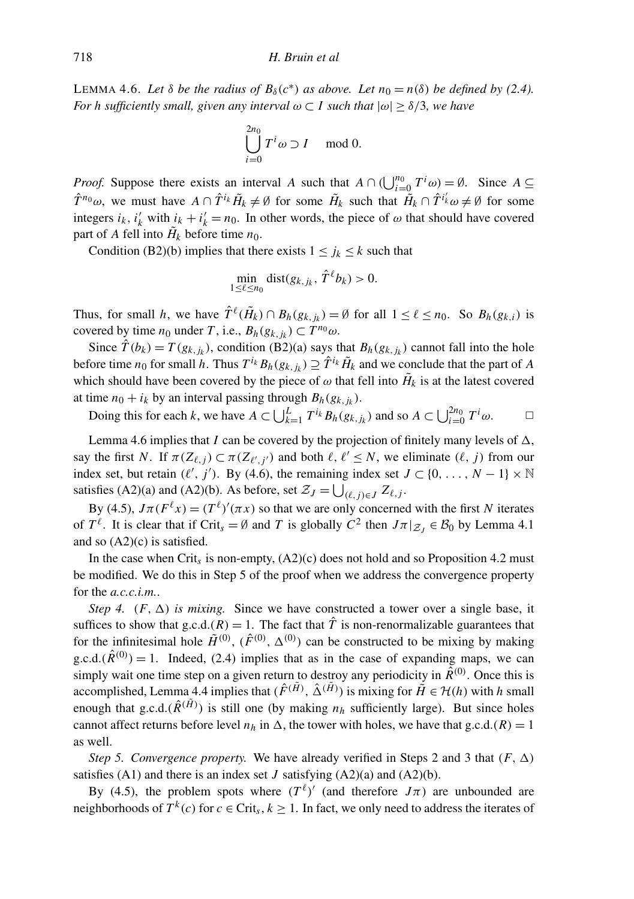LEMMA 4.6. Let  $\delta$  be the radius of  $B_{\delta}(c^*)$  as above. Let  $n_0 = n(\delta)$  be defined by (2.4). *For h sufficiently small, given any interval*  $\omega \subset I$  *such that*  $|\omega| > \delta/3$ *, we have* 

$$
\bigcup_{i=0}^{2n_0} T^i \omega \supset I \mod 0.
$$

*Proof.* Suppose there exists an interval *A* such that  $A \cap (\bigcup_{i=0}^{n_0} T^i \omega) = \emptyset$ . Since  $A \subseteq$  $\hat{T}^{n_0}\omega$ , we must have  $A \cap \hat{T}^{i_k}\tilde{H}_k \neq \emptyset$  for some  $\tilde{H}_k$  such that  $\tilde{H}_k \cap \hat{T}^{i'_k}\omega \neq \emptyset$  for some integers  $i_k$ ,  $i'_k$  with  $i_k + i'_k = n_0$ . In other words, the piece of  $\omega$  that should have covered part of *A* fell into  $H_k$  before time  $n_0$ .

Condition (B2)(b) implies that there exists  $1 \leq j_k \leq k$  such that

$$
\min_{1 \leq \ell \leq n_0} \text{dist}(g_{k,j_k}, \hat{T}^{\ell} b_k) > 0.
$$

Thus, for small *h*, we have  $\hat{T}^{\ell}(\tilde{H}_k) \cap B_h(g_{k,j_k}) = \emptyset$  for all  $1 \leq \ell \leq n_0$ . So  $B_h(g_{k,i})$  is covered by time *n*<sub>0</sub> under *T*, i.e.,  $B_h(g_{k,j_k}) \subset T^{n_0}\omega$ .

Since  $\hat{T}(b_k) = T(g_{k,j_k})$ , condition (B2)(a) says that  $B_h(g_{k,j_k})$  cannot fall into the hole before time  $n_0$  for small *h*. Thus  $T^{i_k} B_h(g_{k,j_k}) \supseteq \hat{T}^{i_k} \tilde{H}_k$  and we conclude that the part of *A* which should have been covered by the piece of  $\omega$  that fell into  $H_k$  is at the latest covered at time  $n_0 + i_k$  by an interval passing through  $B_h(g_{k,j_k})$ .

Doing this for each *k*, we have *A* ⊂  $\bigcup_{k=1}^{L} T^{i_k} B_h(g_{k,j_k})$  and so *A* ⊂  $\bigcup_{i=0}^{2n_0} T^i \omega$ . <del></del>□

Lemma 4.6 implies that *I* can be covered by the projection of finitely many levels of  $\Delta$ , say the first *N*. If  $\pi(Z_{\ell,j}) \subset \pi(Z_{\ell',j'})$  and both  $\ell, \ell' \leq N$ , we eliminate  $(\ell, j)$  from our index set, but retain  $(\ell', j')$ . By (4.6), the remaining index set  $J \subset \{0, \ldots, N-1\} \times \mathbb{N}$ satisfies (A2)(a) and (A2)(b). As before, set  $\mathcal{Z}_J = \bigcup_{(\ell,j)\in J} Z_{\ell,j}$ .

By (4.5),  $J\pi(F^{\ell}x) = (T^{\ell})'(\pi x)$  so that we are only concerned with the first *N* iterates of  $T^{\ell}$ . It is clear that if Crit<sub>s</sub> = Ø and *T* is globally  $C^2$  then  $J\pi|_{\mathcal{Z}_J} \in \mathcal{B}_0$  by Lemma 4.1 and so  $(A2)(c)$  is satisfied.

In the case when Crit*s* is non-empty, (A2)(c) does not hold and so Proposition 4.2 must be modified. We do this in Step 5 of the proof when we address the convergence property for the *a.c.c.i.m.*.

*Step 4.*  $(F, \Delta)$  *is mixing.* Since we have constructed a tower over a single base, it suffices to show that g.c.d. $(R) = 1$ . The fact that  $\hat{T}$  is non-renormalizable guarantees that for the infinitesimal hole  $\tilde{H}^{(0)}$ ,  $(\hat{F}^{(0)}, \Delta^{(0)})$  can be constructed to be mixing by making g.c.d. $(\hat{R}^{(0)}) = 1$ . Indeed, (2.4) implies that as in the case of expanding maps, we can simply wait one time step on a given return to destroy any periodicity in  $\hat{R}^{(0)}$ . Once this is accomplished, Lemma 4.4 implies that  $(\hat{F}^{(\tilde{H})}, \hat{\Delta}^{(\tilde{H})})$  is mixing for  $\tilde{H} \in \mathcal{H}(h)$  with *h* small enough that g.c.d. $(\hat{R}^{(\tilde{H})})$  is still one (by making  $n_h$  sufficiently large). But since holes cannot affect returns before level  $n_h$  in  $\Delta$ , the tower with holes, we have that g.c.d.(*R*) = 1 as well.

*Step 5. Convergence property.* We have already verified in Steps 2 and 3 that  $(F, \Delta)$ satisfies  $(A1)$  and there is an index set *J* satisfying  $(A2)(a)$  and  $(A2)(b)$ .

By (4.5), the problem spots where  $(T^{\ell})'$  (and therefore  $J\pi$ ) are unbounded are neighborhoods of  $T^k(c)$  for  $c \in \text{Crit}_s, k \ge 1$ . In fact, we only need to address the iterates of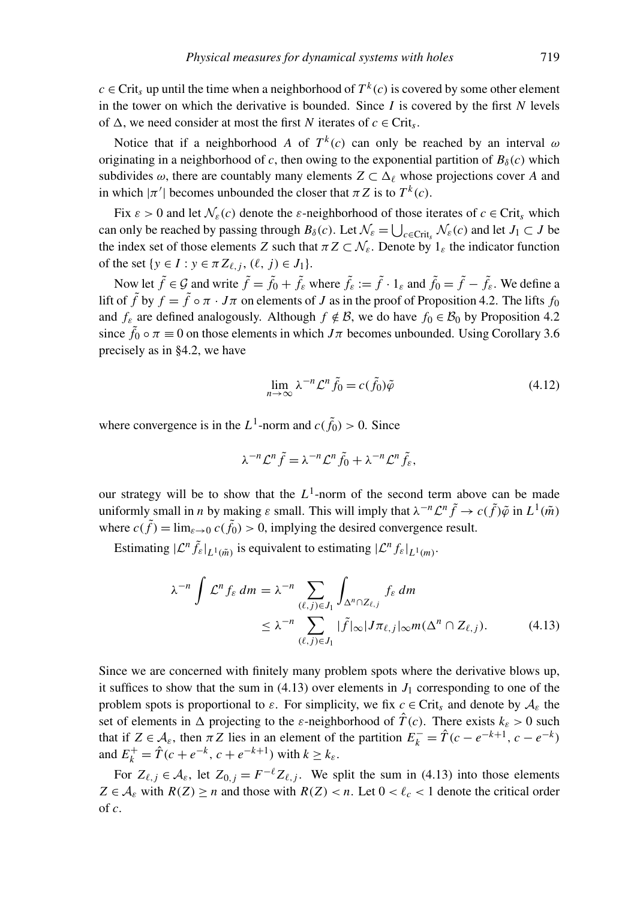*c* ∈ Crit<sub>s</sub> up until the time when a neighborhood of  $T^k$  (*c*) is covered by some other element in the tower on which the derivative is bounded. Since  $I$  is covered by the first  $N$  levels of  $\Delta$ , we need consider at most the first *N* iterates of  $c \in \text{Crit}_s$ .

Notice that if a neighborhood *A* of  $T^k(c)$  can only be reached by an interval  $\omega$ originating in a neighborhood of *c*, then owing to the exponential partition of  $B_\delta(c)$  which subdivides  $\omega$ , there are countably many elements  $Z \subset \Delta$ <sup>*l*</sup> whose projections cover *A* and in which  $|\pi'|$  becomes unbounded the closer that  $\pi Z$  is to  $T^k(c)$ .

Fix  $\varepsilon > 0$  and let  $\mathcal{N}_{\varepsilon}(c)$  denote the  $\varepsilon$ -neighborhood of those iterates of  $c \in \text{Crit}_s$  which can only be reached by passing through  $B_\delta(c)$ . Let  $\mathcal{N}_{\varepsilon} = \bigcup_{c \in \text{Crit}_\delta} \mathcal{N}_{\varepsilon}(c)$  and let  $J_1 \subset J$  be the index set of those elements *Z* such that  $\pi Z \subset \mathcal{N}_{\varepsilon}$ . Denote by  $1_{\varepsilon}$  the indicator function of the set  $\{y \in I : y \in \pi Z_{\ell,j}, (\ell, j) \in J_1\}.$ 

Now let  $\tilde{f} \in \mathcal{G}$  and write  $\tilde{f} = \tilde{f}_0 + \tilde{f}_\varepsilon$  where  $\tilde{f}_\varepsilon := \tilde{f} \cdot 1_\varepsilon$  and  $\tilde{f}_0 = \tilde{f} - \tilde{f}_\varepsilon$ . We define a lift of  $\tilde{f}$  by  $f = \tilde{f} \circ \pi \cdot J\pi$  on elements of *J* as in the proof of Proposition 4.2. The lifts  $f_0$ and  $f_{\varepsilon}$  are defined analogously. Although  $f \notin \mathcal{B}$ , we do have  $f_0 \in \mathcal{B}_0$  by Proposition 4.2 since  $\tilde{f}_0 \circ \pi \equiv 0$  on those elements in which  $J\pi$  becomes unbounded. Using Corollary 3.6 precisely as in §4.2, we have

$$
\lim_{n \to \infty} \lambda^{-n} \mathcal{L}^n \tilde{f}_0 = c(\tilde{f}_0) \tilde{\varphi}
$$
\n(4.12)

where convergence is in the  $L^1$ -norm and  $c(\tilde{f}_0) > 0$ . Since

$$
\lambda^{-n} \mathcal{L}^n \tilde{f} = \lambda^{-n} \mathcal{L}^n \tilde{f}_0 + \lambda^{-n} \mathcal{L}^n \tilde{f}_\varepsilon,
$$

our strategy will be to show that the  $L^1$ -norm of the second term above can be made uniformly small in *n* by making  $\varepsilon$  small. This will imply that  $\lambda^{-n}\mathcal{L}^n\tilde{f} \to c(\tilde{f})\tilde{\varphi}$  in  $L^1(\tilde{m})$ where  $c(\tilde{f}) = \lim_{\varepsilon \to 0} c(\tilde{f}_0) > 0$ , implying the desired convergence result.

Estimating  $|\mathcal{L}^n \tilde{f}_\varepsilon|_{L^1(\tilde{m})}$  is equivalent to estimating  $|\mathcal{L}^n f_\varepsilon|_{L^1(m)}$ .

$$
\lambda^{-n} \int \mathcal{L}^n f_{\varepsilon} \, dm = \lambda^{-n} \sum_{(\ell,j) \in J_1} \int_{\Delta^n \cap Z_{\ell,j}} f_{\varepsilon} \, dm
$$
\n
$$
\leq \lambda^{-n} \sum_{(\ell,j) \in J_1} |\tilde{f}|_{\infty} |J \pi_{\ell,j}|_{\infty} m(\Delta^n \cap Z_{\ell,j}). \tag{4.13}
$$

Since we are concerned with finitely many problem spots where the derivative blows up, it suffices to show that the sum in  $(4.13)$  over elements in  $J_1$  corresponding to one of the problem spots is proportional to  $\varepsilon$ . For simplicity, we fix  $c \in \text{Crit}_s$  and denote by  $\mathcal{A}_{\varepsilon}$  the set of elements in  $\Delta$  projecting to the *ε*-neighborhood of  $\hat{T}(c)$ . There exists  $k_{\epsilon} > 0$  such that if  $Z \in \mathcal{A}_{\varepsilon}$ , then  $\pi Z$  lies in an element of the partition  $E_k^- = \hat{T}(c - e^{-k+1}, c - e^{-k})$ and  $E_k^+ = \hat{T}(c + e^{-k}, c + e^{-k+1})$  with  $k \ge k_{\varepsilon}$ .

For  $Z_{\ell,j} \in \mathcal{A}_{\varepsilon}$ , let  $Z_{0,j} = F^{-\ell} Z_{\ell,j}$ . We split the sum in (4.13) into those elements  $Z \in \mathcal{A}_{\varepsilon}$  with  $R(Z) \ge n$  and those with  $R(Z) < n$ . Let  $0 < \ell_c < 1$  denote the critical order of *c*.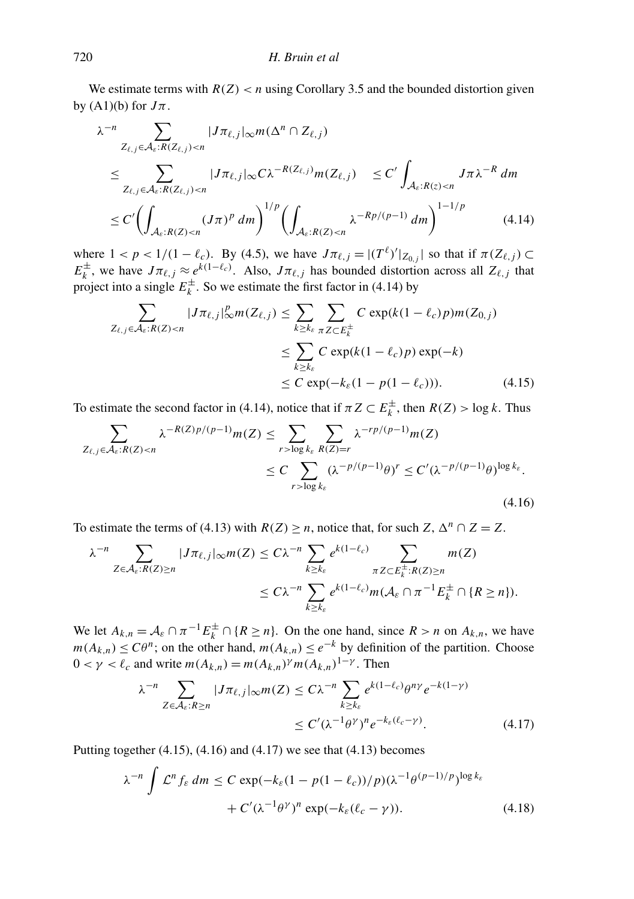We estimate terms with  $R(Z) < n$  using Corollary 3.5 and the bounded distortion given by  $(A1)(b)$  for  $J\pi$ .

$$
\lambda^{-n} \sum_{Z_{\ell,j} \in \mathcal{A}_{\epsilon}: R(Z_{\ell,j}) < n} |J\pi_{\ell,j}| \infty m(\Delta^n \cap Z_{\ell,j})
$$
\n
$$
\leq \sum_{Z_{\ell,j} \in \mathcal{A}_{\epsilon}: R(Z_{\ell,j}) < n} |J\pi_{\ell,j}| \infty C \lambda^{-R(Z_{\ell,j})} m(Z_{\ell,j}) \leq C' \int_{\mathcal{A}_{\epsilon}: R(z) < n} J\pi \lambda^{-R} dm
$$
\n
$$
\leq C' \left( \int_{\mathcal{A}_{\epsilon}: R(Z) < n} (J\pi)^p dm \right)^{1/p} \left( \int_{\mathcal{A}_{\epsilon}: R(Z) < n} \lambda^{-R p/(p-1)} dm \right)^{1-1/p} \tag{4.14}
$$

where  $1 < p < 1/(1 - \ell_c)$ . By (4.5), we have  $J\pi_{\ell,j} = |(T^{\ell})'|_{Z_{0,j}}|$  so that if  $\pi(Z_{\ell,j}) \subset$  $E_k^{\pm}$  $\frac{f}{k}$ , we have  $J\pi_{\ell,j} \approx e^{k(1-\ell_c)}$ . Also,  $J\pi_{\ell,j}$  has bounded distortion across all  $Z_{\ell,j}$  that project into a single  $E_k^{\pm}$  $\sum_{k=1}^{\infty}$ . So we estimate the first factor in (4.14) by

$$
\sum_{Z_{\ell,j}\in\mathcal{A}_{\varepsilon}:R(Z)< n}|J\pi_{\ell,j}|_{\infty}^p m(Z_{\ell,j}) \le \sum_{k\ge k_{\varepsilon}} \sum_{\pi Z\subset E_k^{\pm}} C \exp(k(1-\ell_c)p)m(Z_{0,j})
$$
\n
$$
\le \sum_{k\ge k_{\varepsilon}} C \exp(k(1-\ell_c)p) \exp(-k)
$$
\n
$$
\le C \exp(-k_{\varepsilon}(1-p(1-\ell_c))). \tag{4.15}
$$

To estimate the second factor in (4.14), notice that if  $\pi Z \subset E_k^{\pm}$  $\sum_{k}^{\infty}$ , then *R*(*Z*) > log *k*. Thus

$$
\sum_{Z_{\ell,j}\in\mathcal{A}_{\varepsilon}:R(Z)< n} \lambda^{-R(Z)p/(p-1)}m(Z) \leq \sum_{r> \log k_{\varepsilon}} \sum_{R(Z)=r} \lambda^{-rp/(p-1)}m(Z)
$$
\n
$$
\leq C \sum_{r> \log k_{\varepsilon}} (\lambda^{-p/(p-1)}\theta)^r \leq C'(\lambda^{-p/(p-1)}\theta)^{\log k_{\varepsilon}}.
$$
\n(4.16)

To estimate the terms of (4.13) with  $R(Z) \ge n$ , notice that, for such  $Z$ ,  $\Delta^n \cap Z = Z$ .

$$
\lambda^{-n} \sum_{Z \in \mathcal{A}_{\varepsilon}: R(Z) \ge n} |J\pi_{\ell,j}|_{\infty} m(Z) \le C\lambda^{-n} \sum_{k \ge k_{\varepsilon}} e^{k(1-\ell_c)} \sum_{\pi Z \subset E_k^{\pm}: R(Z) \ge n} m(Z)
$$
  

$$
\le C\lambda^{-n} \sum_{k \ge k_{\varepsilon}} e^{k(1-\ell_c)} m(\mathcal{A}_{\varepsilon} \cap \pi^{-1} E_k^{\pm} \cap \{R \ge n\}).
$$

We let  $A_{k,n} = A_{\varepsilon} \cap \pi^{-1} E_k^{\pm} \cap \{R \ge n\}$ . On the one hand, since  $R > n$  on  $A_{k,n}$ , we have *m*( $A_{k,n}$ ) ≤  $C\theta^n$ ; on the other hand, *m*( $A_{k,n}$ ) ≤  $e^{-k}$  by definition of the partition. Choose  $0 < \gamma < \ell_c$  and write  $m(A_{k,n}) = m(A_{k,n})^{\gamma} m(A_{k,n})^{1-\gamma}$ . Then

$$
\lambda^{-n} \sum_{Z \in \mathcal{A}_{\varepsilon}:R \ge n} |J\pi_{\ell,j}|_{\infty} m(Z) \le C\lambda^{-n} \sum_{k \ge k_{\varepsilon}} e^{k(1-\ell_{c})} \theta^{n\gamma} e^{-k(1-\gamma)}
$$
  

$$
\le C' (\lambda^{-1} \theta^{\gamma})^{n} e^{-k_{\varepsilon}(\ell_{c}-\gamma)}.
$$
 (4.17)

Putting together  $(4.15)$ ,  $(4.16)$  and  $(4.17)$  we see that  $(4.13)$  becomes

$$
\lambda^{-n} \int \mathcal{L}^n f_{\varepsilon} dm \le C \exp(-k_{\varepsilon} (1 - p(1 - \ell_c))/p) (\lambda^{-1} \theta^{(p-1)/p})^{\log k_{\varepsilon}} + C' (\lambda^{-1} \theta^{\gamma})^n \exp(-k_{\varepsilon} (\ell_c - \gamma)).
$$
\n(4.18)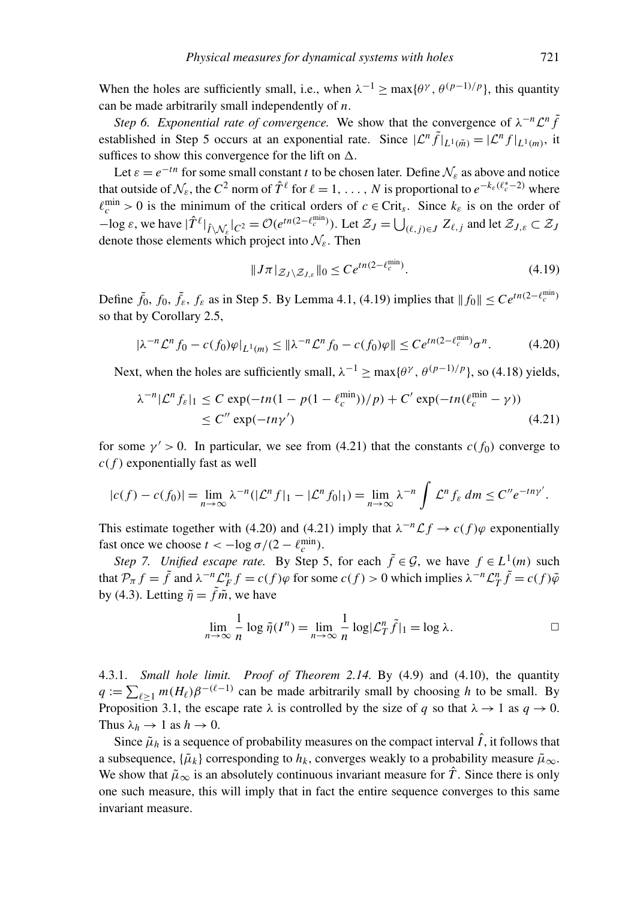When the holes are sufficiently small, i.e., when  $\lambda^{-1} \ge \max{\{\theta^{\gamma}, \theta^{(p-1)/p}\}}$ , this quantity can be made arbitrarily small independently of *n*.

*Step 6. Exponential rate of convergence.* We show that the convergence of  $\lambda^{-n} \mathcal{L}^n \hat{f}$ established in Step 5 occurs at an exponential rate. Since  $|\mathcal{L}^n \tilde{f}|_{L^1(\tilde{m})} = |\mathcal{L}^n f|_{L^1(m)}$ , it suffices to show this convergence for the lift on  $\Delta$ .

Let  $\varepsilon = e^{-tn}$  for some small constant *t* to be chosen later. Define  $\mathcal{N}_{\varepsilon}$  as above and notice that outside of  $\mathcal{N}_{\varepsilon}$ , the  $C^2$  norm of  $\hat{T}^{\ell}$  for  $\ell = 1, \ldots, N$  is proportional to  $e^{-k_{\varepsilon}(\ell_{c}^{*}-2)}$  where  $\ell_c^{\min} > 0$  is the minimum of the critical orders of  $c \in \text{Crit}_s$ . Since  $k_\varepsilon$  is on the order of  $-\log \varepsilon$ , we have  $|\hat{T}^{\ell}|_{\hat{I} \setminus \mathcal{N}_{\varepsilon}}|_{C^2} = \mathcal{O}(e^{tn(2-\ell_{\varepsilon}^{\min}))}$ . Let  $\mathcal{Z}_J = \bigcup_{(\ell,j) \in J} Z_{\ell,j}$  and let  $\mathcal{Z}_{J,\varepsilon} \subset \mathcal{Z}_J$ denote those elements which project into  $\mathcal{N}_{\varepsilon}$ . Then

$$
||J\pi|_{\mathcal{Z}_J \setminus \mathcal{Z}_{J,\varepsilon}}||_0 \le Ce^{tn(2-\ell_c^{\min})}.
$$
\n(4.19)

Define  $\tilde{f}_0$ ,  $f_0$ ,  $\tilde{f}_\varepsilon$ ,  $f_\varepsilon$  as in Step 5. By Lemma 4.1, (4.19) implies that  $||f_0|| \leq Ce^{tn(2-\ell_c^{\min})}$ so that by Corollary 2.5,

$$
|\lambda^{-n}\mathcal{L}^n f_0 - c(f_0)\varphi|_{L^1(m)} \le ||\lambda^{-n}\mathcal{L}^n f_0 - c(f_0)\varphi|| \le Ce^{tn(2 - \ell_c^{\min})} \sigma^n. \tag{4.20}
$$

Next, when the holes are sufficiently small,  $\lambda^{-1} \ge \max\{\theta^{\gamma}, \theta^{(p-1)/p}\}\)$ , so (4.18) yields,

$$
\lambda^{-n} |\mathcal{L}^n f_{\varepsilon}|_1 \le C \exp(-tn(1 - p(1 - \ell_c^{\min}))/p) + C' \exp(-tn(\ell_c^{\min} - \gamma))
$$
  
 
$$
\le C'' \exp(-tn\gamma')
$$
 (4.21)

for some  $\gamma' > 0$ . In particular, we see from (4.21) that the constants  $c(f_0)$  converge to *c*( *f* ) exponentially fast as well

$$
|c(f) - c(f_0)| = \lim_{n \to \infty} \lambda^{-n} (|\mathcal{L}^n f|_1 - |\mathcal{L}^n f_0|_1) = \lim_{n \to \infty} \lambda^{-n} \int \mathcal{L}^n f_{\varepsilon} dm \le C'' e^{-tn\gamma'}.
$$

This estimate together with (4.20) and (4.21) imply that  $\lambda^{-n} \mathcal{L} f \to c(f) \varphi$  exponentially fast once we choose  $t < -\log \sigma/(2 - \ell_c^{\min})$ .

*Step 7. Unified escape rate.* By Step 5, for each  $\tilde{f} \in \mathcal{G}$ , we have  $f \in L^1(m)$  such that  $\mathcal{P}_{\pi} f = \tilde{f}$  and  $\lambda^{-n} \mathcal{L}_F^n f = c(f) \varphi$  for some  $c(f) > 0$  which implies  $\lambda^{-n} \mathcal{L}_T^n \tilde{f} = c(f) \tilde{\varphi}$ by (4.3). Letting  $\tilde{\eta} = \tilde{f}\tilde{m}$ , we have

$$
\lim_{n \to \infty} \frac{1}{n} \log \tilde{\eta}(I^n) = \lim_{n \to \infty} \frac{1}{n} \log |\mathcal{L}_T^n \tilde{f}|_1 = \log \lambda.
$$

4.3.1. *Small hole limit. Proof of Theorem 2.14.* By (4.9) and (4.10), the quantity  $q := \sum_{\ell \geq 1} m(H_{\ell}) \beta^{-(\ell-1)}$  can be made arbitrarily small by choosing *h* to be small. By Proposition 3.1, the escape rate  $\lambda$  is controlled by the size of *q* so that  $\lambda \to 1$  as  $q \to 0$ . Thus  $\lambda_h \to 1$  as  $h \to 0$ .

Since  $\tilde{\mu}_h$  is a sequence of probability measures on the compact interval  $\hat{I}$ , it follows that a subsequence,  $\{\tilde{\mu}_k\}$  corresponding to  $h_k$ , converges weakly to a probability measure  $\tilde{\mu}_{\infty}$ . We show that  $\tilde{\mu}_{\infty}$  is an absolutely continuous invariant measure for  $\hat{T}$ . Since there is only one such measure, this will imply that in fact the entire sequence converges to this same invariant measure.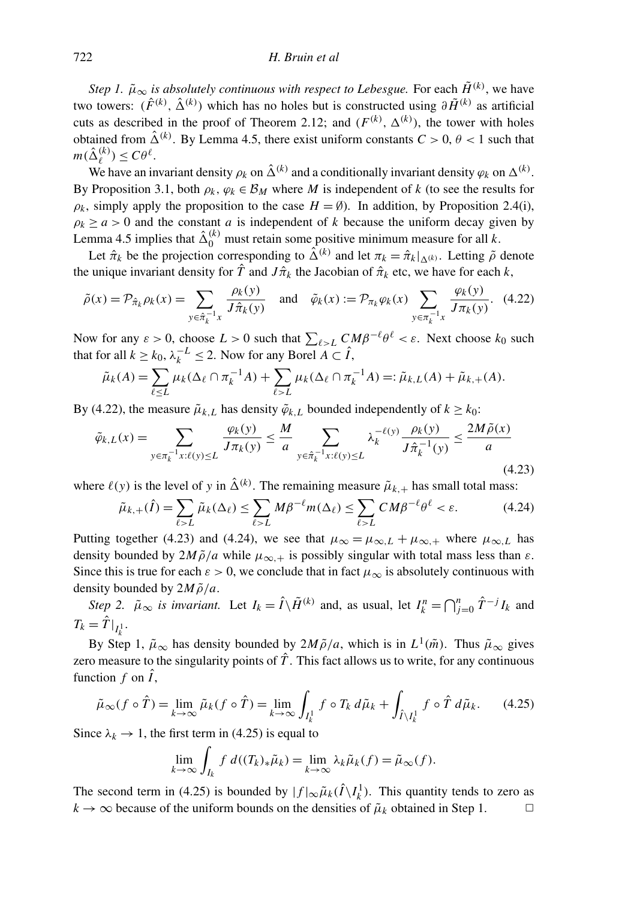*Step 1.*  $\tilde{\mu}_{\infty}$  *is absolutely continuous with respect to Lebesgue.* For each  $\tilde{H}^{(k)}$ , we have two towers:  $(\hat{F}^{(k)}, \hat{\Delta}^{(k)})$  which has no holes but is constructed using  $\partial \tilde{H}^{(k)}$  as artificial cuts as described in the proof of Theorem 2.12; and  $(F^{(k)}, \Delta^{(k)})$ , the tower with holes obtained from  $\hat{\Delta}^{(k)}$ . By Lemma 4.5, there exist uniform constants  $C > 0$ ,  $\theta < 1$  such that  $m(\hat{\Delta}^{(k)}_\ell)$  $\binom{k}{\ell} \leq C\theta^{\ell}.$ 

We have an invariant density  $\rho_k$  on  $\hat{\Delta}^{(k)}$  and a conditionally invariant density  $\varphi_k$  on  $\Delta^{(k)}$ . By Proposition 3.1, both  $\rho_k$ ,  $\varphi_k \in \mathcal{B}_M$  where *M* is independent of *k* (to see the results for  $\rho_k$ , simply apply the proposition to the case  $H = \emptyset$ ). In addition, by Proposition 2.4(i),  $\rho_k \ge a > 0$  and the constant *a* is independent of *k* because the uniform decay given by Lemma 4.5 implies that  $\hat{\Delta}_0^{(k)}$  must retain some positive minimum measure for all *k*.

Let  $\hat{\pi}_k$  be the projection corresponding to  $\hat{\Delta}^{(k)}$  and let  $\pi_k = \hat{\pi}_k|_{\Delta^{(k)}}$ . Letting  $\tilde{\rho}$  denote the unique invariant density for  $\hat{T}$  and  $J\hat{\pi}_k$  the Jacobian of  $\hat{\pi}_k$  etc, we have for each  $k$ ,

$$
\tilde{\rho}(x) = \mathcal{P}_{\hat{\pi}_k} \rho_k(x) = \sum_{y \in \hat{\pi}_k^{-1} x} \frac{\rho_k(y)}{J \hat{\pi}_k(y)} \quad \text{and} \quad \tilde{\varphi}_k(x) := \mathcal{P}_{\pi_k} \varphi_k(x) \sum_{y \in \pi_k^{-1} x} \frac{\varphi_k(y)}{J \pi_k(y)}. \tag{4.22}
$$

Now for any  $\varepsilon > 0$ , choose  $L > 0$  such that  $\sum_{\ell > L} C_{\ell} M \beta^{-\ell} \theta^{\ell} < \varepsilon$ . Next choose  $k_0$  such that for all  $k \geq k_0$ ,  $\lambda_k^{-L} \leq 2$ . Now for any Borel  $A \subset \hat{I}$ ,

$$
\tilde{\mu}_k(A) = \sum_{\ell \le L} \mu_k(\Delta_\ell \cap \pi_k^{-1} A) + \sum_{\ell > L} \mu_k(\Delta_\ell \cap \pi_k^{-1} A) =: \tilde{\mu}_{k,L}(A) + \tilde{\mu}_{k,+}(A).
$$

By (4.22), the measure  $\tilde{\mu}_{k,L}$  has density  $\tilde{\varphi}_{k,L}$  bounded independently of  $k \geq k_0$ :

$$
\tilde{\varphi}_{k,L}(x) = \sum_{y \in \pi_k^{-1} x : \ell(y) \le L} \frac{\varphi_k(y)}{J \pi_k(y)} \le \frac{M}{a} \sum_{y \in \hat{\pi}_k^{-1} x : \ell(y) \le L} \lambda_k^{-\ell(y)} \frac{\rho_k(y)}{J \hat{\pi}_k^{-1}(y)} \le \frac{2M \tilde{\rho}(x)}{a}
$$
\n(4.23)

where  $\ell(y)$  is the level of *y* in  $\hat{\Delta}^{(k)}$ . The remaining measure  $\tilde{\mu}_{k,+}$  has small total mass:

$$
\tilde{\mu}_{k,+}(\hat{I}) = \sum_{\ell > L} \tilde{\mu}_k(\Delta_\ell) \le \sum_{\ell > L} M \beta^{-\ell} m(\Delta_\ell) \le \sum_{\ell > L} C M \beta^{-\ell} \theta^{\ell} < \varepsilon. \tag{4.24}
$$

Putting together (4.23) and (4.24), we see that  $\mu_{\infty} = \mu_{\infty,L} + \mu_{\infty,+}$  where  $\mu_{\infty,L}$  has density bounded by  $2M\tilde{\rho}/a$  while  $\mu_{\infty,+}$  is possibly singular with total mass less than  $\varepsilon$ . Since this is true for each  $\varepsilon > 0$ , we conclude that in fact  $\mu_{\infty}$  is absolutely continuous with density bounded by  $2M\tilde{\rho}/a$ .

*Step 2.*  $\tilde{\mu}_{\infty}$  *is invariant.* Let  $I_k = \hat{I} \setminus \tilde{H}^{(k)}$  and, as usual, let  $I_k^n = \bigcap_{j=0}^n \hat{T}^{-j} I_k$  and  $T_k = \hat{T}|_{I_k^1}.$ 

By Step 1,  $\tilde{\mu}_{\infty}$  has density bounded by  $2M\tilde{\rho}/a$ , which is in  $L^1(\tilde{m})$ . Thus  $\tilde{\mu}_{\infty}$  gives zero measure to the singularity points of  $\hat{T}$ . This fact allows us to write, for any continuous function  $f$  on  $\hat{I}$ ,

$$
\tilde{\mu}_{\infty}(f \circ \hat{T}) = \lim_{k \to \infty} \tilde{\mu}_k(f \circ \hat{T}) = \lim_{k \to \infty} \int_{I_k^1} f \circ T_k \, d\tilde{\mu}_k + \int_{\hat{I} \setminus I_k^1} f \circ \hat{T} \, d\tilde{\mu}_k. \tag{4.25}
$$

Since  $\lambda_k \to 1$ , the first term in (4.25) is equal to

$$
\lim_{k \to \infty} \int_{I_k} f d((T_k)_* \tilde{\mu}_k) = \lim_{k \to \infty} \lambda_k \tilde{\mu}_k(f) = \tilde{\mu}_{\infty}(f).
$$

The second term in (4.25) is bounded by  $|f|_{\infty} \tilde{\mu}_k(\hat{I} \setminus I_k^1)$ . This quantity tends to zero as  $k \to \infty$  because of the uniform bounds on the densities of  $\tilde{\mu}_k$  obtained in Step 1.  $\Box$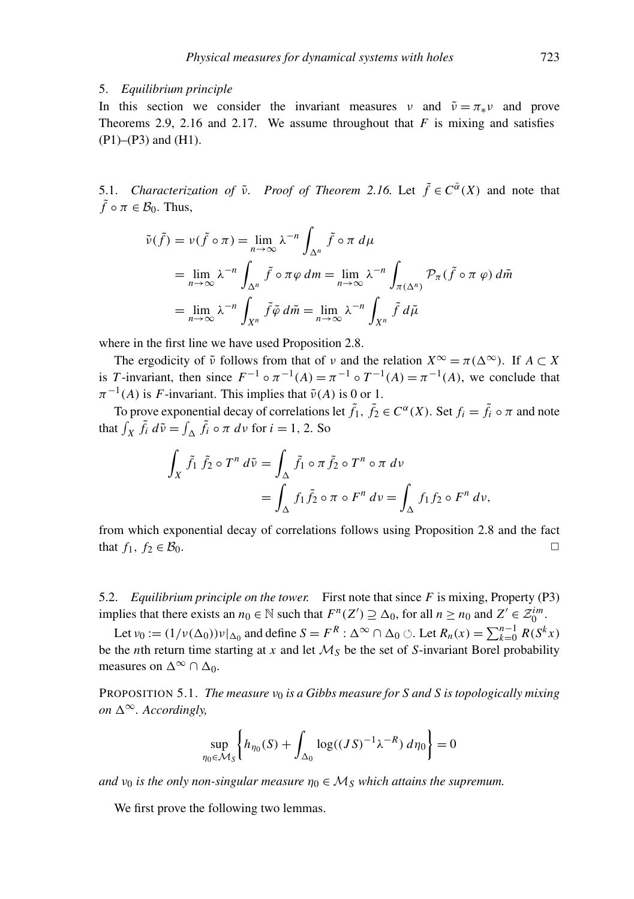#### 5. *Equilibrium principle*

In this section we consider the invariant measures v and  $\tilde{v} = \pi_* v$  and prove Theorems 2.9, 2.16 and 2.17. We assume throughout that *F* is mixing and satisfies (P1)–(P3) and (H1).

5.1. *Characterization of*  $\tilde{\nu}$ . *Proof of Theorem 2.16.* Let  $\tilde{f} \in C^{\bar{\alpha}}(X)$  and note that  $\tilde{f} \circ \pi \in \mathcal{B}_0$ . Thus,

$$
\tilde{\nu}(\tilde{f}) = \nu(\tilde{f} \circ \pi) = \lim_{n \to \infty} \lambda^{-n} \int_{\Delta^n} \tilde{f} \circ \pi \, d\mu
$$
  
= 
$$
\lim_{n \to \infty} \lambda^{-n} \int_{\Delta^n} \tilde{f} \circ \pi \varphi \, dm = \lim_{n \to \infty} \lambda^{-n} \int_{\pi(\Delta^n)} \mathcal{P}_{\pi}(\tilde{f} \circ \pi \varphi) \, d\tilde{m}
$$
  
= 
$$
\lim_{n \to \infty} \lambda^{-n} \int_{X^n} \tilde{f} \tilde{\varphi} \, d\tilde{m} = \lim_{n \to \infty} \lambda^{-n} \int_{X^n} \tilde{f} \, d\tilde{\mu}
$$

where in the first line we have used Proposition 2.8.

The ergodicity of  $\tilde{\nu}$  follows from that of  $\nu$  and the relation  $X^{\infty} = \pi(\Delta^{\infty})$ . If  $A \subset X$ is *T*-invariant, then since  $F^{-1} \circ \pi^{-1}(A) = \pi^{-1} \circ T^{-1}(A) = \pi^{-1}(A)$ , we conclude that  $\pi^{-1}(A)$  is *F*-invariant. This implies that  $\tilde{\nu}(A)$  is 0 or 1.

To prove exponential decay of correlations let  $\tilde{f}_1$ ,  $\tilde{f}_2 \in C^{\alpha}(X)$ . Set  $f_i = \tilde{f}_i \circ \pi$  and note that  $\int_X \tilde{f}_i d\tilde{v} = \int_{\Delta} \tilde{f}_i \circ \pi d\tilde{v}$  for  $i = 1, 2$ . So

$$
\int_X \tilde{f}_1 \tilde{f}_2 \circ T^n d\tilde{v} = \int_{\Delta} \tilde{f}_1 \circ \pi \tilde{f}_2 \circ T^n \circ \pi d\tilde{v}
$$

$$
= \int_{\Delta} f_1 \tilde{f}_2 \circ \pi \circ F^n d\tilde{v} = \int_{\Delta} f_1 f_2 \circ F^n d\tilde{v},
$$

from which exponential decay of correlations follows using Proposition 2.8 and the fact that  $f_1, f_2 \in B_0$ . <del>◯</del>

5.2. *Equilibrium principle on the tower.* First note that since *F* is mixing, Property (P3) implies that there exists an  $n_0 \in \mathbb{N}$  such that  $F^n(Z') \supseteq \Delta_0$ , for all  $n \ge n_0$  and  $Z' \in \mathcal{Z}_0^{im}$ .

Let  $\nu_0 := (1/\nu(\Delta_0))\nu|_{\Delta_0}$  and define  $S = F^R : \Delta^\infty \cap \Delta_0 \circlearrowleft$ . Let  $R_n(x) = \sum_{k=0}^{n-1} R(S^k x)$ be the *n*th return time starting at *x* and let  $M<sub>S</sub>$  be the set of *S*-invariant Borel probability measures on  $\Delta^{\infty} \cap \Delta_0$ .

PROPOSITION 5.1. *The measure*  $v_0$  *is a Gibbs measure for S and S is topologically mixing on*  $\Delta^{\infty}$ *. Accordingly,* 

$$
\sup_{\eta_0 \in \mathcal{M}_S} \left\{ h_{\eta_0}(S) + \int_{\Delta_0} \log((JS)^{-1} \lambda^{-R}) \, d\eta_0 \right\} = 0
$$

*and*  $v_0$  *is the only non-singular measure*  $\eta_0 \in M_S$  *which attains the supremum.* 

We first prove the following two lemmas.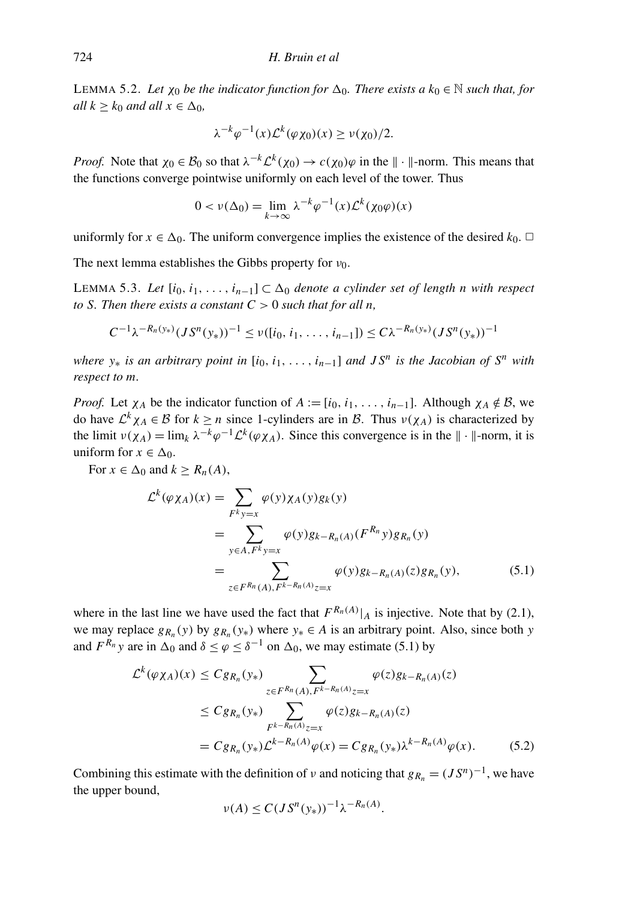LEMMA 5.2. Let  $\chi_0$  *be the indicator function for*  $\Delta_0$ *. There exists a*  $k_0 \in \mathbb{N}$  *such that, for all*  $k \geq k_0$  *and all*  $x \in \Delta_0$ *,* 

$$
\lambda^{-k}\varphi^{-1}(x)\mathcal{L}^{k}(\varphi\chi_{0})(x)\geq\nu(\chi_{0})/2.
$$

*Proof.* Note that  $\chi_0 \in \mathcal{B}_0$  so that  $\lambda^{-k} \mathcal{L}^k(\chi_0) \to c(\chi_0) \varphi$  in the  $\|\cdot\|$ -norm. This means that the functions converge pointwise uniformly on each level of the tower. Thus

$$
0 < \nu(\Delta_0) = \lim_{k \to \infty} \lambda^{-k} \varphi^{-1}(x) \mathcal{L}^k(\chi_0 \varphi)(x)
$$

uniformly for  $x \in \Delta_0$ . The uniform convergence implies the existence of the desired  $k_0$ .  $\Box$ 

The next lemma establishes the Gibbs property for  $v_0$ .

LEMMA 5.3. Let  $[i_0, i_1, \ldots, i_{n-1}]$  ⊂  $\Delta_0$  *denote a cylinder set of length n with respect to S. Then there exists a constant*  $C > 0$  *such that for all n,* 

$$
C^{-1}\lambda^{-R_n(y_*)}(JS^{n}(y_*))^{-1} \leq \nu([i_0, i_1, \ldots, i_{n-1}]) \leq C\lambda^{-R_n(y_*)}(JS^{n}(y_*))^{-1}
$$

*where y*<sup>∗</sup> *is an arbitrary point in* [*i*0, *i*1, . . . , *in*−1] *and J S<sup>n</sup> is the Jacobian of S<sup>n</sup> with respect to m.*

*Proof.* Let  $\chi_A$  be the indicator function of  $A := [i_0, i_1, \ldots, i_{n-1}]$ . Although  $\chi_A \notin \mathcal{B}$ , we do have  $\mathcal{L}^k \chi_A \in \mathcal{B}$  for  $k \geq n$  since 1-cylinders are in  $\mathcal{B}$ . Thus  $v(\chi_A)$  is characterized by the limit  $\nu(\chi_A) = \lim_k \lambda^{-k} \varphi^{-1} \mathcal{L}^k(\varphi \chi_A)$ . Since this convergence is in the  $\|\cdot\|$ -norm, it is uniform for  $x \in \Delta_0$ .

For  $x \in \Delta_0$  and  $k > R_n(A)$ ,

$$
\mathcal{L}^{k}(\varphi \chi_{A})(x) = \sum_{F^{k} y = x} \varphi(y) \chi_{A}(y) g_{k}(y)
$$
  
= 
$$
\sum_{y \in A, F^{k} y = x} \varphi(y) g_{k-R_{n}(A)}(F^{R_{n}} y) g_{R_{n}}(y)
$$
  
= 
$$
\sum_{z \in F^{R_{n}}(A), F^{k-R_{n}(A)} z = x} \varphi(y) g_{k-R_{n}(A)}(z) g_{R_{n}}(y),
$$
(5.1)

where in the last line we have used the fact that  $F^{R_n(A)}|_A$  is injective. Note that by (2.1), we may replace  $g_{R_n}(y)$  by  $g_{R_n}(y_*)$  where  $y_* \in A$  is an arbitrary point. Also, since both *y* and  $F^{R_n}$  *y* are in  $\Delta_0$  and  $\delta \le \varphi \le \delta^{-1}$  on  $\Delta_0$ , we may estimate (5.1) by

$$
\mathcal{L}^{k}(\varphi \chi_{A})(x) \leq C g_{R_{n}}(y_{*}) \sum_{z \in F^{R_{n}}(A), F^{k-R_{n}(A)}z=x} \varphi(z)g_{k-R_{n}(A)}(z)
$$
  
\n
$$
\leq C g_{R_{n}}(y_{*}) \sum_{F^{k-R_{n}(A)}z=x} \varphi(z)g_{k-R_{n}(A)}(z)
$$
  
\n
$$
= C g_{R_{n}}(y_{*}) \mathcal{L}^{k-R_{n}(A)}\varphi(x) = C g_{R_{n}}(y_{*}) \lambda^{k-R_{n}(A)}\varphi(x).
$$
 (5.2)

Combining this estimate with the definition of  $\nu$  and noticing that  $g_{R_n} = (JS^n)^{-1}$ , we have the upper bound,

$$
\nu(A) \le C(JS^{n}(y_{*}))^{-1} \lambda^{-R_{n}(A)}.
$$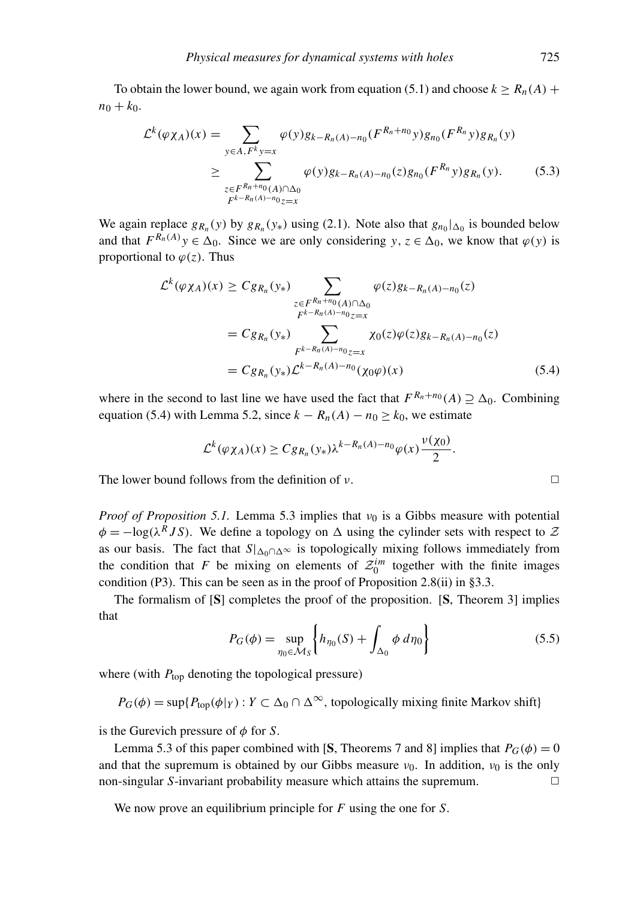To obtain the lower bound, we again work from equation (5.1) and choose  $k \ge R_n(A)$  +  $n_0 + k_0$ .

$$
\mathcal{L}^{k}(\varphi \chi_{A})(x) = \sum_{y \in A, F^{k}y=x} \varphi(y)g_{k-R_{n}(A)-n_{0}}(F^{R_{n}+n_{0}}y)g_{n_{0}}(F^{R_{n}}y)g_{R_{n}}(y)
$$
  
\n
$$
\geq \sum_{\substack{z \in F^{R_{n}+n_{0}}(A) \cap \Delta_{0} \\ F^{k-R_{n}(A)-n_{0}}z=x} \varphi(y)g_{k-R_{n}(A)-n_{0}}(z)g_{n_{0}}(F^{R_{n}}y)g_{R_{n}}(y).
$$
(5.3)

We again replace  $g_{R_n}(y)$  by  $g_{R_n}(y_*)$  using (2.1). Note also that  $g_{n_0}|_{\Delta_0}$  is bounded below and that  $F^{R_n(A)}y \in \Delta_0$ . Since we are only considering *y*,  $z \in \Delta_0$ , we know that  $\varphi(y)$  is proportional to  $\varphi(z)$ . Thus

$$
\mathcal{L}^{k}(\varphi\chi_{A})(x) \geq C g_{R_{n}}(y_{*}) \sum_{\substack{z \in F^{R_{n}+n_{0}}(A) \cap \Delta_{0} \\ F^{k-R_{n}(A)-n_{0}}z=x}} \varphi(z)g_{k-R_{n}(A)-n_{0}}(z)
$$
\n
$$
= C g_{R_{n}}(y_{*}) \sum_{\substack{F^{k-R_{n}(A)-n_{0}}z=x \\ F^{k-R_{n}(A)-n_{0}}(z)=x}} \chi_{0}(z) \varphi(z)g_{k-R_{n}(A)-n_{0}}(z)
$$
\n
$$
= C g_{R_{n}}(y_{*}) \mathcal{L}^{k-R_{n}(A)-n_{0}}(\chi_{0}\varphi)(x) \qquad (5.4)
$$

where in the second to last line we have used the fact that  $F^{R_n+n_0}(A) \supseteq \Delta_0$ . Combining equation (5.4) with Lemma 5.2, since  $k - R_n(A) - n_0 \ge k_0$ , we estimate

$$
\mathcal{L}^k(\varphi \chi_A)(x) \geq C g_{R_n}(y_*) \lambda^{k-R_n(A)-n_0} \varphi(x) \frac{\nu(\chi_0)}{2}.
$$

The lower bound follows from the definition of  $\nu$ .

*Proof of Proposition* 5.1. Lemma 5.3 implies that  $v_0$  is a Gibbs measure with potential  $\phi = -\log(\lambda^R J S)$ . We define a topology on  $\Delta$  using the cylinder sets with respect to  $\mathcal{Z}$ as our basis. The fact that  $S|_{\Delta_0 \cap \Delta_0}$  is topologically mixing follows immediately from the condition that *F* be mixing on elements of  $\mathcal{Z}_0^{im}$  together with the finite images condition (P3). This can be seen as in the proof of Proposition 2.8(ii) in  $\S 3.3$ .

The formalism of [S] completes the proof of the proposition. [S, Theorem 3] implies that

$$
P_G(\phi) = \sup_{\eta_0 \in \mathcal{M}_S} \left\{ h_{\eta_0}(S) + \int_{\Delta_0} \phi \, d\eta_0 \right\} \tag{5.5}
$$

where (with  $P_{top}$  denoting the topological pressure)

$$
P_G(\phi) = \sup \{ P_{top}(\phi | Y) : Y \subset \Delta_0 \cap \Delta^{\infty}, \text{ topologically mixing finite Markov shift} \}
$$

is the Gurevich pressure of  $\phi$  for *S*.

Lemma 5.3 of this paper combined with [S, Theorems 7 and 8] implies that  $P_G(\phi) = 0$ and that the supremum is obtained by our Gibbs measure  $v_0$ . In addition,  $v_0$  is the only  $\Box$  non-singular *S*-invariant probability measure which attains the supremum.  $\Box$ 

We now prove an equilibrium principle for *F* using the one for *S*.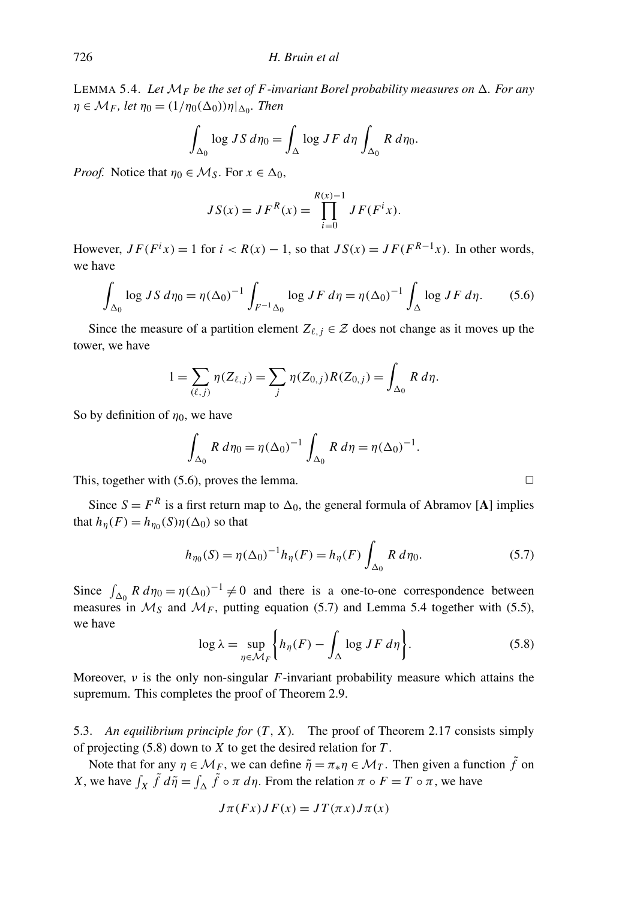LEMMA 5.4. Let  $\mathcal{M}_F$  be the set of F-invariant Borel probability measures on  $\Delta$ . For any  $\eta \in \mathcal{M}_F$ , let  $\eta_0 = (1/\eta_0(\Delta_0))\eta|_{\Delta_0}$ . Then

$$
\int_{\Delta_0} \log JS \, d\eta_0 = \int_{\Delta} \log JF \, d\eta \int_{\Delta_0} R \, d\eta_0.
$$

*Proof.* Notice that  $\eta_0 \in M_S$ . For  $x \in \Delta_0$ ,

$$
JS(x) = JFR(x) = \prod_{i=0}^{R(x)-1} JF(Fix).
$$

However,  $JF(F^ix) = 1$  for  $i < R(x) - 1$ , so that  $JS(x) = JF(F^{R-1}x)$ . In other words, we have

$$
\int_{\Delta_0} \log JS \, d\eta_0 = \eta (\Delta_0)^{-1} \int_{F^{-1}\Delta_0} \log JF \, d\eta = \eta (\Delta_0)^{-1} \int_{\Delta} \log JF \, d\eta. \tag{5.6}
$$

Since the measure of a partition element  $Z_{\ell, j} \in \mathcal{Z}$  does not change as it moves up the tower, we have

$$
1 = \sum_{(\ell,j)} \eta(Z_{\ell,j}) = \sum_j \eta(Z_{0,j}) R(Z_{0,j}) = \int_{\Delta_0} R \, d\eta.
$$

So by definition of  $\eta_0$ , we have

$$
\int_{\Delta_0} R \, d\eta_0 = \eta (\Delta_0)^{-1} \int_{\Delta_0} R \, d\eta = \eta (\Delta_0)^{-1}.
$$

This, together with  $(5.6)$ , proves the lemma.

Since  $S = F<sup>R</sup>$  is a first return map to  $\Delta_0$ , the general formula of Abramov [A] implies that  $h_{\eta}(F) = h_{\eta_0}(S)\eta(\Delta_0)$  so that

$$
h_{\eta_0}(S) = \eta(\Delta_0)^{-1} h_{\eta}(F) = h_{\eta}(F) \int_{\Delta_0} R \, d\eta_0.
$$
 (5.7)

Since  $\int_{\Delta_0} R d\eta_0 = \eta(\Delta_0)^{-1} \neq 0$  and there is a one-to-one correspondence between measures in  $M_s$  and  $M_F$ , putting equation (5.7) and Lemma 5.4 together with (5.5), we have

$$
\log \lambda = \sup_{\eta \in \mathcal{M}_F} \left\{ h_{\eta}(F) - \int_{\Delta} \log J F \, d\eta \right\}.
$$
 (5.8)

Moreover,  $\nu$  is the only non-singular *F*-invariant probability measure which attains the supremum. This completes the proof of Theorem 2.9.

5.3. *An equilibrium principle for* (*T*, *X*)*.* The proof of Theorem 2.17 consists simply of projecting (5.8) down to *X* to get the desired relation for *T* .

Note that for any  $\eta \in M_F$ , we can define  $\tilde{\eta} = \pi_* \eta \in M_T$ . Then given a function  $\tilde{f}$  on *X*, we have  $\int_X \tilde{f} d\tilde{\eta} = \int_{\Delta} \tilde{f} \circ \pi d\eta$ . From the relation  $\pi \circ F = T \circ \pi$ , we have

$$
J\pi(Fx)JF(x) = JT(\pi x)J\pi(x)
$$

$$
\Box
$$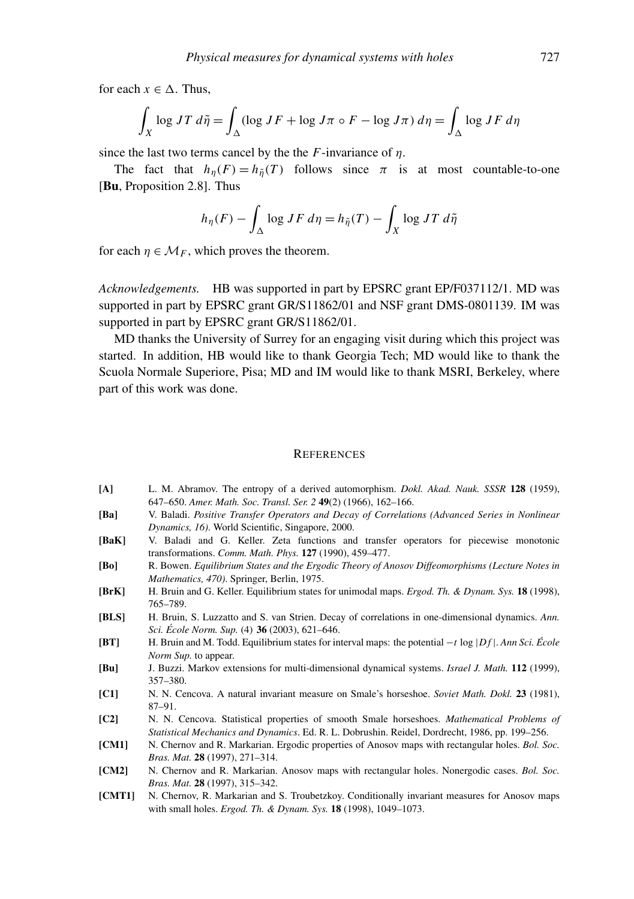for each  $x \in \Delta$ . Thus,

$$
\int_X \log JT \, d\tilde{\eta} = \int_{\Delta} (\log JF + \log J\pi \circ F - \log J\pi) \, d\eta = \int_{\Delta} \log JF \, d\eta
$$

since the last two terms cancel by the the  $F$ -invariance of  $\eta$ .

The fact that  $h_n(F) = h_{\tilde{n}}(T)$  follows since  $\pi$  is at most countable-to-one [Bu, Proposition 2.8]. Thus

$$
h_{\eta}(F) - \int_{\Delta} \log JF \, d\eta = h_{\tilde{\eta}}(T) - \int_{X} \log JT \, d\tilde{\eta}
$$

for each  $\eta \in \mathcal{M}_F$ , which proves the theorem.

*Acknowledgements.* HB was supported in part by EPSRC grant EP/F037112/1. MD was supported in part by EPSRC grant GR/S11862/01 and NSF grant DMS-0801139. IM was supported in part by EPSRC grant GR/S11862/01.

MD thanks the University of Surrey for an engaging visit during which this project was started. In addition, HB would like to thank Georgia Tech; MD would like to thank the Scuola Normale Superiore, Pisa; MD and IM would like to thank MSRI, Berkeley, where part of this work was done.

#### **REFERENCES**

- [A] L. M. Abramov. The entropy of a derived automorphism. *Dokl. Akad. Nauk. SSSR* 128 (1959), 647–650. *Amer. Math. Soc. Transl. Ser. 2* 49(2) (1966), 162–166.
- [Ba] V. Baladi. *Positive Transfer Operators and Decay of Correlations (Advanced Series in Nonlinear Dynamics, 16)*. World Scientific, Singapore, 2000.
- [BaK] V. Baladi and G. Keller. Zeta functions and transfer operators for piecewise monotonic transformations. *Comm. Math. Phys.* 127 (1990), 459–477.
- [Bo] R. Bowen. *Equilibrium States and the Ergodic Theory of Anosov Diffeomorphisms (Lecture Notes in Mathematics, 470)*. Springer, Berlin, 1975.
- [BrK] H. Bruin and G. Keller. Equilibrium states for unimodal maps. *Ergod. Th. & Dynam. Sys.* 18 (1998), 765–789.
- [BLS] H. Bruin, S. Luzzatto and S. van Strien. Decay of correlations in one-dimensional dynamics. *Ann. Sci. Ecole Norm. Sup. ´* (4) 36 (2003), 621–646.
- [BT] H. Bruin and M. Todd. Equilibrium states for interval maps: the potential −*t* log |*D f* |. *Ann Sci. Ecole ´ Norm Sup.* to appear.
- [Bu] J. Buzzi. Markov extensions for multi-dimensional dynamical systems. *Israel J. Math.* 112 (1999), 357–380.
- [C1] N. N. Cencova. A natural invariant measure on Smale's horseshoe. *Soviet Math. Dokl.* 23 (1981), 87–91.
- [C2] N. N. Cencova. Statistical properties of smooth Smale horseshoes. *Mathematical Problems of Statistical Mechanics and Dynamics*. Ed. R. L. Dobrushin. Reidel, Dordrecht, 1986, pp. 199–256.
- [CM1] N. Chernov and R. Markarian. Ergodic properties of Anosov maps with rectangular holes. *Bol. Soc. Bras. Mat.* 28 (1997), 271–314.
- [CM2] N. Chernov and R. Markarian. Anosov maps with rectangular holes. Nonergodic cases. *Bol. Soc. Bras. Mat.* 28 (1997), 315–342.
- [CMT1] N. Chernov, R. Markarian and S. Troubetzkoy. Conditionally invariant measures for Anosov maps with small holes. *Ergod. Th. & Dynam. Sys.* 18 (1998), 1049–1073.